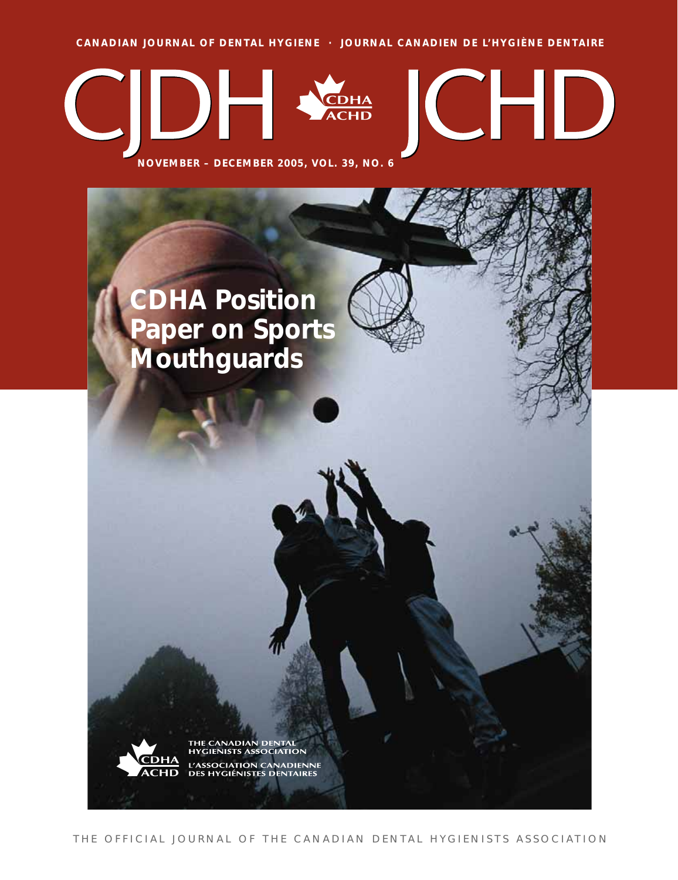**CANADIAN JOURNAL OF DENTAL HYGIENE · JOURNAL CANADIEN DE L'HYGIÈNE DENTAIRE**



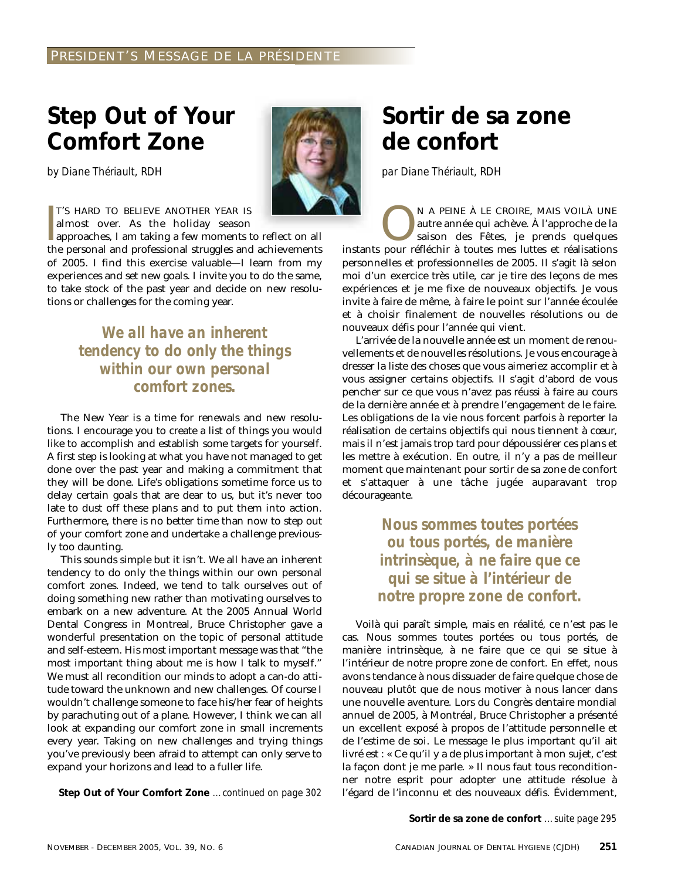# **Step Out of Your Comfort Zone**

*by Diane Thériault, RDH*



T'S HARD TO BELIEVE ANOTHER YEAR IS almost over. As the holiday season

 $\begin{bmatrix} 1 \\ 1 \\ 1 \\ 1 \end{bmatrix}$ approaches, I am taking a few moments to reflect on all the personal and professional struggles and achievements of 2005. I find this exercise valuable—I learn from my experiences and set new goals. I invite you to do the same, to take stock of the past year and decide on new resolutions or challenges for the coming year.

# *We all have an inherent tendency to do only the things within our own personal comfort zones.*

The New Year is a time for renewals and new resolutions. I encourage you to create a list of things you would like to accomplish and establish some targets for yourself. A first step is looking at what you have not managed to get done over the past year and making a commitment that they *will* be done. Life's obligations sometime force us to delay certain goals that are dear to us, but it's never too late to dust off these plans and to put them into action. Furthermore, there is no better time than now to step out of your comfort zone and undertake a challenge previously too daunting.

This sounds simple but it isn't. We all have an inherent tendency to do only the things within our own personal comfort zones. Indeed, we tend to talk ourselves out of doing something new rather than motivating ourselves to embark on a new adventure. At the 2005 Annual World Dental Congress in Montreal, Bruce Christopher gave a wonderful presentation on the topic of personal attitude and self-esteem. His most important message was that "the most important thing about me is how I talk to myself." We must all recondition our minds to adopt a can-do attitude toward the unknown and new challenges. Of course I wouldn't challenge someone to face his/her fear of heights by parachuting out of a plane. However, I think we can all look at expanding our comfort zone in small increments every year. Taking on new challenges and trying things you've previously been afraid to attempt can only serve to expand your horizons and lead to a fuller life.

**Step Out of Your Comfort Zone** *…continued on page 302*

# **Sortir de sa zone de confort**

*par Diane Thériault, RDH*

N A PEINE À LE CROIRE, MAIS VOILÀ UNE autre année qui achève. À l'approche de la saison des Fêtes, je prends quelques autre année qui achève. À l'approche de la saison des Fêtes, je prends quelques instants pour réfléchir à toutes mes luttes et réalisations personnelles et professionnelles de 2005. Il s'agit là selon moi d'un exercice très utile, car je tire des leçons de mes expériences et je me fixe de nouveaux objectifs. Je vous invite à faire de même, à faire le point sur l'année écoulée et à choisir finalement de nouvelles résolutions ou de nouveaux défis pour l'année qui vient.

L'arrivée de la nouvelle année est un moment de renouvellements et de nouvelles résolutions. Je vous encourage à dresser la liste des choses que vous aimeriez accomplir et à vous assigner certains objectifs. Il s'agit d'abord de vous pencher sur ce que vous n'avez pas réussi à faire au cours de la dernière année et à prendre l'engagement de le faire. Les obligations de la vie nous forcent parfois à reporter la réalisation de certains objectifs qui nous tiennent à cœur, mais il n'est jamais trop tard pour dépoussiérer ces plans et les mettre à exécution. En outre, il n'y a pas de meilleur moment que maintenant pour sortir de sa zone de confort et s'attaquer à une tâche jugée auparavant trop décourageante.

> *Nous sommes toutes portées ou tous portés, de manière intrinsèque, à ne faire que ce qui se situe à l'intérieur de notre propre zone de confort.*

Voilà qui paraît simple, mais en réalité, ce n'est pas le cas. Nous sommes toutes portées ou tous portés, de manière intrinsèque, à ne faire que ce qui se situe à l'intérieur de notre propre zone de confort. En effet, nous avons tendance à nous dissuader de faire quelque chose de nouveau plutôt que de nous motiver à nous lancer dans une nouvelle aventure. Lors du Congrès dentaire mondial annuel de 2005, à Montréal, Bruce Christopher a présenté un excellent exposé à propos de l'attitude personnelle et de l'estime de soi. Le message le plus important qu'il ait livré est : « Ce qu'il y a de plus important à mon sujet, c'est la façon dont je me parle. » Il nous faut tous reconditionner notre esprit pour adopter une attitude résolue à l'égard de l'inconnu et des nouveaux défis. Évidemment,

**Sortir de sa zone de confort** *…suite page 295*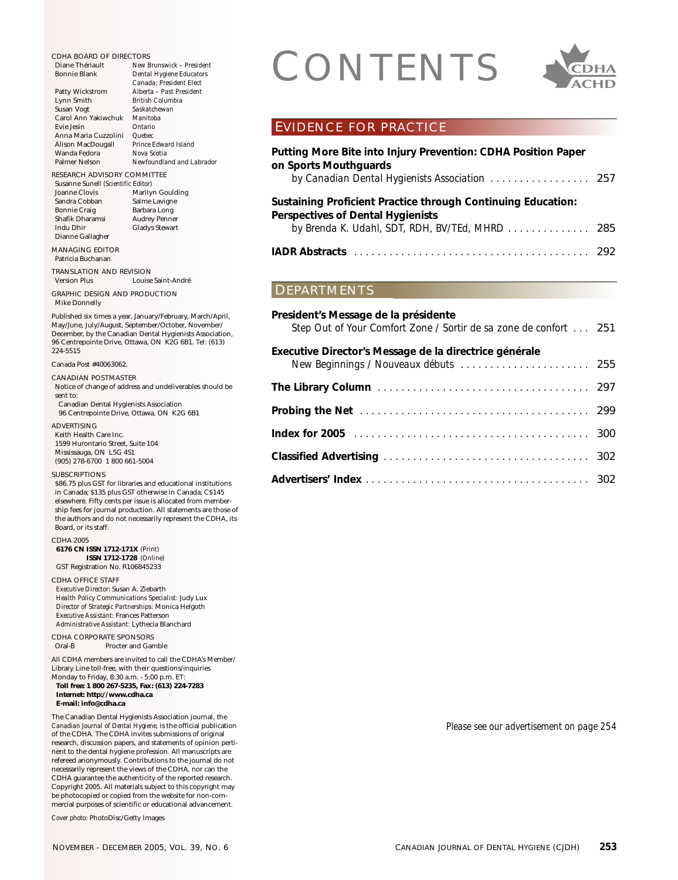CDHA BOARD OF DIRECTORS<br>
Diane Thériault<br>
Bonnie Blank<br>
Patty Wickstrom<br>
Patty Wickstrom<br>
Alberta - Past President<br>
Alberta - Past President Diane Thériault *New Brunswick – President*  $Dental$  *Hygiene Educators Canada; President Elect* Patty Wickstrom *Alberta – Past President* Lynn Smith *British Columbia* Saskatchewan<br>Manitoba Carol Ann Yakiwchuk *Manitol*<br>Evie Jesin *Ontario* Evie Jesin *Ontario* Anna Maria Cuzzolini *Quebec* Alison MacDougall *Prince Edwa*<br>Wanda Fedora *Nova Scotia* Wanda Fedora<br>Palmer Nelson  $Newfoundland$  and Labrador RESEARCH ADVISORY COMMITTEE Susanne Sunell *(Scientific Editor)* Joanne Clovis Marilyn Goulding<br>Sandra Cobban Salme Lavigne Sandra Cobban Salme Lavigne<br>Bonnie Craig Barbara Long Barbara Long<br>Audrey Penner Shafik Dharamsi Indu Dhir Gladys Stewart Dianne Gallagher MANAGING EDITOR Patricia Buchanan TRANSLATION AND REVISION Louise Saint-André GRAPHIC DESIGN AND PRODUCTION Mike Donnelly Published six times a year, January/February, March/April, May/June, July/August, September/October, November/ December, by the Canadian Dental Hygienists Association, 96 Centrepointe Drive, Ottawa, ON K2G 6B1. Tel: (613) 224-5515 Canada Post #40063062. CANADIAN POSTMASTER Notice of change of address and undeliverables should be sent to: Canadian Dental Hygienists Association 96 Centrepointe Drive, Ottawa, ON K2G 6B1 ADVERTISING Keith Health Care Inc. 1599 Hurontario Street, Suite 104 Mississauga, ON L5G 4S1 (905) 278-6700 1 800 661-5004 **SUBSCRIPTIONS** \$86.75 plus GST for libraries and educational institutions in Canada; \$135 plus GST otherwise in Canada; C\$145 elsewhere. Fifty cents per issue is allocated from membership fees for journal production. All statements are those of the authors and do not necessarily represent the CDHA, its Board, or its staff. CDHA 2005 **6176 CN ISSN 1712-171X** *(Print)* **ISSN 1712-1728** *(Online)* GST Registration No. R106845233 CDHA OFFICE STAFF *Executive Director:* Susan A. Ziebarth *Health Policy Communications Specialist:* Judy Lux *Director of Strategic Partnerships:* Monica Helgoth *Executive Assistant:* Frances Patterson *Administrative Assistant:* Lythecia Blanchard CDHA CORPORATE SPONSORS<br>Oral-B Procter and Gar Procter and Gamble All CDHA members are invited to call the CDHA's Member/ Library Line toll-free, with their questions/inquiries Monday to Friday, 8:30 a.m. - 5:00 p.m. ET: **Toll free: 1 800 267-5235, Fax: (613) 224-7283 Internet: http://www.cdha.ca E-mail: info@cdha.ca** The Canadian Dental Hygienists Association journal, the *Canadian Journal of Dental Hygiene,* is the official publication of the CDHA. The CDHA invites submissions of original research, discussion papers, and statements of opinion pertinent to the dental hygiene profession. All manuscripts are refereed anonymously. Contributions to the journal do not necessarily represent the views of the CDHA, nor can the CDHA guarantee the authenticity of the reported research. Copyright 2005. All materials subject to this copyright may be photocopied or copied from the website for non-com-

*Cover photo:* PhotoDisc/Getty Images

mercial purposes of scientific or educational advancement.



# EVIDENCE FOR PRACTICE

| Putting More Bite into Injury Prevention: CDHA Position Paper<br>on Sports Mouthquards                                                                      |  |
|-------------------------------------------------------------------------------------------------------------------------------------------------------------|--|
| Sustaining Proficient Practice through Continuing Education:<br><b>Perspectives of Dental Hygienists</b><br>by Brenda K. Udahl, SDT, RDH, BV/TEd, MHRD  285 |  |
| <b>IADR Abstracts</b>                                                                                                                                       |  |

# DEPARTMENTS

| President's Message de la présidente<br>Step Out of Your Comfort Zone / Sortir de sa zone de confort 251 |  |
|----------------------------------------------------------------------------------------------------------|--|
| Executive Director's Message de la directrice générale<br>New Beginnings / Nouveaux débuts  255          |  |
|                                                                                                          |  |
|                                                                                                          |  |
|                                                                                                          |  |
|                                                                                                          |  |
|                                                                                                          |  |

*Please see our advertisement on page 254*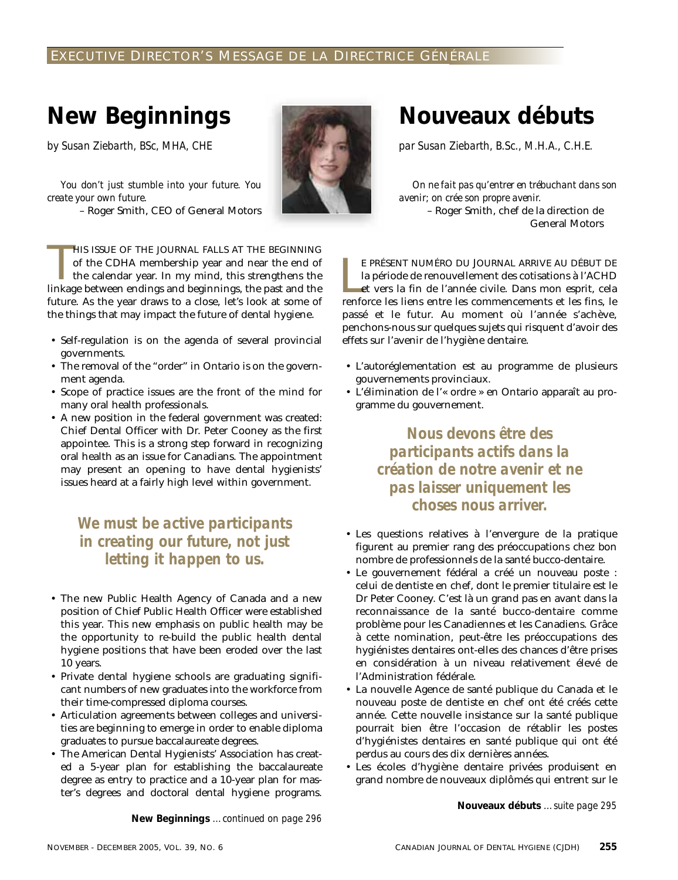# EXECUTIVE DIRECTOR'S MESSAGE DE LA DIRECTRICE GÉNÉRALE

# **New Beginnings**

*by Susan Ziebarth, BSc, MHA, CHE*

*You don't just stumble into your future. You create your own future.*

– Roger Smith, CEO of General Motors

HIS ISSUE OF THE JOURNAL FALLS AT THE BEGINNING<br>of the CDHA membership year and near the end of<br>the calendar year. In my mind, this strengthens the<br>linkage between endings and beginnings, the past and the HIS ISSUE OF THE JOURNAL FALLS AT THE BEGINNING of the CDHA membership year and near the end of the calendar year. In my mind, this strengthens the future. As the year draws to a close, let's look at some of the things that may impact the future of dental hygiene.

- Self-regulation is on the agenda of several provincial governments.
- The removal of the "order" in Ontario is on the government agenda.
- Scope of practice issues are the front of the mind for many oral health professionals.
- A new position in the federal government was created: Chief Dental Officer with Dr. Peter Cooney as the first appointee. This is a strong step forward in recognizing oral health as an issue for Canadians. The appointment may present an opening to have dental hygienists' issues heard at a fairly high level within government.

# *We must be active participants in creating our future, not just letting it happen to us.*

- The new Public Health Agency of Canada and a new position of Chief Public Health Officer were established this year. This new emphasis on public health may be the opportunity to re-build the public health dental hygiene positions that have been eroded over the last 10 years.
- Private dental hygiene schools are graduating significant numbers of new graduates into the workforce from their time-compressed diploma courses.
- Articulation agreements between colleges and universities are beginning to emerge in order to enable diploma graduates to pursue baccalaureate degrees.
- The American Dental Hygienists' Association has created a 5-year plan for establishing the baccalaureate degree as entry to practice and a 10-year plan for master's degrees and doctoral dental hygiene programs.

**New Beginnings** *…continued on page 296*

**Nouveaux débuts**

*par Susan Ziebarth, B.Sc., M.H.A., C.H.E.*

*On ne fait pas qu'entrer en trébuchant dans son avenir; on crée son propre avenir.* – Roger Smith, chef de la direction de General Motors

E PRÉSENT NUMÉRO DU JOURNAL ARRIVE AU DÉBUT DE<br>la période de renouvellement des cotisations à l'ACHD<br>et vers la fin de l'année civile. Dans mon esprit, cela<br>renforce les liens entre les commencements et les fins, le E PRÉSENT NUMÉRO DU JOURNAL ARRIVE AU DÉBUT DE la période de renouvellement des cotisations à l'ACHD et vers la fin de l'année civile. Dans mon esprit, cela passé et le futur. Au moment où l'année s'achève, penchons-nous sur quelques sujets qui risquent d'avoir des effets sur l'avenir de l'hygiène dentaire.

- L'autoréglementation est au programme de plusieurs gouvernements provinciaux.
- L'élimination de l'« ordre » en Ontario apparaît au programme du gouvernement.

*Nous devons être des participants actifs dans la création de notre avenir et ne pas laisser uniquement les choses nous arriver.*

- Les questions relatives à l'envergure de la pratique figurent au premier rang des préoccupations chez bon nombre de professionnels de la santé bucco-dentaire.
- Le gouvernement fédéral a créé un nouveau poste : celui de dentiste en chef, dont le premier titulaire est le Dr Peter Cooney. C'est là un grand pas en avant dans la reconnaissance de la santé bucco-dentaire comme problème pour les Canadiennes et les Canadiens. Grâce à cette nomination, peut-être les préoccupations des hygiénistes dentaires ont-elles des chances d'être prises en considération à un niveau relativement élevé de l'Administration fédérale.
- La nouvelle Agence de santé publique du Canada et le nouveau poste de dentiste en chef ont été créés cette année. Cette nouvelle insistance sur la santé publique pourrait bien être l'occasion de rétablir les postes d'hygiénistes dentaires en santé publique qui ont été perdus au cours des dix dernières années.
- Les écoles d'hygiène dentaire privées produisent en grand nombre de nouveaux diplômés qui entrent sur le

**Nouveaux débuts** *…suite page 295*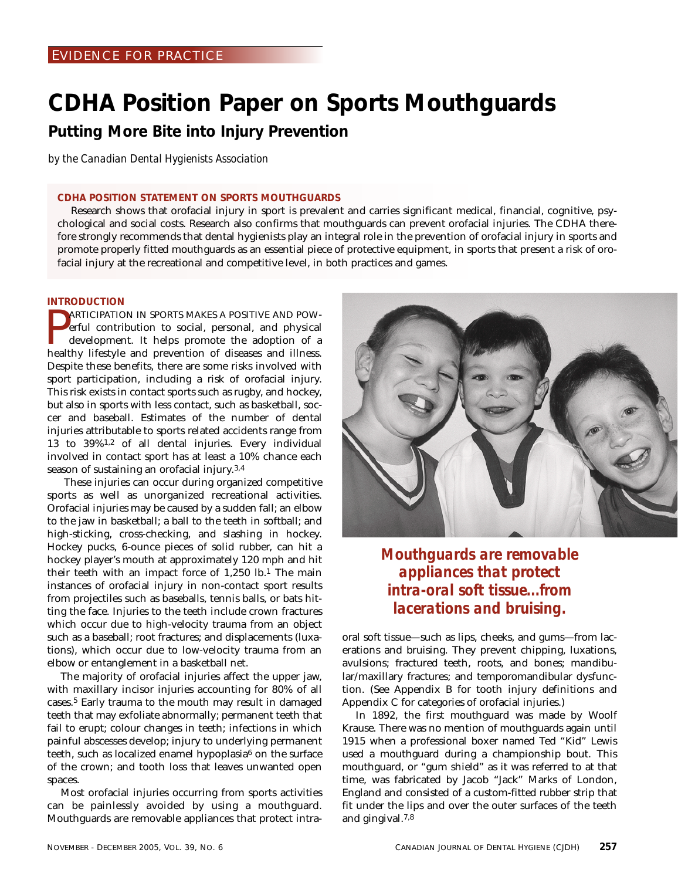# **CDHA Position Paper on Sports Mouthguards**

**Putting More Bite into Injury Prevention**

*by the Canadian Dental Hygienists Association*

# **CDHA POSITION STATEMENT ON SPORTS MOUTHGUARDS**

Research shows that orofacial injury in sport is prevalent and carries significant medical, financial, cognitive, psychological and social costs. Research also confirms that mouthguards can prevent orofacial injuries. The CDHA therefore strongly recommends that dental hygienists play an integral role in the prevention of orofacial injury in sports and promote properly fitted mouthguards as an essential piece of protective equipment, in sports that present a risk of orofacial injury at the recreational and competitive level, in both practices and games.

# **INTRODUCTION**

**EXECTE AND POWERE AND POWERT AND POWERT AND POWERT AND POWERT AND CONTROLL** development. It helps promote the adoption of a healthy lifestyle and prevention of diseases and illness. ARTICIPATION IN SPORTS MAKES A POSITIVE AND POWerful contribution to social, personal, and physical development. It helps promote the adoption of a Despite these benefits, there are some risks involved with sport participation, including a risk of orofacial injury. This risk exists in contact sports such as rugby, and hockey, but also in sports with less contact, such as basketball, soccer and baseball. Estimates of the number of dental injuries attributable to sports related accidents range from 13 to 39%1,2 of all dental injuries. Every individual involved in contact sport has at least a 10% chance each season of sustaining an orofacial injury.3,4

These injuries can occur during organized competitive sports as well as unorganized recreational activities. Orofacial injuries may be caused by a sudden fall; an elbow to the jaw in basketball; a ball to the teeth in softball; and high-sticking, cross-checking, and slashing in hockey. Hockey pucks, 6-ounce pieces of solid rubber, can hit a hockey player's mouth at approximately 120 mph and hit their teeth with an impact force of 1,250 lb.1 The main instances of orofacial injury in non-contact sport results from projectiles such as baseballs, tennis balls, or bats hitting the face. Injuries to the teeth include crown fractures which occur due to high-velocity trauma from an object such as a baseball; root fractures; and displacements (luxations), which occur due to low-velocity trauma from an elbow or entanglement in a basketball net.

The majority of orofacial injuries affect the upper jaw, with maxillary incisor injuries accounting for 80% of all cases.5 Early trauma to the mouth may result in damaged teeth that may exfoliate abnormally; permanent teeth that fail to erupt; colour changes in teeth; infections in which painful abscesses develop; injury to underlying permanent teeth, such as localized enamel hypoplasia<sup>6</sup> on the surface of the crown; and tooth loss that leaves unwanted open spaces.

Most orofacial injuries occurring from sports activities can be painlessly avoided by using a mouthguard. Mouthguards are removable appliances that protect intra-



*Mouthguards are removable appliances that protect intra-oral soft tissue...from lacerations and bruising.*

oral soft tissue—such as lips, cheeks, and gums—from lacerations and bruising. They prevent chipping, luxations, avulsions; fractured teeth, roots, and bones; mandibular/maxillary fractures; and temporomandibular dysfunction. (See Appendix B for tooth injury definitions and Appendix C for categories of orofacial injuries.)

In 1892, the first mouthguard was made by Woolf Krause. There was no mention of mouthguards again until 1915 when a professional boxer named Ted "Kid" Lewis used a mouthguard during a championship bout. This mouthguard, or "gum shield" as it was referred to at that time, was fabricated by Jacob "Jack" Marks of London, England and consisted of a custom-fitted rubber strip that fit under the lips and over the outer surfaces of the teeth and gingival.7,8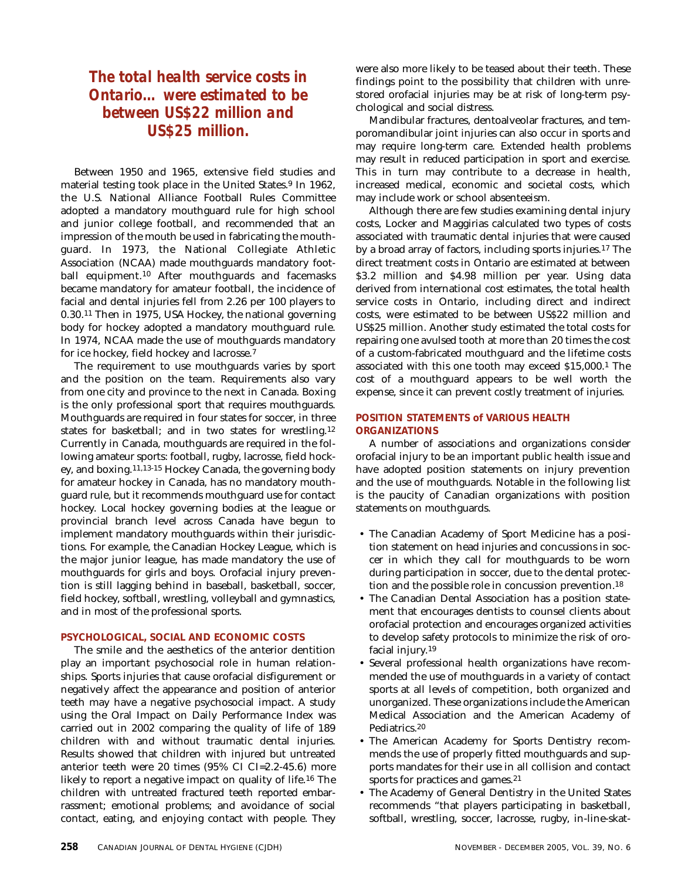# *The total health service costs in Ontario… were estimated to be between US\$22 million and US\$25 million.*

Between 1950 and 1965, extensive field studies and material testing took place in the United States.<sup>9</sup> In 1962, the U.S. National Alliance Football Rules Committee adopted a mandatory mouthguard rule for high school and junior college football, and recommended that an impression of the mouth be used in fabricating the mouthguard. In 1973, the National Collegiate Athletic Association (NCAA) made mouthguards mandatory football equipment.10 After mouthguards and facemasks became mandatory for amateur football, the incidence of facial and dental injuries fell from 2.26 per 100 players to 0.30.11 Then in 1975, USA Hockey, the national governing body for hockey adopted a mandatory mouthguard rule. In 1974, NCAA made the use of mouthguards mandatory for ice hockey, field hockey and lacrosse.7

The requirement to use mouthguards varies by sport and the position on the team. Requirements also vary from one city and province to the next in Canada. Boxing is the only professional sport that requires mouthguards. Mouthguards are required in four states for soccer, in three states for basketball; and in two states for wrestling.12 Currently in Canada, mouthguards are required in the following amateur sports: football, rugby, lacrosse, field hockey, and boxing.11,13-15 Hockey Canada, the governing body for amateur hockey in Canada, has no mandatory mouthguard rule, but it recommends mouthguard use for contact hockey. Local hockey governing bodies at the league or provincial branch level across Canada have begun to implement mandatory mouthguards within their jurisdictions. For example, the Canadian Hockey League, which is the major junior league, has made mandatory the use of mouthguards for girls and boys. Orofacial injury prevention is still lagging behind in baseball, basketball, soccer, field hockey, softball, wrestling, volleyball and gymnastics, and in most of the professional sports.

# **PSYCHOLOGICAL, SOCIAL AND ECONOMIC COSTS**

The smile and the aesthetics of the anterior dentition play an important psychosocial role in human relationships. Sports injuries that cause orofacial disfigurement or negatively affect the appearance and position of anterior teeth may have a negative psychosocial impact. A study using the Oral Impact on Daily Performance Index was carried out in 2002 comparing the quality of life of 189 children with and without traumatic dental injuries. Results showed that children with injured but untreated anterior teeth were 20 times (95% CI CI=2.2-45.6) more likely to report a negative impact on quality of life.16 The children with untreated fractured teeth reported embarrassment; emotional problems; and avoidance of social contact, eating, and enjoying contact with people. They

were also more likely to be teased about their teeth. These findings point to the possibility that children with unrestored orofacial injuries may be at risk of long-term psychological and social distress.

Mandibular fractures, dentoalveolar fractures, and temporomandibular joint injuries can also occur in sports and may require long-term care. Extended health problems may result in reduced participation in sport and exercise. This in turn may contribute to a decrease in health, increased medical, economic and societal costs, which may include work or school absenteeism.

Although there are few studies examining dental injury costs, Locker and Maggirias calculated two types of costs associated with traumatic dental injuries that were caused by a broad array of factors, including sports injuries.17 The direct treatment costs in Ontario are estimated at between \$3.2 million and \$4.98 million per year. Using data derived from international cost estimates, the total health service costs in Ontario, including direct and indirect costs, were estimated to be between US\$22 million and US\$25 million. Another study estimated the total costs for repairing one avulsed tooth at more than 20 times the cost of a custom-fabricated mouthguard and the lifetime costs associated with this one tooth may exceed \$15,000.1 The cost of a mouthguard appears to be well worth the expense, since it can prevent costly treatment of injuries.

# **POSITION STATEMENTS of VARIOUS HEALTH ORGANIZATIONS**

A number of associations and organizations consider orofacial injury to be an important public health issue and have adopted position statements on injury prevention and the use of mouthguards. Notable in the following list is the paucity of Canadian organizations with position statements on mouthguards.

- The Canadian Academy of Sport Medicine has a position statement on head injuries and concussions in soccer in which they call for mouthguards to be worn during participation in soccer, due to the dental protection and the possible role in concussion prevention.18
- The Canadian Dental Association has a position statement that encourages dentists to counsel clients about orofacial protection and encourages organized activities to develop safety protocols to minimize the risk of orofacial injury.19
- Several professional health organizations have recommended the use of mouthguards in a variety of contact sports at all levels of competition, both organized and unorganized. These organizations include the American Medical Association and the American Academy of Pediatrics.20
- The American Academy for Sports Dentistry recommends the use of properly fitted mouthguards and supports mandates for their use in all collision and contact sports for practices and games.<sup>21</sup>
- The Academy of General Dentistry in the United States recommends "that players participating in basketball, softball, wrestling, soccer, lacrosse, rugby, in-line-skat-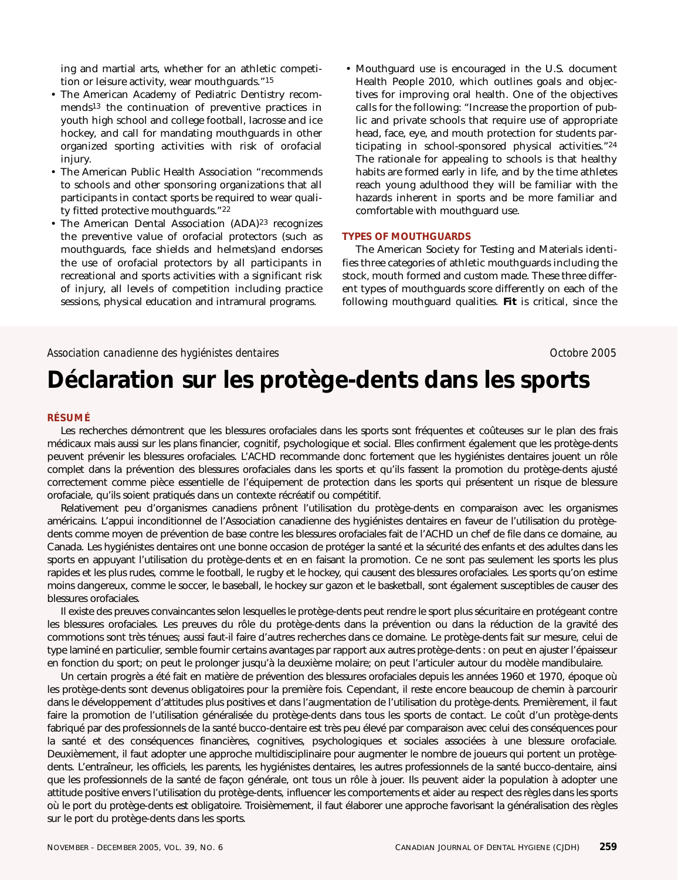ing and martial arts, whether for an athletic competition or leisure activity, wear mouthguards."15

- The American Academy of Pediatric Dentistry recommends13 the continuation of preventive practices in youth high school and college football, lacrosse and ice hockey, and call for mandating mouthguards in other organized sporting activities with risk of orofacial injury.
- The American Public Health Association "recommends to schools and other sponsoring organizations that all participants in contact sports be required to wear quality fitted protective mouthguards."22
- The American Dental Association (ADA)<sup>23</sup> recognizes the preventive value of orofacial protectors (such as mouthguards, face shields and helmets)and endorses the use of orofacial protectors by all participants in recreational and sports activities with a significant risk of injury, all levels of competition including practice sessions, physical education and intramural programs.
- Mouthguard use is encouraged in the U.S. document Health People 2010, which outlines goals and objectives for improving oral health. One of the objectives calls for the following: "Increase the proportion of public and private schools that require use of appropriate head, face, eye, and mouth protection for students participating in school-sponsored physical activities."24 The rationale for appealing to schools is that healthy habits are formed early in life, and by the time athletes reach young adulthood they will be familiar with the hazards inherent in sports and be more familiar and comfortable with mouthguard use.

# **TYPES OF MOUTHGUARDS**

The American Society for Testing and Materials identifies three categories of athletic mouthguards including the stock, mouth formed and custom made. These three different types of mouthguards score differently on each of the following mouthguard qualities. **Fit** is critical, since the

# Association canadienne des hygiénistes dentaires **Association Canadienne 2005** *Octobre 2005*

# **Déclaration sur les protège-dents dans les sports**

# **RÉSUMÉ**

Les recherches démontrent que les blessures orofaciales dans les sports sont fréquentes et coûteuses sur le plan des frais médicaux mais aussi sur les plans financier, cognitif, psychologique et social. Elles confirment également que les protège-dents peuvent prévenir les blessures orofaciales. L'ACHD recommande donc fortement que les hygiénistes dentaires jouent un rôle complet dans la prévention des blessures orofaciales dans les sports et qu'ils fassent la promotion du protège-dents ajusté correctement comme pièce essentielle de l'équipement de protection dans les sports qui présentent un risque de blessure orofaciale, qu'ils soient pratiqués dans un contexte récréatif ou compétitif.

Relativement peu d'organismes canadiens prônent l'utilisation du protège-dents en comparaison avec les organismes américains. L'appui inconditionnel de l'Association canadienne des hygiénistes dentaires en faveur de l'utilisation du protègedents comme moyen de prévention de base contre les blessures orofaciales fait de l'ACHD un chef de file dans ce domaine, au Canada. Les hygiénistes dentaires ont une bonne occasion de protéger la santé et la sécurité des enfants et des adultes dans les sports en appuyant l'utilisation du protège-dents et en en faisant la promotion. Ce ne sont pas seulement les sports les plus rapides et les plus rudes, comme le football, le rugby et le hockey, qui causent des blessures orofaciales. Les sports qu'on estime moins dangereux, comme le soccer, le baseball, le hockey sur gazon et le basketball, sont également susceptibles de causer des blessures orofaciales.

Il existe des preuves convaincantes selon lesquelles le protège-dents peut rendre le sport plus sécuritaire en protégeant contre les blessures orofaciales. Les preuves du rôle du protège-dents dans la prévention ou dans la réduction de la gravité des commotions sont très ténues; aussi faut-il faire d'autres recherches dans ce domaine. Le protège-dents fait sur mesure, celui de type laminé en particulier, semble fournir certains avantages par rapport aux autres protège-dents : on peut en ajuster l'épaisseur en fonction du sport; on peut le prolonger jusqu'à la deuxième molaire; on peut l'articuler autour du modèle mandibulaire.

Un certain progrès a été fait en matière de prévention des blessures orofaciales depuis les années 1960 et 1970, époque où les protège-dents sont devenus obligatoires pour la première fois. Cependant, il reste encore beaucoup de chemin à parcourir dans le développement d'attitudes plus positives et dans l'augmentation de l'utilisation du protège-dents. Premièrement, il faut faire la promotion de l'utilisation généralisée du protège-dents dans tous les sports de contact. Le coût d'un protège-dents fabriqué par des professionnels de la santé bucco-dentaire est très peu élevé par comparaison avec celui des conséquences pour la santé et des conséquences financières, cognitives, psychologiques et sociales associées à une blessure orofaciale. Deuxièmement, il faut adopter une approche multidisciplinaire pour augmenter le nombre de joueurs qui portent un protègedents. L'entraîneur, les officiels, les parents, les hygiénistes dentaires, les autres professionnels de la santé bucco-dentaire, ainsi que les professionnels de la santé de façon générale, ont tous un rôle à jouer. Ils peuvent aider la population à adopter une attitude positive envers l'utilisation du protège-dents, influencer les comportements et aider au respect des règles dans les sports où le port du protège-dents est obligatoire. Troisièmement, il faut élaborer une approche favorisant la généralisation des règles sur le port du protège-dents dans les sports.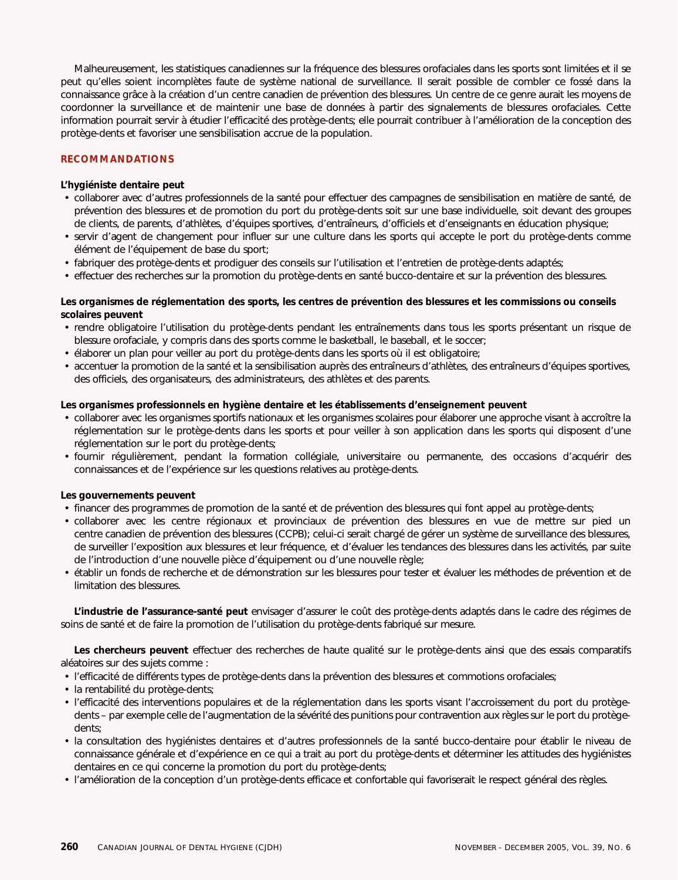Malheureusement, les statistiques canadiennes sur la fréquence des blessures orofaciales dans les sports sont limitées et il se peut qu'elles soient incomplètes faute de système national de surveillance. Il serait possible de combler ce fossé dans la connaissance grâce à la création d'un centre canadien de prévention des blessures. Un centre de ce genre aurait les moyens de coordonner la surveillance et de maintenir une base de données à partir des signalements de blessures orofaciales. Cette information pourrait servir à étudier l'efficacité des protège-dents; elle pourrait contribuer à l'amélioration de la conception des protège-dents et favoriser une sensibilisation accrue de la population.

# **RECOMMANDATIONS**

# **L'hygiéniste dentaire peut**

- collaborer avec d'autres professionnels de la santé pour effectuer des campagnes de sensibilisation en matière de santé, de prévention des blessures et de promotion du port du protège-dents soit sur une base individuelle, soit devant des groupes de clients, de parents, d'athlètes, d'équipes sportives, d'entraîneurs, d'officiels et d'enseignants en éducation physique;
- servir d'agent de changement pour influer sur une culture dans les sports qui accepte le port du protège-dents comme élément de l'équipement de base du sport;
- fabriquer des protège-dents et prodiguer des conseils sur l'utilisation et l'entretien de protège-dents adaptés;
- effectuer des recherches sur la promotion du protège-dents en santé bucco-dentaire et sur la prévention des blessures.

# **Les organismes de réglementation des sports, les centres de prévention des blessures et les commissions ou conseils scolaires peuvent**

- rendre obligatoire l'utilisation du protège-dents pendant les entraînements dans tous les sports présentant un risque de blessure orofaciale, y compris dans des sports comme le basketball, le baseball, et le soccer;
- élaborer un plan pour veiller au port du protège-dents dans les sports où il est obligatoire;
- accentuer la promotion de la santé et la sensibilisation auprès des entraîneurs d'athlètes, des entraîneurs d'équipes sportives, des officiels, des organisateurs, des administrateurs, des athlètes et des parents.

# **Les organismes professionnels en hygiène dentaire et les établissements d'enseignement peuvent**

- collaborer avec les organismes sportifs nationaux et les organismes scolaires pour élaborer une approche visant à accroître la réglementation sur le protège-dents dans les sports et pour veiller à son application dans les sports qui disposent d'une réglementation sur le port du protège-dents;
- fournir régulièrement, pendant la formation collégiale, universitaire ou permanente, des occasions d'acquérir des connaissances et de l'expérience sur les questions relatives au protège-dents.

# **Les gouvernements peuvent**

- financer des programmes de promotion de la santé et de prévention des blessures qui font appel au protège-dents;
- collaborer avec les centre régionaux et provinciaux de prévention des blessures en vue de mettre sur pied un centre canadien de prévention des blessures (CCPB); celui-ci serait chargé de gérer un système de surveillance des blessures, de surveiller l'exposition aux blessures et leur fréquence, et d'évaluer les tendances des blessures dans les activités, par suite de l'introduction d'une nouvelle pièce d'équipement ou d'une nouvelle règle;
- établir un fonds de recherche et de démonstration sur les blessures pour tester et évaluer les méthodes de prévention et de limitation des blessures.

**L'industrie de l'assurance-santé peut** envisager d'assurer le coût des protège-dents adaptés dans le cadre des régimes de soins de santé et de faire la promotion de l'utilisation du protège-dents fabriqué sur mesure.

**Les chercheurs peuvent** effectuer des recherches de haute qualité sur le protège-dents ainsi que des essais comparatifs aléatoires sur des sujets comme :

- l'efficacité de différents types de protège-dents dans la prévention des blessures et commotions orofaciales;
- la rentabilité du protège-dents;
- l'efficacité des interventions populaires et de la réglementation dans les sports visant l'accroissement du port du protègedents – par exemple celle de l'augmentation de la sévérité des punitions pour contravention aux règles sur le port du protègedents;
- la consultation des hygiénistes dentaires et d'autres professionnels de la santé bucco-dentaire pour établir le niveau de connaissance générale et d'expérience en ce qui a trait au port du protège-dents et déterminer les attitudes des hygiénistes dentaires en ce qui concerne la promotion du port du protège-dents;
- l'amélioration de la conception d'un protège-dents efficace et confortable qui favoriserait le respect général des règles.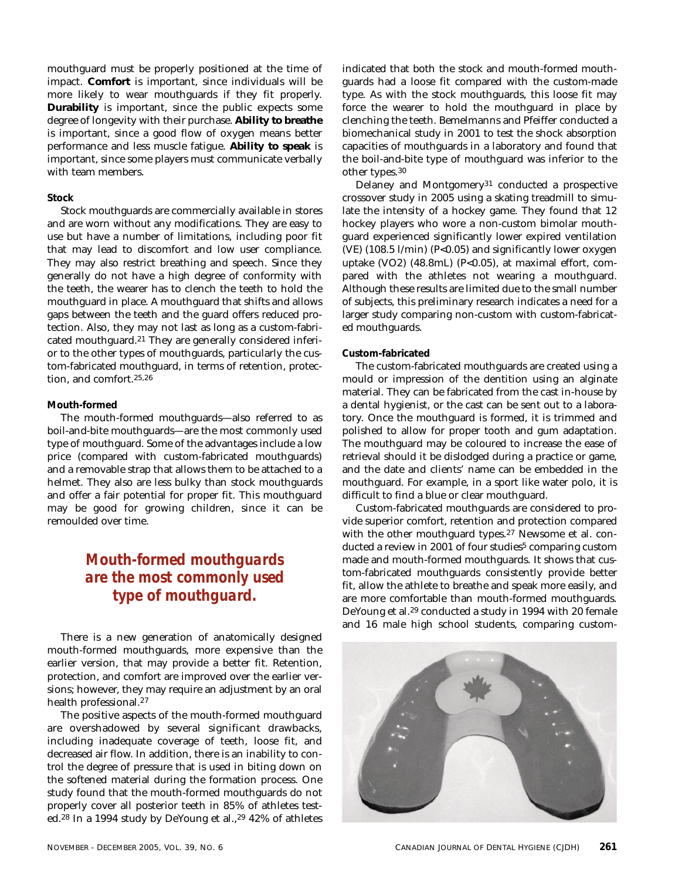mouthguard must be properly positioned at the time of impact. **Comfort** is important, since individuals will be more likely to wear mouthguards if they fit properly. **Durability** is important, since the public expects some degree of longevity with their purchase. **Ability to breathe** is important, since a good flow of oxygen means better performance and less muscle fatigue. **Ability to speak** is important, since some players must communicate verbally with team members.

# **Stock**

Stock mouthguards are commercially available in stores and are worn without any modifications. They are easy to use but have a number of limitations, including poor fit that may lead to discomfort and low user compliance. They may also restrict breathing and speech. Since they generally do not have a high degree of conformity with the teeth, the wearer has to clench the teeth to hold the mouthguard in place. A mouthguard that shifts and allows gaps between the teeth and the guard offers reduced protection. Also, they may not last as long as a custom-fabricated mouthguard.21 They are generally considered inferior to the other types of mouthguards, particularly the custom-fabricated mouthguard, in terms of retention, protection, and comfort.25,26

## **Mouth-formed**

The mouth-formed mouthguards—also referred to as boil-and-bite mouthguards—are the most commonly used type of mouthguard. Some of the advantages include a low price (compared with custom-fabricated mouthguards) and a removable strap that allows them to be attached to a helmet. They also are less bulky than stock mouthguards and offer a fair potential for proper fit. This mouthguard may be good for growing children, since it can be remoulded over time.

# *Mouth-formed mouthguards are the most commonly used type of mouthguard.*

There is a new generation of anatomically designed mouth-formed mouthguards, more expensive than the earlier version, that may provide a better fit. Retention, protection, and comfort are improved over the earlier versions; however, they may require an adjustment by an oral health professional.27

The positive aspects of the mouth-formed mouthguard are overshadowed by several significant drawbacks, including inadequate coverage of teeth, loose fit, and decreased air flow. In addition, there is an inability to control the degree of pressure that is used in biting down on the softened material during the formation process. One study found that the mouth-formed mouthguards do not properly cover all posterior teeth in 85% of athletes tested.<sup>28</sup> In a 1994 study by DeYoung et al.,<sup>29</sup> 42% of athletes

indicated that both the stock and mouth-formed mouthguards had a loose fit compared with the custom-made type. As with the stock mouthguards, this loose fit may force the wearer to hold the mouthguard in place by clenching the teeth. Bemelmanns and Pfeiffer conducted a biomechanical study in 2001 to test the shock absorption capacities of mouthguards in a laboratory and found that the boil-and-bite type of mouthguard was inferior to the other types.30

Delaney and Montgomery<sup>31</sup> conducted a prospective crossover study in 2005 using a skating treadmill to simulate the intensity of a hockey game. They found that 12 hockey players who wore a non-custom bimolar mouthguard experienced significantly lower expired ventilation (VE) (108.5 l/min) (P<0.05) and significantly lower oxygen uptake (VO2) (48.8mL) (P<0.05), at maximal effort, compared with the athletes not wearing a mouthguard. Although these results are limited due to the small number of subjects, this preliminary research indicates a need for a larger study comparing non-custom with custom-fabricated mouthguards.

# **Custom-fabricated**

The custom-fabricated mouthguards are created using a mould or impression of the dentition using an alginate material. They can be fabricated from the cast in-house by a dental hygienist, or the cast can be sent out to a laboratory. Once the mouthguard is formed, it is trimmed and polished to allow for proper tooth and gum adaptation. The mouthguard may be coloured to increase the ease of retrieval should it be dislodged during a practice or game, and the date and clients' name can be embedded in the mouthguard. For example, in a sport like water polo, it is difficult to find a blue or clear mouthguard.

Custom-fabricated mouthguards are considered to provide superior comfort, retention and protection compared with the other mouthguard types.27 Newsome et al. conducted a review in 2001 of four studies<sup>5</sup> comparing custom made and mouth-formed mouthguards. It shows that custom-fabricated mouthguards consistently provide better fit, allow the athlete to breathe and speak more easily, and are more comfortable than mouth-formed mouthguards. DeYoung et al.29 conducted a study in 1994 with 20 female and 16 male high school students, comparing custom-

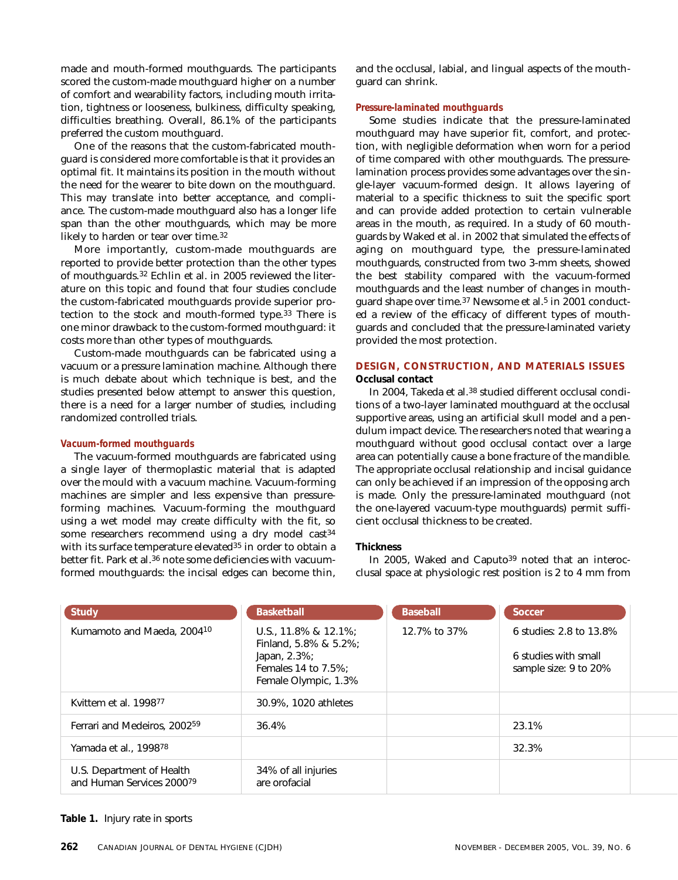made and mouth-formed mouthguards. The participants scored the custom-made mouthguard higher on a number of comfort and wearability factors, including mouth irritation, tightness or looseness, bulkiness, difficulty speaking, difficulties breathing. Overall, 86.1% of the participants preferred the custom mouthguard.

One of the reasons that the custom-fabricated mouthguard is considered more comfortable is that it provides an optimal fit. It maintains its position in the mouth without the need for the wearer to bite down on the mouthguard. This may translate into better acceptance, and compliance. The custom-made mouthguard also has a longer life span than the other mouthguards, which may be more likely to harden or tear over time.32

More importantly, custom-made mouthguards are reported to provide better protection than the other types of mouthguards.32 Echlin et al. in 2005 reviewed the literature on this topic and found that four studies conclude the custom-fabricated mouthguards provide superior protection to the stock and mouth-formed type.<sup>33</sup> There is one minor drawback to the custom-formed mouthguard: it costs more than other types of mouthguards.

Custom-made mouthguards can be fabricated using a vacuum or a pressure lamination machine. Although there is much debate about which technique is best, and the studies presented below attempt to answer this question, there is a need for a larger number of studies, including randomized controlled trials.

## *Vacuum-formed mouthguards*

The vacuum-formed mouthguards are fabricated using a single layer of thermoplastic material that is adapted over the mould with a vacuum machine. Vacuum-forming machines are simpler and less expensive than pressureforming machines. Vacuum-forming the mouthguard using a wet model may create difficulty with the fit, so some researchers recommend using a dry model cast<sup>34</sup> with its surface temperature elevated<sup>35</sup> in order to obtain a better fit. Park et al.36 note some deficiencies with vacuumformed mouthguards: the incisal edges can become thin, and the occlusal, labial, and lingual aspects of the mouthguard can shrink.

## *Pressure-laminated mouthguards*

Some studies indicate that the pressure-laminated mouthguard may have superior fit, comfort, and protection, with negligible deformation when worn for a period of time compared with other mouthguards. The pressurelamination process provides some advantages over the single-layer vacuum-formed design. It allows layering of material to a specific thickness to suit the specific sport and can provide added protection to certain vulnerable areas in the mouth, as required. In a study of 60 mouthguards by Waked et al. in 2002 that simulated the effects of aging on mouthguard type, the pressure-laminated mouthguards, constructed from two 3-mm sheets, showed the best stability compared with the vacuum-formed mouthguards and the least number of changes in mouthguard shape over time.37 Newsome et al.5 in 2001 conducted a review of the efficacy of different types of mouthguards and concluded that the pressure-laminated variety provided the most protection.

# **DESIGN, CONSTRUCTION, AND MATERIALS ISSUES Occlusal contact**

In 2004, Takeda et al.38 studied different occlusal conditions of a two-layer laminated mouthguard at the occlusal supportive areas, using an artificial skull model and a pendulum impact device. The researchers noted that wearing a mouthguard without good occlusal contact over a large area can potentially cause a bone fracture of the mandible. The appropriate occlusal relationship and incisal guidance can only be achieved if an impression of the opposing arch is made. Only the pressure-laminated mouthguard (not the one-layered vacuum-type mouthguards) permit sufficient occlusal thickness to be created.

## **Thickness**

In 2005, Waked and Caputo<sup>39</sup> noted that an interocclusal space at physiologic rest position is 2 to 4 mm from

| <b>Study</b>                                           | <b>Basketball</b>                                                                                                | <b>Baseball</b> | Soccer                                                                   |
|--------------------------------------------------------|------------------------------------------------------------------------------------------------------------------|-----------------|--------------------------------------------------------------------------|
| Kumamoto and Maeda, 200410                             | U.S., 11.8% & 12.1%;<br>Finland, 5.8% & 5.2%;<br>Japan, $2.3\%$ ;<br>Females 14 to 7.5%:<br>Female Olympic, 1.3% | 12.7% to 37%    | 6 studies: 2.8 to 13.8%<br>6 studies with small<br>sample size: 9 to 20% |
| Kvittem et al. 199877                                  | 30.9%, 1020 athletes                                                                                             |                 |                                                                          |
| Ferrari and Medeiros, 2002 <sup>59</sup>               | 36.4%                                                                                                            |                 | 23.1%                                                                    |
| Yamada et al., 199878                                  |                                                                                                                  |                 | 32.3%                                                                    |
| U.S. Department of Health<br>and Human Services 200079 | 34% of all injuries<br>are orofacial                                                                             |                 |                                                                          |

**Table 1.** Injury rate in sports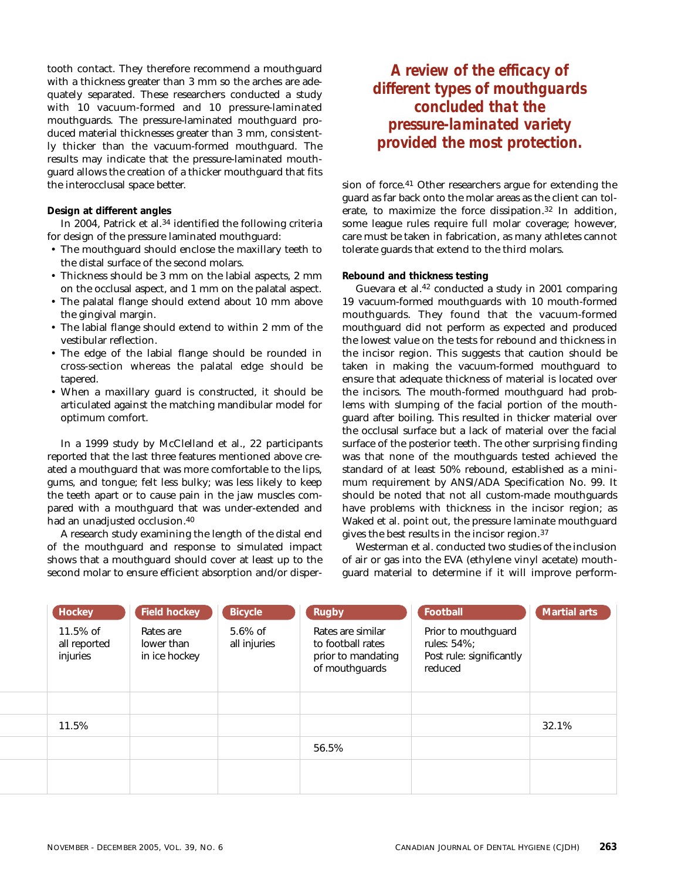tooth contact. They therefore recommend a mouthguard with a thickness greater than 3 mm so the arches are adequately separated. These researchers conducted a study with 10 vacuum-formed and 10 pressure-laminated mouthguards. The pressure-laminated mouthguard produced material thicknesses greater than 3 mm, consistently thicker than the vacuum-formed mouthguard. The results may indicate that the pressure-laminated mouthguard allows the creation of a thicker mouthguard that fits the interocclusal space better.

# **Design at different angles**

In 2004, Patrick et al.<sup>34</sup> identified the following criteria for design of the pressure laminated mouthguard:

- The mouthguard should enclose the maxillary teeth to the distal surface of the second molars.
- Thickness should be 3 mm on the labial aspects, 2 mm on the occlusal aspect, and 1 mm on the palatal aspect.
- The palatal flange should extend about 10 mm above the gingival margin.
- The labial flange should extend to within 2 mm of the vestibular reflection.
- The edge of the labial flange should be rounded in cross-section whereas the palatal edge should be tapered.
- When a maxillary guard is constructed, it should be articulated against the matching mandibular model for optimum comfort.

In a 1999 study by McClelland et al., 22 participants reported that the last three features mentioned above created a mouthguard that was more comfortable to the lips, gums, and tongue; felt less bulky; was less likely to keep the teeth apart or to cause pain in the jaw muscles compared with a mouthguard that was under-extended and had an unadjusted occlusion.40

A research study examining the length of the distal end of the mouthguard and response to simulated impact shows that a mouthguard should cover at least up to the second molar to ensure efficient absorption and/or disper-

*A review of the efficacy of different types of mouthguards concluded that the pressure-laminated variety provided the most protection.*

sion of force.41 Other researchers argue for extending the guard as far back onto the molar areas as the client can tolerate, to maximize the force dissipation.32 In addition, some league rules require full molar coverage; however, care must be taken in fabrication, as many athletes cannot tolerate guards that extend to the third molars.

# **Rebound and thickness testing**

Guevara et al.42 conducted a study in 2001 comparing 19 vacuum-formed mouthguards with 10 mouth-formed mouthguards. They found that the vacuum-formed mouthguard did not perform as expected and produced the lowest value on the tests for rebound and thickness in the incisor region. This suggests that caution should be taken in making the vacuum-formed mouthguard to ensure that adequate thickness of material is located over the incisors. The mouth-formed mouthguard had problems with slumping of the facial portion of the mouthguard after boiling. This resulted in thicker material over the occlusal surface but a lack of material over the facial surface of the posterior teeth. The other surprising finding was that none of the mouthguards tested achieved the standard of at least 50% rebound, established as a minimum requirement by ANSI/ADA Specification No. 99. It should be noted that not all custom-made mouthguards have problems with thickness in the incisor region; as Waked et al. point out, the pressure laminate mouthguard gives the best results in the incisor region.37

Westerman et al. conducted two studies of the inclusion of air or gas into the EVA (ethylene vinyl acetate) mouthguard material to determine if it will improve perform-

| <b>Hockey</b>                           | <b>Field hockey</b>                      | <b>Bicycle</b>             | <b>Rugby</b>                                                                   | Football                                                                  | <b>Martial arts</b> |
|-----------------------------------------|------------------------------------------|----------------------------|--------------------------------------------------------------------------------|---------------------------------------------------------------------------|---------------------|
| $11.5\%$ of<br>all reported<br>injuries | Rates are<br>lower than<br>in ice hockey | $5.6\%$ of<br>all injuries | Rates are similar<br>to football rates<br>prior to mandating<br>of mouthguards | Prior to mouthguard<br>rules: 54%;<br>Post rule: significantly<br>reduced |                     |
|                                         |                                          |                            |                                                                                |                                                                           |                     |
| 11.5%                                   |                                          |                            |                                                                                |                                                                           | 32.1%               |
|                                         |                                          |                            | 56.5%                                                                          |                                                                           |                     |
|                                         |                                          |                            |                                                                                |                                                                           |                     |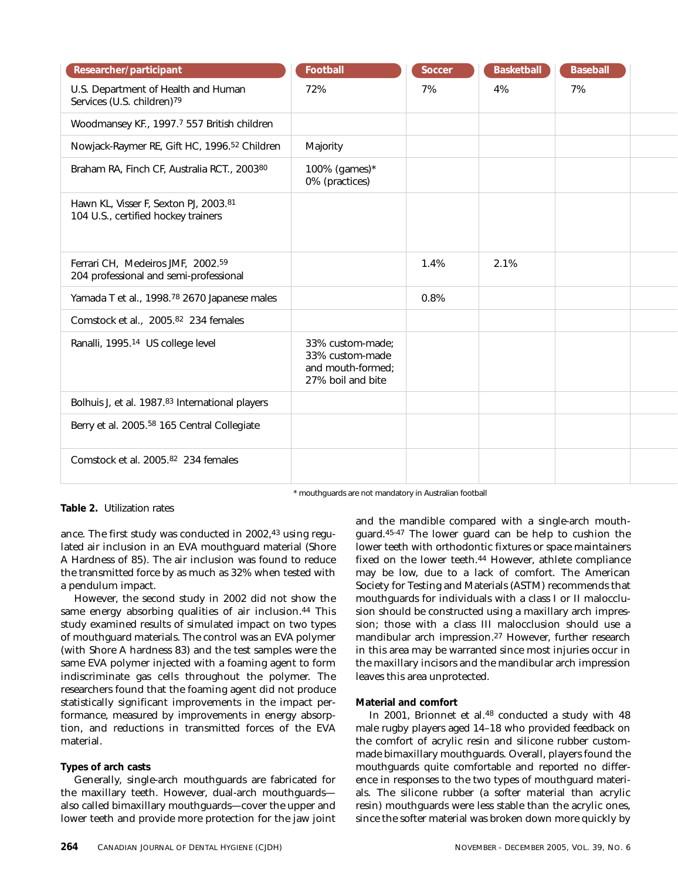| Researcher/participant                                                        | <b>Football</b>                                                               | Soccer | <b>Basketball</b> | <b>Baseball</b> |  |
|-------------------------------------------------------------------------------|-------------------------------------------------------------------------------|--------|-------------------|-----------------|--|
| U.S. Department of Health and Human<br>Services (U.S. children) <sup>79</sup> | 72%                                                                           | 7%     | 4%                | 7%              |  |
| Woodmansey KF., 1997.7 557 British children                                   |                                                                               |        |                   |                 |  |
| Nowjack-Raymer RE, Gift HC, 1996. <sup>52</sup> Children                      | Majority                                                                      |        |                   |                 |  |
| Braham RA, Finch CF, Australia RCT., 200380                                   | 100% (games)*<br>0% (practices)                                               |        |                   |                 |  |
| Hawn KL, Visser F, Sexton PJ, 2003.81<br>104 U.S., certified hockey trainers  |                                                                               |        |                   |                 |  |
| Ferrari CH, Medeiros JMF, 2002.59<br>204 professional and semi-professional   |                                                                               | 1.4%   | 2.1%              |                 |  |
| Yamada T et al., 1998. <sup>78</sup> 2670 Japanese males                      |                                                                               | 0.8%   |                   |                 |  |
| Comstock et al., 2005.82 234 females                                          |                                                                               |        |                   |                 |  |
| Ranalli, 1995. <sup>14</sup> US college level                                 | 33% custom-made:<br>33% custom-made<br>and mouth-formed;<br>27% boil and bite |        |                   |                 |  |
| Bolhuis J, et al. 1987.83 International players                               |                                                                               |        |                   |                 |  |
| Berry et al. 2005. <sup>58</sup> 165 Central Collegiate                       |                                                                               |        |                   |                 |  |
| Comstock et al. 2005.82 234 females                                           |                                                                               |        |                   |                 |  |

**Table 2.** Utilization rates

ance. The first study was conducted in 2002,43 using regulated air inclusion in an EVA mouthguard material (Shore A Hardness of 85). The air inclusion was found to reduce the transmitted force by as much as 32% when tested with a pendulum impact.

However, the second study in 2002 did not show the same energy absorbing qualities of air inclusion.<sup>44</sup> This study examined results of simulated impact on two types of mouthguard materials. The control was an EVA polymer (with Shore A hardness 83) and the test samples were the same EVA polymer injected with a foaming agent to form indiscriminate gas cells throughout the polymer. The researchers found that the foaming agent did not produce statistically significant improvements in the impact performance, measured by improvements in energy absorption, and reductions in transmitted forces of the EVA material.

# **Types of arch casts**

Generally, single-arch mouthguards are fabricated for the maxillary teeth. However, dual-arch mouthguards also called bimaxillary mouthguards—cover the upper and lower teeth and provide more protection for the jaw joint and the mandible compared with a single-arch mouthguard.45-47 The lower guard can be help to cushion the lower teeth with orthodontic fixtures or space maintainers fixed on the lower teeth.44 However, athlete compliance may be low, due to a lack of comfort. The American Society for Testing and Materials (ASTM) recommends that mouthguards for individuals with a class I or II malocclusion should be constructed using a maxillary arch impression; those with a class III malocclusion should use a mandibular arch impression.27 However, further research in this area may be warranted since most injuries occur in the maxillary incisors and the mandibular arch impression leaves this area unprotected.

# **Material and comfort**

\* mouthguards are not mandatory in Australian football

In 2001, Brionnet et al.48 conducted a study with 48 male rugby players aged 14–18 who provided feedback on the comfort of acrylic resin and silicone rubber custommade bimaxillary mouthguards. Overall, players found the mouthguards quite comfortable and reported no difference in responses to the two types of mouthguard materials. The silicone rubber (a softer material than acrylic resin) mouthguards were less stable than the acrylic ones, since the softer material was broken down more quickly by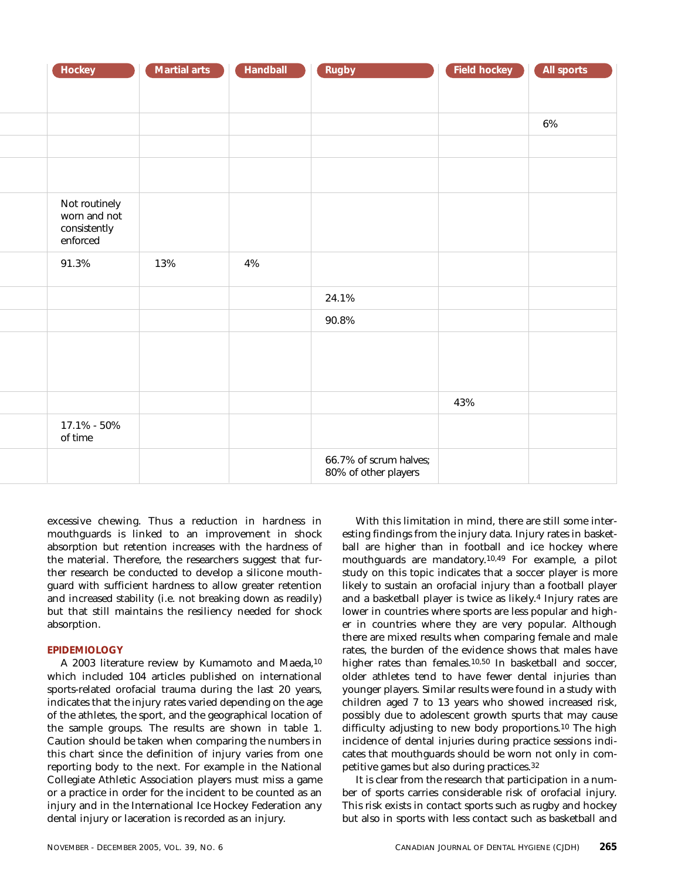| Hockey                                                    | <b>Martial arts</b> | Handball | Rugby                                          | <b>Field hockey</b> | All sports |
|-----------------------------------------------------------|---------------------|----------|------------------------------------------------|---------------------|------------|
|                                                           |                     |          |                                                |                     |            |
|                                                           |                     |          |                                                |                     | $6\%$      |
|                                                           |                     |          |                                                |                     |            |
|                                                           |                     |          |                                                |                     |            |
| Not routinely<br>worn and not<br>consistently<br>enforced |                     |          |                                                |                     |            |
| 91.3%                                                     | 13%                 | $4\%$    |                                                |                     |            |
|                                                           |                     |          | 24.1%                                          |                     |            |
|                                                           |                     |          | 90.8%                                          |                     |            |
|                                                           |                     |          |                                                |                     |            |
|                                                           |                     |          |                                                | 43%                 |            |
| 17.1% - 50%<br>of time                                    |                     |          |                                                |                     |            |
|                                                           |                     |          | 66.7% of scrum halves;<br>80% of other players |                     |            |

excessive chewing. Thus a reduction in hardness in mouthguards is linked to an improvement in shock absorption but retention increases with the hardness of the material. Therefore, the researchers suggest that further research be conducted to develop a silicone mouthguard with sufficient hardness to allow greater retention and increased stability (i.e. not breaking down as readily) but that still maintains the resiliency needed for shock absorption.

## **EPIDEMIOLOGY**

A 2003 literature review by Kumamoto and Maeda,10 which included 104 articles published on international sports-related orofacial trauma during the last 20 years, indicates that the injury rates varied depending on the age of the athletes, the sport, and the geographical location of the sample groups. The results are shown in table 1. Caution should be taken when comparing the numbers in this chart since the definition of injury varies from one reporting body to the next. For example in the National Collegiate Athletic Association players must miss a game or a practice in order for the incident to be counted as an injury and in the International Ice Hockey Federation any dental injury or laceration is recorded as an injury.

With this limitation in mind, there are still some interesting findings from the injury data. Injury rates in basketball are higher than in football and ice hockey where mouthguards are mandatory.10,49 For example, a pilot study on this topic indicates that a soccer player is more likely to sustain an orofacial injury than a football player and a basketball player is twice as likely.4 Injury rates are lower in countries where sports are less popular and higher in countries where they are very popular. Although there are mixed results when comparing female and male rates, the burden of the evidence shows that males have higher rates than females.<sup>10,50</sup> In basketball and soccer, older athletes tend to have fewer dental injuries than younger players. Similar results were found in a study with children aged 7 to 13 years who showed increased risk, possibly due to adolescent growth spurts that may cause difficulty adjusting to new body proportions.10 The high incidence of dental injuries during practice sessions indicates that mouthguards should be worn not only in competitive games but also during practices.32

It is clear from the research that participation in a number of sports carries considerable risk of orofacial injury. This risk exists in contact sports such as rugby and hockey but also in sports with less contact such as basketball and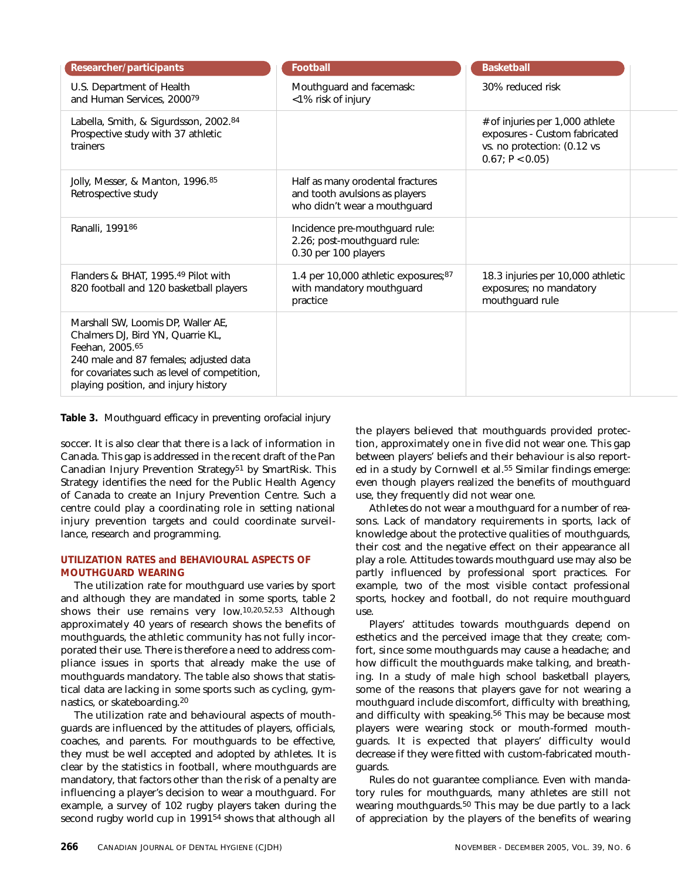| Researcher/participants                                                                                                                                                                                                      | <b>Football</b>                                                                                    | <b>Basketball</b>                                                                                                 |  |
|------------------------------------------------------------------------------------------------------------------------------------------------------------------------------------------------------------------------------|----------------------------------------------------------------------------------------------------|-------------------------------------------------------------------------------------------------------------------|--|
| U.S. Department of Health<br>and Human Services, 200079                                                                                                                                                                      | Mouthguard and facemask:<br><1% risk of injury                                                     | 30% reduced risk                                                                                                  |  |
| Labella, Smith, & Sigurdsson, 2002.84<br>Prospective study with 37 athletic<br>trainers                                                                                                                                      |                                                                                                    | # of injuries per 1,000 athlete<br>exposures - Custom fabricated<br>vs. no protection: (0.12 vs<br>0.67; P < 0.05 |  |
| Jolly, Messer, & Manton, 1996.85<br>Retrospective study                                                                                                                                                                      | Half as many orodental fractures<br>and tooth avulsions as players<br>who didn't wear a mouthguard |                                                                                                                   |  |
| Ranalli, 199186                                                                                                                                                                                                              | Incidence pre-mouthguard rule:<br>2.26; post-mouthguard rule:<br>0.30 per 100 players              |                                                                                                                   |  |
| Flanders & BHAT, 1995.49 Pilot with<br>820 football and 120 basketball players                                                                                                                                               | 1.4 per 10,000 athletic exposures;87<br>with mandatory mouthguard<br>practice                      | 18.3 injuries per 10,000 athletic<br>exposures; no mandatory<br>mouthguard rule                                   |  |
| Marshall SW, Loomis DP, Waller AE,<br>Chalmers DJ, Bird YN, Quarrie KL,<br>Feehan, 2005.65<br>240 male and 87 females; adjusted data<br>for covariates such as level of competition,<br>playing position, and injury history |                                                                                                    |                                                                                                                   |  |

**Table 3.** Mouthguard efficacy in preventing orofacial injury

soccer. It is also clear that there is a lack of information in Canada. This gap is addressed in the recent draft of the Pan Canadian Injury Prevention Strategy<sup>51</sup> by SmartRisk. This Strategy identifies the need for the Public Health Agency of Canada to create an Injury Prevention Centre. Such a centre could play a coordinating role in setting national injury prevention targets and could coordinate surveillance, research and programming.

# **UTILIZATION RATES and BEHAVIOURAL ASPECTS OF MOUTHGUARD WEARING**

The utilization rate for mouthguard use varies by sport and although they are mandated in some sports, table 2 shows their use remains very low.10,20,52,53 Although approximately 40 years of research shows the benefits of mouthguards, the athletic community has not fully incorporated their use. There is therefore a need to address compliance issues in sports that already make the use of mouthguards mandatory. The table also shows that statistical data are lacking in some sports such as cycling, gymnastics, or skateboarding.20

The utilization rate and behavioural aspects of mouthguards are influenced by the attitudes of players, officials, coaches, and parents. For mouthguards to be effective, they must be well accepted and adopted by athletes. It is clear by the statistics in football, where mouthguards are mandatory, that factors other than the risk of a penalty are influencing a player's decision to wear a mouthguard. For example, a survey of 102 rugby players taken during the second rugby world cup in 1991<sup>54</sup> shows that although all the players believed that mouthguards provided protection, approximately one in five did not wear one. This gap between players' beliefs and their behaviour is also reported in a study by Cornwell et al.<sup>55</sup> Similar findings emerge: even though players realized the benefits of mouthguard use, they frequently did not wear one.

Athletes do not wear a mouthguard for a number of reasons. Lack of mandatory requirements in sports, lack of knowledge about the protective qualities of mouthguards, their cost and the negative effect on their appearance all play a role. Attitudes towards mouthguard use may also be partly influenced by professional sport practices. For example, two of the most visible contact professional sports, hockey and football, do not require mouthguard use.

Players' attitudes towards mouthguards depend on esthetics and the perceived image that they create; comfort, since some mouthguards may cause a headache; and how difficult the mouthguards make talking, and breathing. In a study of male high school basketball players, some of the reasons that players gave for not wearing a mouthguard include discomfort, difficulty with breathing, and difficulty with speaking.<sup>56</sup> This may be because most players were wearing stock or mouth-formed mouthguards. It is expected that players' difficulty would decrease if they were fitted with custom-fabricated mouthguards.

Rules do not guarantee compliance. Even with mandatory rules for mouthguards, many athletes are still not wearing mouthguards.50 This may be due partly to a lack of appreciation by the players of the benefits of wearing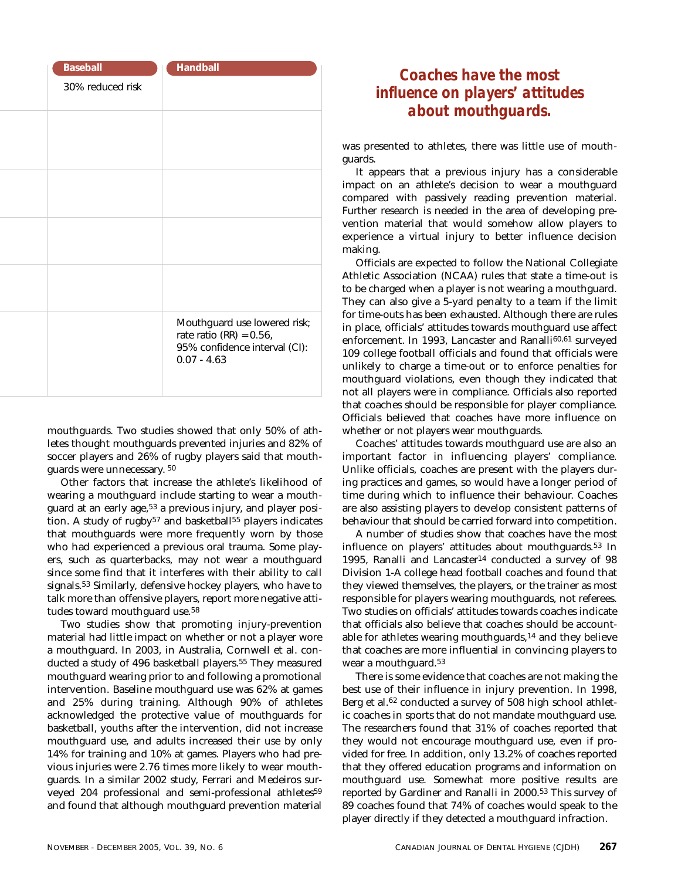| <b>Baseball</b>  | <b>Handball</b>                                                                                              |
|------------------|--------------------------------------------------------------------------------------------------------------|
| 30% reduced risk |                                                                                                              |
|                  |                                                                                                              |
|                  |                                                                                                              |
|                  |                                                                                                              |
|                  |                                                                                                              |
|                  |                                                                                                              |
|                  |                                                                                                              |
|                  |                                                                                                              |
|                  | Mouthguard use lowered risk;<br>rate ratio (RR) = $0.56$ ,<br>95% confidence interval (CI):<br>$0.07 - 4.63$ |

mouthguards. Two studies showed that only 50% of athletes thought mouthguards prevented injuries and 82% of soccer players and 26% of rugby players said that mouthguards were unnecessary. 50

Other factors that increase the athlete's likelihood of wearing a mouthguard include starting to wear a mouthguard at an early age,<sup>53</sup> a previous injury, and player position. A study of rugby<sup>57</sup> and basketball<sup>55</sup> players indicates that mouthguards were more frequently worn by those who had experienced a previous oral trauma. Some players, such as quarterbacks, may not wear a mouthguard since some find that it interferes with their ability to call signals.53 Similarly, defensive hockey players, who have to talk more than offensive players, report more negative attitudes toward mouthguard use.58

Two studies show that promoting injury-prevention material had little impact on whether or not a player wore a mouthguard. In 2003, in Australia, Cornwell et al. conducted a study of 496 basketball players.<sup>55</sup> They measured mouthguard wearing prior to and following a promotional intervention. Baseline mouthguard use was 62% at games and 25% during training. Although 90% of athletes acknowledged the protective value of mouthguards for basketball, youths after the intervention, did not increase mouthguard use, and adults increased their use by only 14% for training and 10% at games. Players who had previous injuries were 2.76 times more likely to wear mouthguards. In a similar 2002 study, Ferrari and Medeiros surveyed 204 professional and semi-professional athletes59 and found that although mouthguard prevention material

# *Coaches have the most influence on players' attitudes about mouthguards.*

was presented to athletes, there was little use of mouthguards.

It appears that a previous injury has a considerable impact on an athlete's decision to wear a mouthguard compared with passively reading prevention material. Further research is needed in the area of developing prevention material that would somehow allow players to experience a virtual injury to better influence decision making.

Officials are expected to follow the National Collegiate Athletic Association (NCAA) rules that state a time-out is to be charged when a player is not wearing a mouthguard. They can also give a 5-yard penalty to a team if the limit for time-outs has been exhausted. Although there are rules in place, officials' attitudes towards mouthguard use affect enforcement. In 1993, Lancaster and Ranalli<sup>60,61</sup> surveyed 109 college football officials and found that officials were unlikely to charge a time-out or to enforce penalties for mouthguard violations, even though they indicated that not all players were in compliance. Officials also reported that coaches should be responsible for player compliance. Officials believed that coaches have more influence on whether or not players wear mouthguards.

Coaches' attitudes towards mouthguard use are also an important factor in influencing players' compliance. Unlike officials, coaches are present with the players during practices and games, so would have a longer period of time during which to influence their behaviour. Coaches are also assisting players to develop consistent patterns of behaviour that should be carried forward into competition.

A number of studies show that coaches have the most influence on players' attitudes about mouthguards.53 In 1995, Ranalli and Lancaster14 conducted a survey of 98 Division 1-A college head football coaches and found that they viewed themselves, the players, or the trainer as most responsible for players wearing mouthguards, not referees. Two studies on officials' attitudes towards coaches indicate that officials also believe that coaches should be accountable for athletes wearing mouthguards,14 and they believe that coaches are more influential in convincing players to wear a mouthguard.53

There is some evidence that coaches are not making the best use of their influence in injury prevention. In 1998, Berg et al.62 conducted a survey of 508 high school athletic coaches in sports that do not mandate mouthguard use. The researchers found that 31% of coaches reported that they would not encourage mouthguard use, even if provided for free. In addition, only 13.2% of coaches reported that they offered education programs and information on mouthguard use. Somewhat more positive results are reported by Gardiner and Ranalli in 2000.53 This survey of 89 coaches found that 74% of coaches would speak to the player directly if they detected a mouthguard infraction.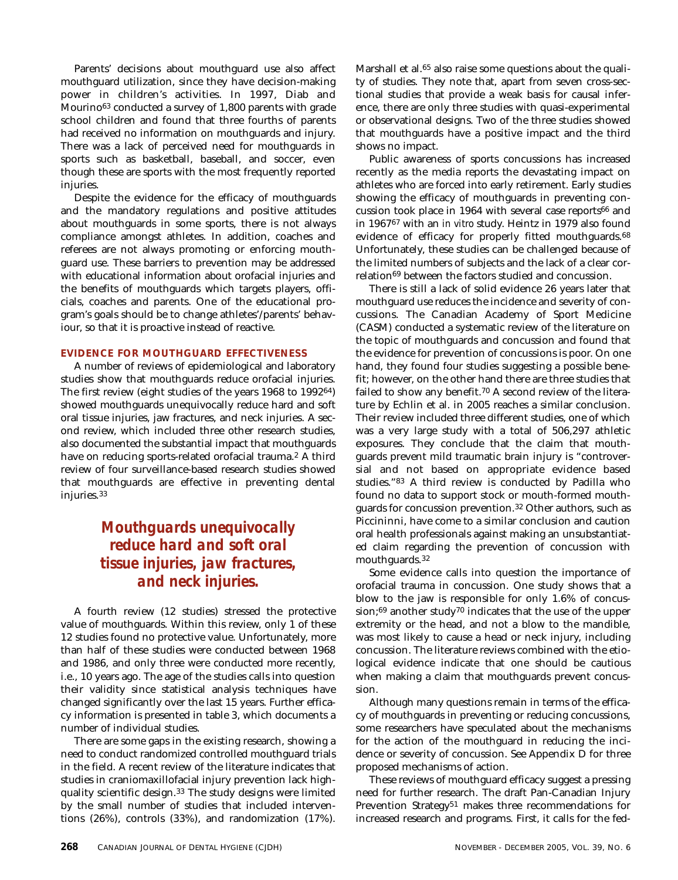Parents' decisions about mouthguard use also affect mouthguard utilization, since they have decision-making power in children's activities. In 1997, Diab and Mourino63 conducted a survey of 1,800 parents with grade school children and found that three fourths of parents had received no information on mouthguards and injury. There was a lack of perceived need for mouthguards in sports such as basketball, baseball, and soccer, even though these are sports with the most frequently reported injuries.

Despite the evidence for the efficacy of mouthguards and the mandatory regulations and positive attitudes about mouthguards in some sports, there is not always compliance amongst athletes. In addition, coaches and referees are not always promoting or enforcing mouthguard use. These barriers to prevention may be addressed with educational information about orofacial injuries and the benefits of mouthguards which targets players, officials, coaches and parents. One of the educational program's goals should be to change athletes'/parents' behaviour, so that it is proactive instead of reactive.

# **EVIDENCE FOR MOUTHGUARD EFFECTIVENESS**

A number of reviews of epidemiological and laboratory studies show that mouthguards reduce orofacial injuries. The first review (eight studies of the years 1968 to 199264) showed mouthguards unequivocally reduce hard and soft oral tissue injuries, jaw fractures, and neck injuries. A second review, which included three other research studies, also documented the substantial impact that mouthguards have on reducing sports-related orofacial trauma.2 A third review of four surveillance-based research studies showed that mouthguards are effective in preventing dental injuries.33

# *Mouthguards unequivocally reduce hard and soft oral tissue injuries, jaw fractures, and neck injuries.*

A fourth review (12 studies) stressed the protective value of mouthguards. Within this review, only 1 of these 12 studies found no protective value. Unfortunately, more than half of these studies were conducted between 1968 and 1986, and only three were conducted more recently, i.e., 10 years ago. The age of the studies calls into question their validity since statistical analysis techniques have changed significantly over the last 15 years. Further efficacy information is presented in table 3, which documents a number of individual studies.

There are some gaps in the existing research, showing a need to conduct randomized controlled mouthguard trials in the field. A recent review of the literature indicates that studies in craniomaxillofacial injury prevention lack highquality scientific design.33 The study designs were limited by the small number of studies that included interventions (26%), controls (33%), and randomization (17%). Marshall et al.<sup>65</sup> also raise some questions about the quality of studies. They note that, apart from seven cross-sectional studies that provide a weak basis for causal inference, there are only three studies with quasi-experimental or observational designs. Two of the three studies showed that mouthguards have a positive impact and the third shows no impact.

Public awareness of sports concussions has increased recently as the media reports the devastating impact on athletes who are forced into early retirement. Early studies showing the efficacy of mouthguards in preventing concussion took place in 1964 with several case reports66 and in 196767 with an *in vitro* study. Heintz in 1979 also found evidence of efficacy for properly fitted mouthguards.<sup>68</sup> Unfortunately, these studies can be challenged because of the limited numbers of subjects and the lack of a clear correlation<sup>69</sup> between the factors studied and concussion.

There is still a lack of solid evidence 26 years later that mouthguard use reduces the incidence and severity of concussions. The Canadian Academy of Sport Medicine (CASM) conducted a systematic review of the literature on the topic of mouthguards and concussion and found that the evidence for prevention of concussions is poor. On one hand, they found four studies suggesting a possible benefit; however, on the other hand there are three studies that failed to show any benefit.70 A second review of the literature by Echlin et al. in 2005 reaches a similar conclusion. Their review included three different studies, one of which was a very large study with a total of 506,297 athletic exposures. They conclude that the claim that mouthguards prevent mild traumatic brain injury is "controversial and not based on appropriate evidence based studies."83 A third review is conducted by Padilla who found no data to support stock or mouth-formed mouthguards for concussion prevention.32 Other authors, such as Piccininni, have come to a similar conclusion and caution oral health professionals against making an unsubstantiated claim regarding the prevention of concussion with mouthguards.32

Some evidence calls into question the importance of orofacial trauma in concussion. One study shows that a blow to the jaw is responsible for only 1.6% of concussion;69 another study70 indicates that the use of the upper extremity or the head, and not a blow to the mandible, was most likely to cause a head or neck injury, including concussion. The literature reviews combined with the etiological evidence indicate that one should be cautious when making a claim that mouthguards prevent concussion.

Although many questions remain in terms of the efficacy of mouthguards in preventing or reducing concussions, some researchers have speculated about the mechanisms for the action of the mouthguard in reducing the incidence or severity of concussion. See Appendix D for three proposed mechanisms of action.

These reviews of mouthguard efficacy suggest a pressing need for further research. The draft Pan-Canadian Injury Prevention Strategy<sup>51</sup> makes three recommendations for increased research and programs. First, it calls for the fed-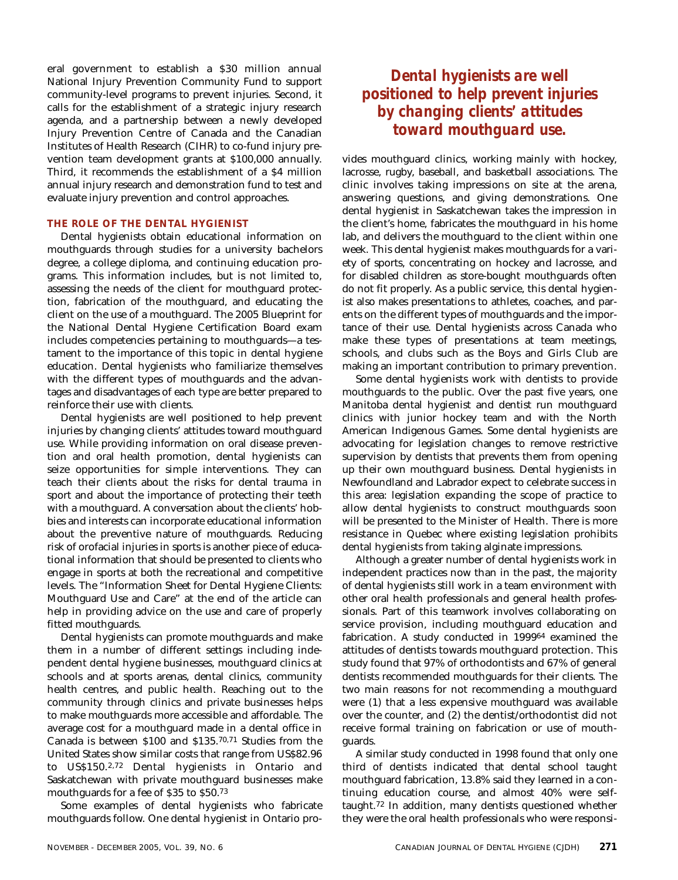eral government to establish a \$30 million annual National Injury Prevention Community Fund to support community-level programs to prevent injuries. Second, it calls for the establishment of a strategic injury research agenda, and a partnership between a newly developed Injury Prevention Centre of Canada and the Canadian Institutes of Health Research (CIHR) to co-fund injury prevention team development grants at \$100,000 annually. Third, it recommends the establishment of a \$4 million annual injury research and demonstration fund to test and evaluate injury prevention and control approaches.

# **THE ROLE OF THE DENTAL HYGIENIST**

Dental hygienists obtain educational information on mouthguards through studies for a university bachelors degree, a college diploma, and continuing education programs. This information includes, but is not limited to, assessing the needs of the client for mouthguard protection, fabrication of the mouthguard, and educating the client on the use of a mouthguard. The 2005 Blueprint for the National Dental Hygiene Certification Board exam includes competencies pertaining to mouthguards—a testament to the importance of this topic in dental hygiene education. Dental hygienists who familiarize themselves with the different types of mouthguards and the advantages and disadvantages of each type are better prepared to reinforce their use with clients.

Dental hygienists are well positioned to help prevent injuries by changing clients' attitudes toward mouthguard use. While providing information on oral disease prevention and oral health promotion, dental hygienists can seize opportunities for simple interventions. They can teach their clients about the risks for dental trauma in sport and about the importance of protecting their teeth with a mouthguard. A conversation about the clients' hobbies and interests can incorporate educational information about the preventive nature of mouthguards. Reducing risk of orofacial injuries in sports is another piece of educational information that should be presented to clients who engage in sports at both the recreational and competitive levels. The "Information Sheet for Dental Hygiene Clients: Mouthguard Use and Care" at the end of the article can help in providing advice on the use and care of properly fitted mouthguards.

Dental hygienists can promote mouthguards and make them in a number of different settings including independent dental hygiene businesses, mouthguard clinics at schools and at sports arenas, dental clinics, community health centres, and public health. Reaching out to the community through clinics and private businesses helps to make mouthguards more accessible and affordable. The average cost for a mouthguard made in a dental office in Canada is between \$100 and \$135.70,71 Studies from the United States show similar costs that range from US\$82.96 to US\$150.2,72 Dental hygienists in Ontario and Saskatchewan with private mouthguard businesses make mouthguards for a fee of \$35 to \$50.73

Some examples of dental hygienists who fabricate mouthguards follow. One dental hygienist in Ontario pro-

# *Dental hygienists are well positioned to help prevent injuries by changing clients' attitudes toward mouthguard use.*

vides mouthguard clinics, working mainly with hockey, lacrosse, rugby, baseball, and basketball associations. The clinic involves taking impressions on site at the arena, answering questions, and giving demonstrations. One dental hygienist in Saskatchewan takes the impression in the client's home, fabricates the mouthguard in his home lab, and delivers the mouthguard to the client within one week. This dental hygienist makes mouthguards for a variety of sports, concentrating on hockey and lacrosse, and for disabled children as store-bought mouthguards often do not fit properly. As a public service, this dental hygienist also makes presentations to athletes, coaches, and parents on the different types of mouthguards and the importance of their use. Dental hygienists across Canada who make these types of presentations at team meetings, schools, and clubs such as the Boys and Girls Club are making an important contribution to primary prevention.

Some dental hygienists work with dentists to provide mouthguards to the public. Over the past five years, one Manitoba dental hygienist and dentist run mouthguard clinics with junior hockey team and with the North American Indigenous Games. Some dental hygienists are advocating for legislation changes to remove restrictive supervision by dentists that prevents them from opening up their own mouthguard business. Dental hygienists in Newfoundland and Labrador expect to celebrate success in this area: legislation expanding the scope of practice to allow dental hygienists to construct mouthguards soon will be presented to the Minister of Health. There is more resistance in Quebec where existing legislation prohibits dental hygienists from taking alginate impressions.

Although a greater number of dental hygienists work in independent practices now than in the past, the majority of dental hygienists still work in a team environment with other oral health professionals and general health professionals. Part of this teamwork involves collaborating on service provision, including mouthguard education and fabrication. A study conducted in 199964 examined the attitudes of dentists towards mouthguard protection. This study found that 97% of orthodontists and 67% of general dentists recommended mouthguards for their clients. The two main reasons for not recommending a mouthguard were (1) that a less expensive mouthguard was available over the counter, and (2) the dentist/orthodontist did not receive formal training on fabrication or use of mouthguards.

A similar study conducted in 1998 found that only one third of dentists indicated that dental school taught mouthguard fabrication, 13.8% said they learned in a continuing education course, and almost 40% were selftaught.72 In addition, many dentists questioned whether they were the oral health professionals who were responsi-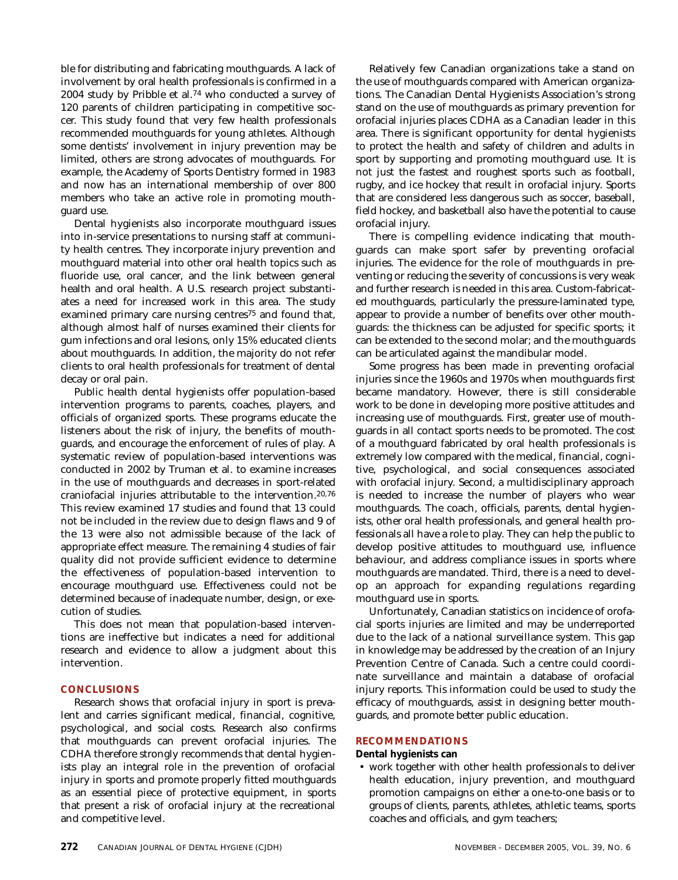ble for distributing and fabricating mouthguards. A lack of involvement by oral health professionals is confirmed in a 2004 study by Pribble et al.74 who conducted a survey of 120 parents of children participating in competitive soccer. This study found that very few health professionals recommended mouthguards for young athletes. Although some dentists' involvement in injury prevention may be limited, others are strong advocates of mouthguards. For example, the Academy of Sports Dentistry formed in 1983 and now has an international membership of over 800 members who take an active role in promoting mouthguard use.

Dental hygienists also incorporate mouthguard issues into in-service presentations to nursing staff at community health centres. They incorporate injury prevention and mouthguard material into other oral health topics such as fluoride use, oral cancer, and the link between general health and oral health. A U.S. research project substantiates a need for increased work in this area. The study examined primary care nursing centres<sup>75</sup> and found that, although almost half of nurses examined their clients for gum infections and oral lesions, only 15% educated clients about mouthguards. In addition, the majority do not refer clients to oral health professionals for treatment of dental decay or oral pain.

Public health dental hygienists offer population-based intervention programs to parents, coaches, players, and officials of organized sports. These programs educate the listeners about the risk of injury, the benefits of mouthguards, and encourage the enforcement of rules of play. A systematic review of population-based interventions was conducted in 2002 by Truman et al. to examine increases in the use of mouthguards and decreases in sport-related craniofacial injuries attributable to the intervention.20,76 This review examined 17 studies and found that 13 could not be included in the review due to design flaws and 9 of the 13 were also not admissible because of the lack of appropriate effect measure. The remaining 4 studies of fair quality did not provide sufficient evidence to determine the effectiveness of population-based intervention to encourage mouthguard use. Effectiveness could not be determined because of inadequate number, design, or execution of studies.

This does not mean that population-based interventions are ineffective but indicates a need for additional research and evidence to allow a judgment about this intervention.

## **CONCLUSIONS**

Research shows that orofacial injury in sport is prevalent and carries significant medical, financial, cognitive, psychological, and social costs. Research also confirms that mouthguards can prevent orofacial injuries. The CDHA therefore strongly recommends that dental hygienists play an integral role in the prevention of orofacial injury in sports and promote properly fitted mouthguards as an essential piece of protective equipment, in sports that present a risk of orofacial injury at the recreational and competitive level.

Relatively few Canadian organizations take a stand on the use of mouthguards compared with American organizations. The Canadian Dental Hygienists Association's strong stand on the use of mouthguards as primary prevention for orofacial injuries places CDHA as a Canadian leader in this area. There is significant opportunity for dental hygienists to protect the health and safety of children and adults in sport by supporting and promoting mouthguard use. It is not just the fastest and roughest sports such as football, rugby, and ice hockey that result in orofacial injury. Sports that are considered less dangerous such as soccer, baseball, field hockey, and basketball also have the potential to cause orofacial injury.

There is compelling evidence indicating that mouthguards can make sport safer by preventing orofacial injuries. The evidence for the role of mouthguards in preventing or reducing the severity of concussions is very weak and further research is needed in this area. Custom-fabricated mouthguards, particularly the pressure-laminated type, appear to provide a number of benefits over other mouthguards: the thickness can be adjusted for specific sports; it can be extended to the second molar; and the mouthguards can be articulated against the mandibular model.

Some progress has been made in preventing orofacial injuries since the 1960s and 1970s when mouthguards first became mandatory. However, there is still considerable work to be done in developing more positive attitudes and increasing use of mouthguards. First, greater use of mouthguards in all contact sports needs to be promoted. The cost of a mouthguard fabricated by oral health professionals is extremely low compared with the medical, financial, cognitive, psychological, and social consequences associated with orofacial injury. Second, a multidisciplinary approach is needed to increase the number of players who wear mouthguards. The coach, officials, parents, dental hygienists, other oral health professionals, and general health professionals all have a role to play. They can help the public to develop positive attitudes to mouthguard use, influence behaviour, and address compliance issues in sports where mouthguards are mandated. Third, there is a need to develop an approach for expanding regulations regarding mouthguard use in sports.

Unfortunately, Canadian statistics on incidence of orofacial sports injuries are limited and may be underreported due to the lack of a national surveillance system. This gap in knowledge may be addressed by the creation of an Injury Prevention Centre of Canada. Such a centre could coordinate surveillance and maintain a database of orofacial injury reports. This information could be used to study the efficacy of mouthguards, assist in designing better mouthguards, and promote better public education.

# **RECOMMENDATIONS**

**Dental hygienists can**

• work together with other health professionals to deliver health education, injury prevention, and mouthguard promotion campaigns on either a one-to-one basis or to groups of clients, parents, athletes, athletic teams, sports coaches and officials, and gym teachers;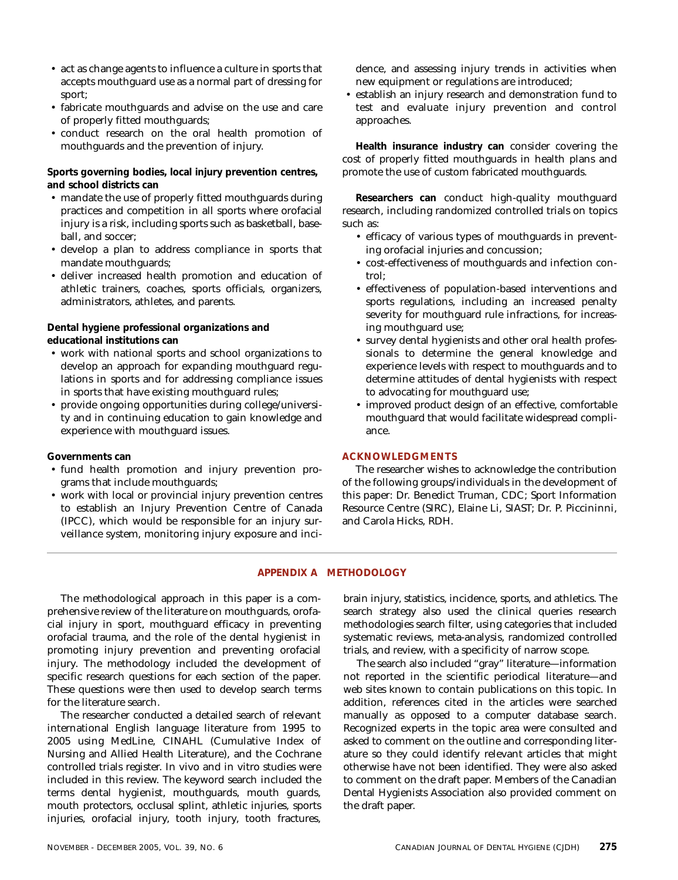- act as change agents to influence a culture in sports that accepts mouthguard use as a normal part of dressing for sport;
- fabricate mouthguards and advise on the use and care of properly fitted mouthguards;
- conduct research on the oral health promotion of mouthguards and the prevention of injury.

**Sports governing bodies, local injury prevention centres, and school districts can**

- mandate the use of properly fitted mouthguards during practices and competition in all sports where orofacial injury is a risk, including sports such as basketball, baseball, and soccer;
- develop a plan to address compliance in sports that mandate mouthguards;
- deliver increased health promotion and education of athletic trainers, coaches, sports officials, organizers, administrators, athletes, and parents.

**Dental hygiene professional organizations and educational institutions can**

- work with national sports and school organizations to develop an approach for expanding mouthguard regulations in sports and for addressing compliance issues in sports that have existing mouthguard rules;
- provide ongoing opportunities during college/university and in continuing education to gain knowledge and experience with mouthguard issues.

**Governments can**

- fund health promotion and injury prevention programs that include mouthguards;
- work with local or provincial injury prevention centres to establish an Injury Prevention Centre of Canada (IPCC), which would be responsible for an injury surveillance system, monitoring injury exposure and inci-

dence, and assessing injury trends in activities when new equipment or regulations are introduced;

• establish an injury research and demonstration fund to test and evaluate injury prevention and control approaches.

**Health insurance industry can** consider covering the cost of properly fitted mouthguards in health plans and promote the use of custom fabricated mouthguards.

**Researchers can** conduct high-quality mouthguard research, including randomized controlled trials on topics such as:

- efficacy of various types of mouthguards in preventing orofacial injuries and concussion;
- cost-effectiveness of mouthguards and infection control;
- effectiveness of population-based interventions and sports regulations, including an increased penalty severity for mouthguard rule infractions, for increasing mouthguard use;
- survey dental hygienists and other oral health professionals to determine the general knowledge and experience levels with respect to mouthguards and to determine attitudes of dental hygienists with respect to advocating for mouthguard use;
- improved product design of an effective, comfortable mouthguard that would facilitate widespread compliance.

# **ACKNOWLEDGMENTS**

The researcher wishes to acknowledge the contribution of the following groups/individuals in the development of this paper: Dr. Benedict Truman, CDC; Sport Information Resource Centre (SIRC), Elaine Li, SIAST; Dr. P. Piccininni, and Carola Hicks, RDH.

## **APPENDIX A METHODOLOGY**

The methodological approach in this paper is a comprehensive review of the literature on mouthguards, orofacial injury in sport, mouthguard efficacy in preventing orofacial trauma, and the role of the dental hygienist in promoting injury prevention and preventing orofacial injury. The methodology included the development of specific research questions for each section of the paper. These questions were then used to develop search terms for the literature search.

The researcher conducted a detailed search of relevant international English language literature from 1995 to 2005 using MedLine, CINAHL (Cumulative Index of Nursing and Allied Health Literature), and the Cochrane controlled trials register. In vivo and in vitro studies were included in this review. The keyword search included the terms dental hygienist, mouthguards, mouth guards, mouth protectors, occlusal splint, athletic injuries, sports injuries, orofacial injury, tooth injury, tooth fractures,

brain injury, statistics, incidence, sports, and athletics. The search strategy also used the clinical queries research methodologies search filter, using categories that included systematic reviews, meta-analysis, randomized controlled trials, and review, with a specificity of narrow scope.

The search also included "gray" literature—information not reported in the scientific periodical literature—and web sites known to contain publications on this topic. In addition, references cited in the articles were searched manually as opposed to a computer database search. Recognized experts in the topic area were consulted and asked to comment on the outline and corresponding literature so they could identify relevant articles that might otherwise have not been identified. They were also asked to comment on the draft paper. Members of the Canadian Dental Hygienists Association also provided comment on the draft paper.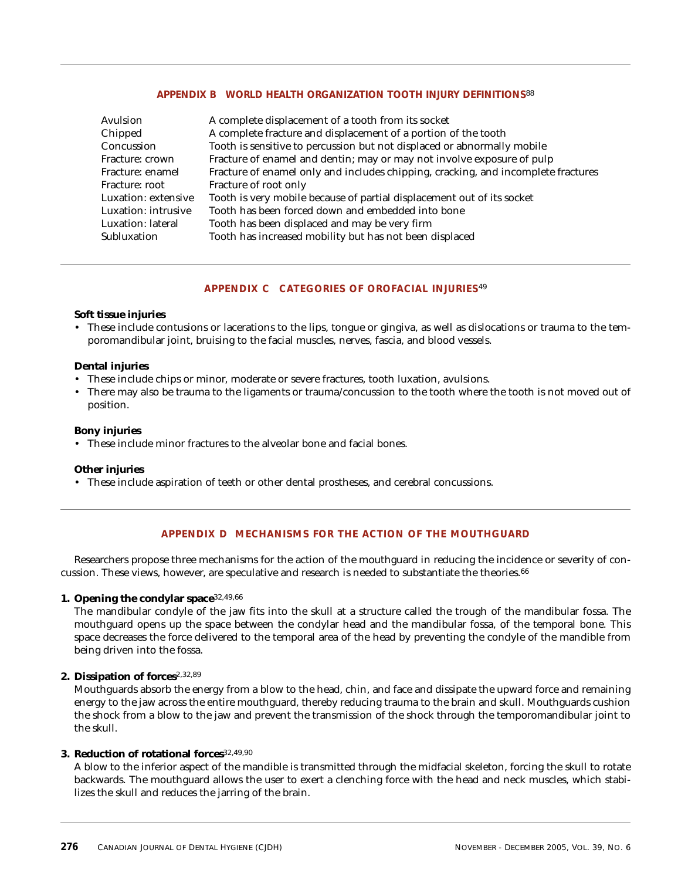# **APPENDIX B WORLD HEALTH ORGANIZATION TOOTH INJURY DEFINITIONS**88

| Avulsion            | A complete displacement of a tooth from its socket                                |
|---------------------|-----------------------------------------------------------------------------------|
| Chipped             | A complete fracture and displacement of a portion of the tooth                    |
| Concussion          | Tooth is sensitive to percussion but not displaced or abnormally mobile           |
| Fracture: crown     | Fracture of enamel and dentin; may or may not involve exposure of pulp            |
| Fracture: enamel    | Fracture of enamel only and includes chipping, cracking, and incomplete fractures |
| Fracture: root      | Fracture of root only                                                             |
| Luxation: extensive | Tooth is very mobile because of partial displacement out of its socket            |
| Luxation: intrusive | Tooth has been forced down and embedded into bone                                 |
| Luxation: lateral   | Tooth has been displaced and may be very firm                                     |
| Subluxation         | Tooth has increased mobility but has not been displaced                           |

# **APPENDIX C CATEGORIES OF OROFACIAL INJURIES**49

## **Soft tissue injuries**

• These include contusions or lacerations to the lips, tongue or gingiva, as well as dislocations or trauma to the temporomandibular joint, bruising to the facial muscles, nerves, fascia, and blood vessels.

# **Dental injuries**

- These include chips or minor, moderate or severe fractures, tooth luxation, avulsions.
- There may also be trauma to the ligaments or trauma/concussion to the tooth where the tooth is not moved out of position.

# **Bony injuries**

• These include minor fractures to the alveolar bone and facial bones.

# **Other injuries**

• These include aspiration of teeth or other dental prostheses, and cerebral concussions.

# **APPENDIX D MECHANISMS FOR THE ACTION OF THE MOUTHGUARD**

Researchers propose three mechanisms for the action of the mouthguard in reducing the incidence or severity of concussion. These views, however, are speculative and research is needed to substantiate the theories.<sup>66</sup>

# **1. Opening the condylar space**32,49,66

The mandibular condyle of the jaw fits into the skull at a structure called the trough of the mandibular fossa. The mouthguard opens up the space between the condylar head and the mandibular fossa, of the temporal bone. This space decreases the force delivered to the temporal area of the head by preventing the condyle of the mandible from being driven into the fossa.

## **2. Dissipation of forces**2,32,89

Mouthguards absorb the energy from a blow to the head, chin, and face and dissipate the upward force and remaining energy to the jaw across the entire mouthguard, thereby reducing trauma to the brain and skull. Mouthguards cushion the shock from a blow to the jaw and prevent the transmission of the shock through the temporomandibular joint to the skull.

## **3. Reduction of rotational forces**32,49,90

A blow to the inferior aspect of the mandible is transmitted through the midfacial skeleton, forcing the skull to rotate backwards. The mouthguard allows the user to exert a clenching force with the head and neck muscles, which stabilizes the skull and reduces the jarring of the brain.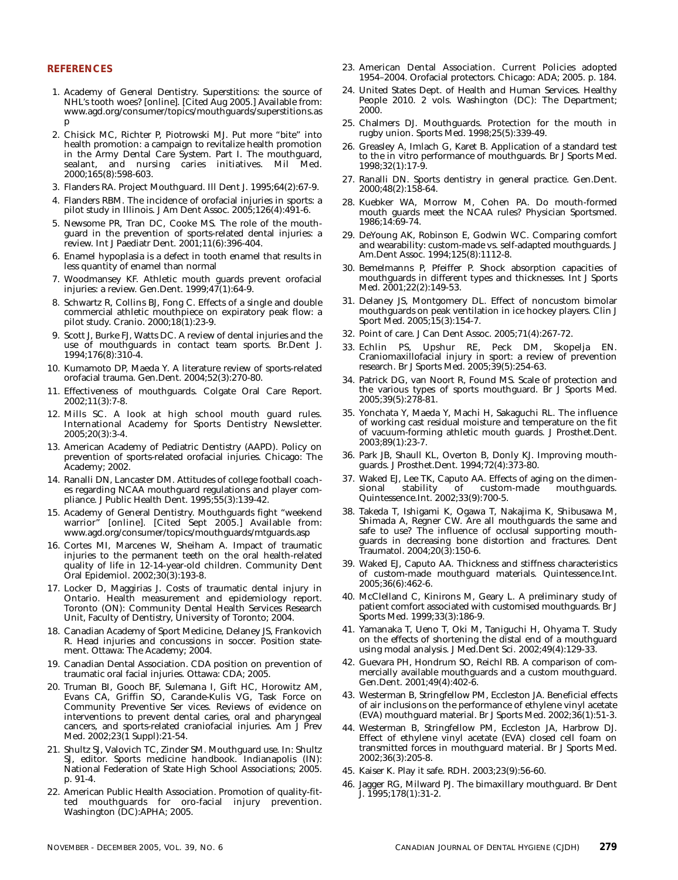### **REFERENCES**

- 1. Academy of General Dentistry. Superstitions: the source of NHL's tooth woes? [online]. [Cited Aug 2005.] Available from: www.agd.org/consumer/topics/mouthguards/superstitions.as p
- 2. Chisick MC, Richter P, Piotrowski MJ. Put more "bite" into health promotion: a campaign to revitalize health promotion in the Army Dental Care System. Part I. The mouthguard, sealant, and nursing caries initiatives. Mil Med. 2000;165(8):598-603.
- 3. Flanders RA. Project Mouthguard. Ill Dent J. 1995;64(2):67-9.
- 4. Flanders RBM. The incidence of orofacial injuries in sports: a pilot study in Illinois. J Am Dent Assoc. 2005;126(4):491-6.
- 5. Newsome PR, Tran DC, Cooke MS. The role of the mouthguard in the prevention of sports-related dental injuries: a review. Int J Paediatr Dent. 2001;11(6):396-404.
- 6. Enamel hypoplasia is a defect in tooth enamel that results in less quantity of enamel than normal
- 7. Woodmansey KF. Athletic mouth guards prevent orofacial injuries: a review. Gen.Dent. 1999;47(1):64-9.
- 8. Schwartz R, Collins BJ, Fong C. Effects of a single and double commercial athletic mouthpiece on expiratory peak flow: a pilot study. Cranio. 2000;18(1):23-9.
- 9. Scott J, Burke FJ, Watts DC. A review of dental injuries and the use of mouthguards in contact team sports. Br.Dent J. 1994;176(8):310-4.
- 10. Kumamoto DP, Maeda Y. A literature review of sports-related orofacial trauma. Gen.Dent. 2004;52(3):270-80.
- 11. Effectiveness of mouthguards. Colgate Oral Care Report. 2002;11(3):7-8.
- 12. Mills SC. A look at high school mouth guard rules. International Academy for Sports Dentistry Newsletter. 2005;20(3):3-4.
- 13. American Academy of Pediatric Dentistry (AAPD). Policy on prevention of sports-related orofacial injuries. Chicago: The Academy; 2002.
- 14. Ranalli DN, Lancaster DM. Attitudes of college football coaches regarding NCAA mouthguard regulations and player compliance. J Public Health Dent. 1995;55(3):139-42.
- 15. Academy of General Dentistry. Mouthguards fight "weekend warrior" [online]. [Cited Sept 2005.] Available from: www.agd.org/consumer/topics/mouthguards/mtguards.asp
- 16. Cortes MI, Marcenes W, Sheiham A. Impact of traumatic injuries to the permanent teeth on the oral health-related quality of life in 12-14-year-old children. Community Dent Oral Epidemiol. 2002;30(3):193-8.
- 17. Locker D, Maggirias J. Costs of traumatic dental injury in Ontario. Health measurement and epidemiology report. Toronto (ON): Community Dental Health Services Research Unit, Faculty of Dentistry, University of Toronto; 2004.
- 18. Canadian Academy of Sport Medicine, Delaney JS, Frankovich R. Head injuries and concussions in soccer. Position statement. Ottawa: The Academy; 2004.
- 19. Canadian Dental Association. CDA position on prevention of traumatic oral facial injuries. Ottawa: CDA; 2005.
- 20. Truman BI, Gooch BF, Sulemana I, Gift HC, Horowitz AM, Evans CA, Griffin SO, Carande-Kulis VG, Task Force on Community Preventive Ser vices. Reviews of evidence on interventions to prevent dental caries, oral and pharyngeal cancers, and sports-related craniofacial injuries. Am J Prev Med. 2002;23(1 Suppl):21-54.
- 21. Shultz SJ, Valovich TC, Zinder SM. Mouthguard use. In: Shultz SJ, editor. Sports medicine handbook. Indianapolis (IN): National Federation of State High School Associations; 2005. p. 91-4.
- 22. American Public Health Association. Promotion of quality-fitted mouthguards for oro-facial injury prevention. Washington (DC):APHA; 2005.
- 23. American Dental Association. Current Policies adopted 1954–2004. Orofacial protectors. Chicago: ADA; 2005. p. 184.
- 24. United States Dept. of Health and Human Services. Healthy People 2010. 2 vols. Washington (DC): The Department; 2000.
- 25. Chalmers DJ. Mouthguards. Protection for the mouth in rugby union. Sports Med. 1998;25(5):339-49.
- 26. Greasley A, Imlach G, Karet B. Application of a standard test to the in vitro performance of mouthguards. Br J Sports Med. 1998;32(1):17-9.
- 27. Ranalli DN. Sports dentistry in general practice. Gen.Dent. 2000;48(2):158-64.
- 28. Kuebker WA, Morrow M, Cohen PA. Do mouth-formed mouth guards meet the NCAA rules? Physician Sportsmed. 1986;14:69-74.
- 29. DeYoung AK, Robinson E, Godwin WC. Comparing comfort and wearability: custom-made vs. self-adapted mouthguards. J Am.Dent Assoc. 1994;125(8):1112-8.
- 30. Bemelmanns P, Pfeiffer P. Shock absorption capacities of mouthguards in different types and thicknesses. Int J Sports Med. 2001;22(2):149-53.
- 31. Delaney JS, Montgomery DL. Effect of noncustom bimolar mouthguards on peak ventilation in ice hockey players. Clin J Sport Med. 2005;15(3):154-7.
- 32. Point of care. J Can Dent Assoc. 2005;71(4):267-72.
- 33. Echlin PS, Upshur RE, Peck DM, Skopelja EN. Craniomaxillofacial injury in sport: a review of prevention research. Br J Sports Med. 2005;39(5):254-63.
- 34. Patrick DG, van Noort R, Found MS. Scale of protection and the various types of sports mouthguard. Br J Sports Med. 2005;39(5):278-81.
- 35. Yonchata Y, Maeda Y, Machi H, Sakaguchi RL. The influence of working cast residual moisture and temperature on the fit of vacuum-forming athletic mouth guards. J Prosthet.Dent. 2003;89(1):23-7.
- 36. Park JB, Shaull KL, Overton B, Donly KJ. Improving mouthguards. J Prosthet.Dent. 1994;72(4):373-80.
- 37. Waked EJ, Lee TK, Caputo AA. Effects of aging on the dimencustom-made Quintessence.Int. 2002;33(9):700-5.
- 38. Takeda T, Ishigami K, Ogawa T, Nakajima K, Shibusawa M, Shimada A, Regner CW. Are all mouthguards the same and safe to use? The influence of occlusal supporting mouthguards in decreasing bone distortion and fractures. Dent Traumatol. 2004;20(3):150-6.
- 39. Waked EJ, Caputo AA. Thickness and stiffness characteristics of custom-made mouthguard materials. Quintessence.Int. 2005;36(6):462-6.
- 40. McClelland C, Kinirons M, Geary L. A preliminary study of patient comfort associated with customised mouthguards. Br J Sports Med. 1999;33(3):186-9.
- 41. Yamanaka T, Ueno T, Oki M, Taniguchi H, Ohyama T. Study on the effects of shortening the distal end of a mouthguard using modal analysis. J Med.Dent Sci. 2002;49(4):129-33.
- 42. Guevara PH, Hondrum SO, Reichl RB. A comparison of commercially available mouthguards and a custom mouthguard. Gen.Dent. 2001;49(4):402-6.
- 43. Westerman B, Stringfellow PM, Eccleston JA. Beneficial effects of air inclusions on the performance of ethylene vinyl acetate (EVA) mouthguard material. Br J Sports Med. 2002;36(1):51-3.
- 44. Westerman B, Stringfellow PM, Eccleston JA, Harbrow DJ. Effect of ethylene vinyl acetate (EVA) closed cell foam on transmitted forces in mouthguard material. Br J Sports Med. 2002;36(3):205-8.
- 45. Kaiser K. Play it safe. RDH. 2003;23(9):56-60.
- 46. Jagger RG, Milward PJ. The bimaxillary mouthguard. Br Dent J. 1995;178(1):31-2.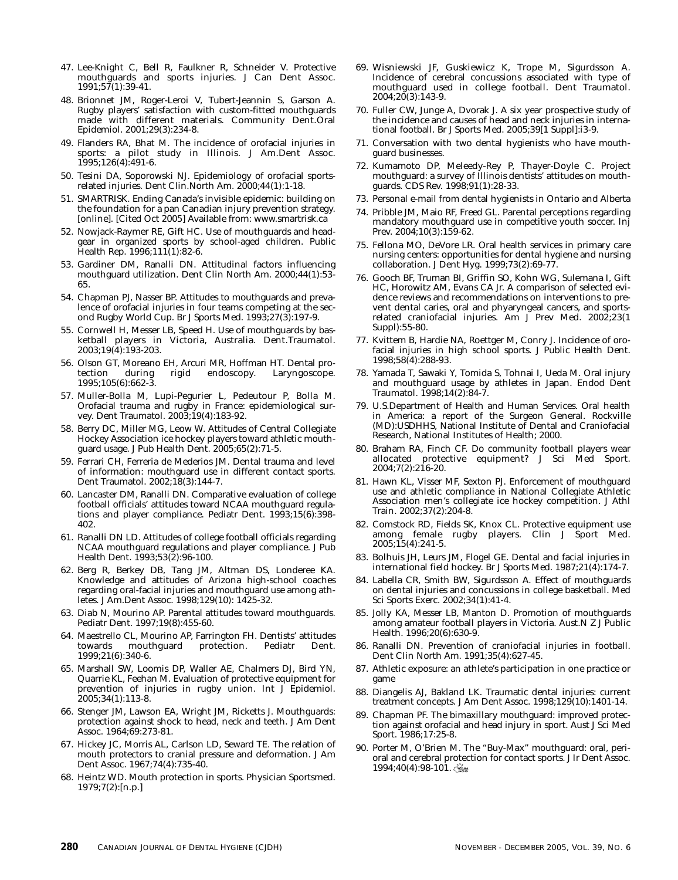- 47. Lee-Knight C, Bell R, Faulkner R, Schneider V. Protective mouthguards and sports injuries. J Can Dent Assoc. 1991;57(1):39-41.
- 48. Brionnet JM, Roger-Leroi V, Tubert-Jeannin S, Garson A. Rugby players' satisfaction with custom-fitted mouthguards made with different materials. Community Dent.Oral Epidemiol. 2001;29(3):234-8.
- 49. Flanders RA, Bhat M. The incidence of orofacial injuries in sports: a pilot study in Illinois. J Am.Dent Assoc. 1995;126(4):491-6.
- 50. Tesini DA, Soporowski NJ. Epidemiology of orofacial sportsrelated injuries. Dent Clin.North Am. 2000;44(1):1-18.
- 51. SMARTRISK. Ending Canada's invisible epidemic: building on the foundation for a pan Canadian injury prevention strategy. [online]. [Cited Oct 2005] Available from: www.smartrisk.ca
- 52. Nowjack-Raymer RE, Gift HC. Use of mouthguards and headgear in organized sports by school-aged children. Public Health Rep. 1996;111(1):82-6.
- 53. Gardiner DM, Ranalli DN. Attitudinal factors influencing mouthguard utilization. Dent Clin North Am. 2000;44(1):53- 65.
- 54. Chapman PJ, Nasser BP. Attitudes to mouthguards and prevalence of orofacial injuries in four teams competing at the second Rugby World Cup. Br J Sports Med. 1993;27(3):197-9.
- 55. Cornwell H, Messer LB, Speed H. Use of mouthguards by basketball players in Victoria, Australia. Dent.Traumatol. 2003;19(4):193-203.
- 56. Olson GT, Moreano EH, Arcuri MR, Hoffman HT. Dental protection during rigid endoscopy. Laryngoscope. 1995;105(6):662-3.
- 57. Muller-Bolla M, Lupi-Pegurier L, Pedeutour P, Bolla M. Orofacial trauma and rugby in France: epidemiological survey. Dent Traumatol. 2003;19(4):183-92.
- 58. Berry DC, Miller MG, Leow W. Attitudes of Central Collegiate Hockey Association ice hockey players toward athletic mouthguard usage. J Pub Health Dent. 2005;65(2):71-5.
- 59. Ferrari CH, Ferreria de Mederios JM. Dental trauma and level of information: mouthguard use in different contact sports. Dent Traumatol. 2002;18(3):144-7.
- 60. Lancaster DM, Ranalli DN. Comparative evaluation of college football officials' attitudes toward NCAA mouthguard regulations and player compliance. Pediatr Dent. 1993;15(6):398- 402.
- 61. Ranalli DN LD. Attitudes of college football officials regarding NCAA mouthguard regulations and player compliance. J Pub Health Dent. 1993;53(2):96-100.
- 62. Berg R, Berkey DB, Tang JM, Altman DS, Londeree KA. Knowledge and attitudes of Arizona high-school coaches regarding oral-facial injuries and mouthguard use among athletes. J Am.Dent Assoc. 1998;129(10): 1425-32.
- 63. Diab N, Mourino AP. Parental attitudes toward mouthguards. Pediatr Dent. 1997;19(8):455-60.
- 64. Maestrello CL, Mourino AP, Farrington FH. Dentists' attitudes protection. Pediatr Dent. 1999;21(6):340-6.
- 65. Marshall SW, Loomis DP, Waller AE, Chalmers DJ, Bird YN, Quarrie KL, Feehan M. Evaluation of protective equipment for prevention of injuries in rugby union. Int J Epidemiol. 2005;34(1):113-8.
- 66. Stenger JM, Lawson EA, Wright JM, Ricketts J. Mouthguards: protection against shock to head, neck and teeth. J Am Dent Assoc. 1964;69:273-81.
- 67. Hickey JC, Morris AL, Carlson LD, Seward TE. The relation of mouth protectors to cranial pressure and deformation. J Am Dent Assoc. 1967;74(4):735-40.
- 68. Heintz WD. Mouth protection in sports. Physician Sportsmed. 1979;7(2):[n.p.]
- 69. Wisniewski JF, Guskiewicz K, Trope M, Sigurdsson A. Incidence of cerebral concussions associated with type of mouthguard used in college football. Dent Traumatol.  $2004;20(3):143-9.$
- 70. Fuller CW, Junge A, Dvorak J. A six year prospective study of the incidence and causes of head and neck injuries in international football. Br J Sports Med. 2005;39[1 Suppl]:i3-9.
- 71. Conversation with two dental hygienists who have mouthguard businesses.
- 72. Kumamoto DP, Meleedy-Rey P, Thayer-Doyle C. Project mouthguard: a survey of Illinois dentists' attitudes on mouthguards. CDS Rev. 1998;91(1):28-33.
- 73. Personal e-mail from dental hygienists in Ontario and Alberta
- 74. Pribble JM, Maio RF, Freed GL. Parental perceptions regarding mandatory mouthguard use in competitive youth soccer. Inj Prev. 2004;10(3):159-62.
- 75. Fellona MO, DeVore LR. Oral health services in primary care nursing centers: opportunities for dental hygiene and nursing collaboration. J Dent Hyg. 1999;73(2):69-77.
- 76. Gooch BF, Truman BI, Griffin SO, Kohn WG, Sulemana I, Gift HC, Horowitz AM, Evans CA Jr. A comparison of selected evidence reviews and recommendations on interventions to prevent dental caries, oral and phyaryngeal cancers, and sportsrelated craniofacial injuries. Am J Prev Med. 2002;23(1 Suppl):55-80.
- 77. Kvittem B, Hardie NA, Roettger M, Conry J. Incidence of orofacial injuries in high school sports. J Public Health Dent. 1998;58(4):288-93.
- 78. Yamada T, Sawaki Y, Tomida S, Tohnai I, Ueda M. Oral injury and mouthguard usage by athletes in Japan. Endod Dent Traumatol. 1998;14(2):84-7.
- 79. U.S.Department of Health and Human Services. Oral health in America: a report of the Surgeon General. Rockville (MD):USDHHS, National Institute of Dental and Craniofacial Research, National Institutes of Health; 2000.
- 80. Braham RA, Finch CF. Do community football players wear allocated protective equipment? J Sci Med Sport. 2004;7(2):216-20.
- 81. Hawn KL, Visser MF, Sexton PJ. Enforcement of mouthguard use and athletic compliance in National Collegiate Athletic Association men's collegiate ice hockey competition. J Athl Train. 2002;37(2):204-8.
- 82. Comstock RD, Fields SK, Knox CL. Protective equipment use among female rugby players. Clin J Sport Med. 2005;15(4):241-5.
- 83. Bolhuis JH, Leurs JM, Flogel GE. Dental and facial injuries in international field hockey. Br J Sports Med. 1987;21(4):174-7.
- 84. Labella CR, Smith BW, Sigurdsson A. Effect of mouthguards on dental injuries and concussions in college basketball. Med Sci Sports Exerc. 2002;34(1):41-4.
- 85. Jolly KA, Messer LB, Manton D. Promotion of mouthguards among amateur football players in Victoria. Aust.N Z J Public Health. 1996;20(6):630-9.
- 86. Ranalli DN. Prevention of craniofacial injuries in football. Dent Clin North Am. 1991;35(4):627-45.
- 87. Athletic exposure: an athlete's participation in one practice or game
- 88. Diangelis AJ, Bakland LK. Traumatic dental injuries: current treatment concepts. J Am Dent Assoc. 1998;129(10):1401-14.
- Chapman PF. The bimaxillary mouthguard: improved protection against orofacial and head injury in sport. Aust J Sci Med Sport. 1986;17:25-8.
- 90. Porter M, O'Brien M. The "Buy-Max" mouthguard: oral, perioral and cerebral protection for contact sports. J Ir Dent Assoc.  $1994;40(4):98-101.$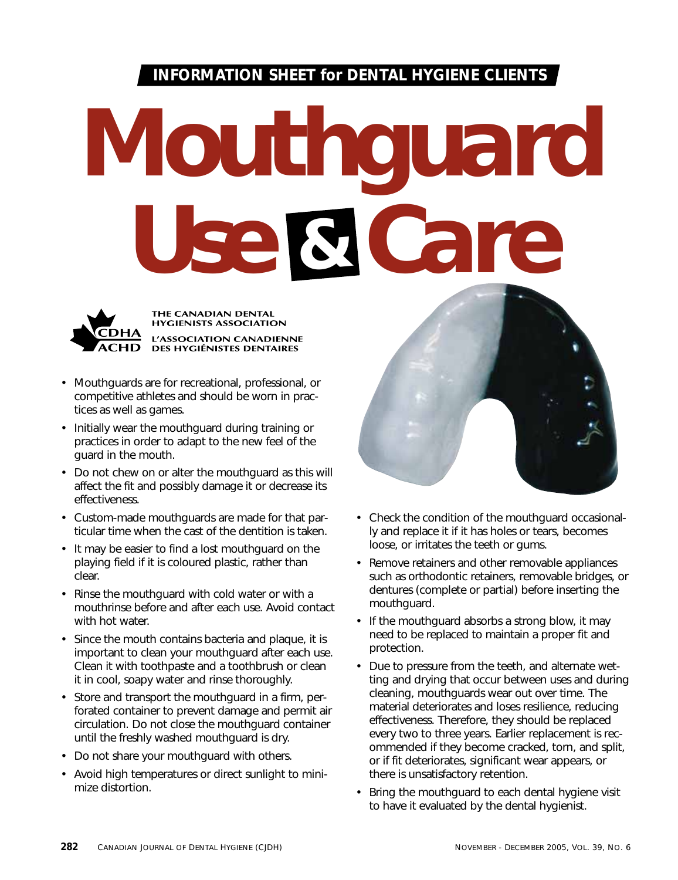# **INFORMATION SHEET for DENTAL HYGIENE CLIENTS**

# *Mouthguard Use Care* **&**



THE CANADIAN DENTAL **HYGIENISTS ASSOCIATION** L'ASSOCIATION CANADIENNE DES HYGIÉNISTES DENTAIRES

- Mouthguards are for recreational, professional, or competitive athletes and should be worn in practices as well as games.
- Initially wear the mouthguard during training or practices in order to adapt to the new feel of the guard in the mouth.
- Do not chew on or alter the mouthguard as this will affect the fit and possibly damage it or decrease its effectiveness.
- Custom-made mouthguards are made for that particular time when the cast of the dentition is taken.
- It may be easier to find a lost mouthguard on the playing field if it is coloured plastic, rather than clear.
- Rinse the mouthguard with cold water or with a mouthrinse before and after each use. Avoid contact with hot water.
- Since the mouth contains bacteria and plaque, it is important to clean your mouthguard after each use. Clean it with toothpaste and a toothbrush or clean it in cool, soapy water and rinse thoroughly.
- Store and transport the mouthguard in a firm, perforated container to prevent damage and permit air circulation. Do not close the mouthguard container until the freshly washed mouthguard is dry.
- Do not share your mouthguard with others.
- Avoid high temperatures or direct sunlight to minimize distortion.



- Check the condition of the mouthguard occasionally and replace it if it has holes or tears, becomes loose, or irritates the teeth or gums.
- Remove retainers and other removable appliances such as orthodontic retainers, removable bridges, or dentures (complete or partial) before inserting the mouthguard.
- If the mouthquard absorbs a strong blow, it may need to be replaced to maintain a proper fit and protection.
- Due to pressure from the teeth, and alternate wetting and drying that occur between uses and during cleaning, mouthguards wear out over time. The material deteriorates and loses resilience, reducing effectiveness. Therefore, they should be replaced every two to three years. Earlier replacement is recommended if they become cracked, torn, and split, or if fit deteriorates, significant wear appears, or there is unsatisfactory retention.
- Bring the mouthguard to each dental hygiene visit to have it evaluated by the dental hygienist.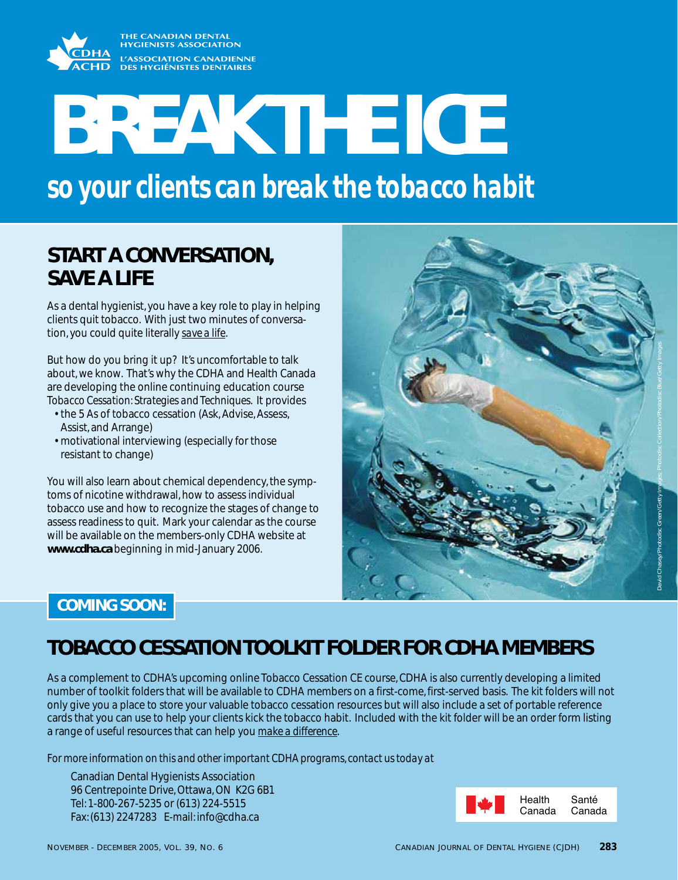

# **BREAK THE ICE**

*so your clients can break the tobacco habit*

# **START A CONVERSATION, SAVE A LIFE**

As a dental hygienist, you have a key role to play in helping clients quit tobacco. With just two minutes of conversation, you could quite literally *save a life*.

But how do you bring it up? It's uncomfortable to talk about, we know. That's why the CDHA and Health Canada are developing the online continuing education course *Tobacco Cessation: Strategies and Techniques*. It provides

- the 5 As of tobacco cessation (Ask, Advise, Assess, Assist, and Arrange)
- motivational interviewing (especially for those resistant to change)

You will also learn about chemical dependency, the symptoms of nicotine withdrawal, how to assess individual tobacco use and how to recognize the stages of change to assess readiness to quit. Mark your calendar as the course will be available on the members-only CDHA website at **www.cdha.ca** beginning in mid-January 2006.



# **COMING SOON:**

# **TOBACCO CESSATION TOOLKIT FOLDER FOR CDHA MEMBERS**

As a complement to CDHA's upcoming online Tobacco Cessation CE course, CDHA is also currently developing a limited number of toolkit folders that will be available to CDHA members on a first-come, first-served basis. The kit folders will not only give you a place to store your valuable tobacco cessation resources but will also include a set of portable reference cards that you can use to help your clients kick the tobacco habit. Included with the kit folder will be an order form listing a range of useful resources that can help you *make a difference*.

*For more information on this and other important CDHA programs, contact us today at* 

Canadian Dental Hygienists Association 96 Centrepointe Drive, Ottawa, ON K2G 6B1 Tel: 1-800-267-5235 or (613) 224-5515 Fax: (613) 2247283 E-mail: info@cdha.ca

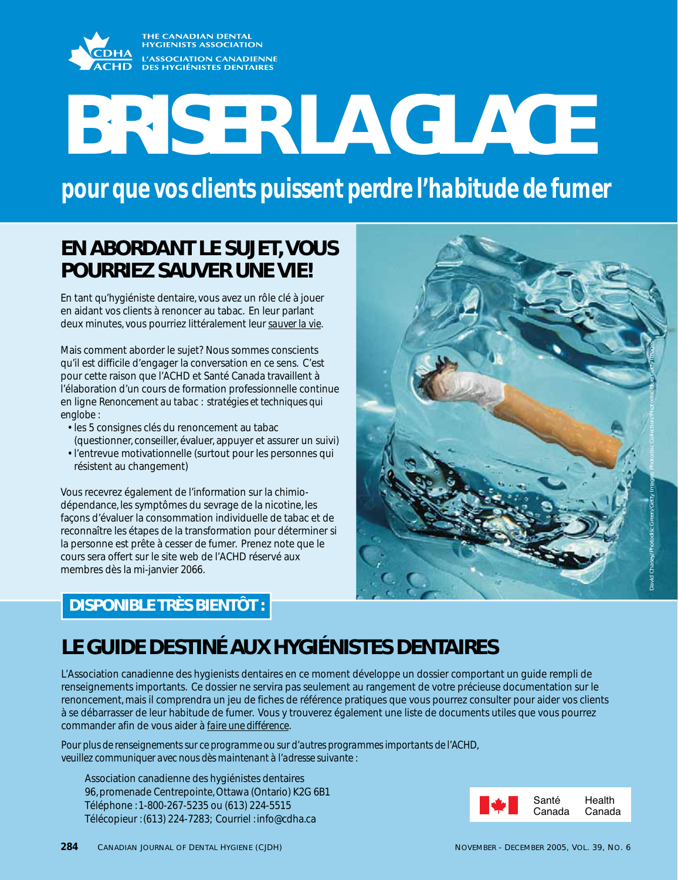THE CANADIAN DENTA<mark>L</mark><br>HYGIENISTS ASSOCIATION L'ASSOCIATION CANADIENNE **DES HYGIÉNISTES DENTAIRES** 

# **BRISER LA GLACE**

*pour que vos clients puissent perdre l'habitude de fumer*

# **EN ABORDANT LE SUJET, VOUS POURRIEZ SAUVER UNE VIE!**

En tant qu'hygiéniste dentaire, vous avez un rôle clé à jouer en aidant vos clients à renoncer au tabac. En leur parlant deux minutes, vous pourriez littéralement leur *sauver la vie*.

Mais comment aborder le sujet? Nous sommes conscients qu'il est difficile d'engager la conversation en ce sens. C'est pour cette raison que l'ACHD et Santé Canada travaillent à l'élaboration d'un cours de formation professionnelle continue en ligne *Renoncement au tabac : stratégies et techniques qui englobe* :

- les 5 consignes clés du renoncement au tabac (questionner, conseiller, évaluer, appuyer et assurer un suivi)
- l'entrevue motivationnelle (surtout pour les personnes qui résistent au changement)

Vous recevrez également de l'information sur la chimiodépendance, les symptômes du sevrage de la nicotine, les façons d'évaluer la consommation individuelle de tabac et de reconnaître les étapes de la transformation pour déterminer si la personne est prête à cesser de fumer. Prenez note que le cours sera offert sur le site web de l'ACHD réservé aux membres dès la mi-janvier 2066.

# **DISPONIBLE TRÈS BIENTÔT :**

# **LE GUIDE DESTINÉ AUX HYGIÉNISTES DENTAIRES**

L'Association canadienne des hygienists dentaires en ce moment développe un dossier comportant un guide rempli de renseignements importants. Ce dossier ne servira pas seulement au rangement de votre précieuse documentation sur le renoncement, mais il comprendra un jeu de fiches de référence pratiques que vous pourrez consulter pour aider vos clients à se débarrasser de leur habitude de fumer. Vous y trouverez également une liste de documents utiles que vous pourrez commander afin de vous aider à *faire une différence*.

*Pour plus de renseignements sur ce programme ou sur d'autres programmes importants de l'ACHD, veuillez communiquer avec nous dès maintenant à l'adresse suivante :*

Association canadienne des hygiénistes dentaires 96, promenade Centrepointe, Ottawa (Ontario) K2G 6B1 Téléphone : 1-800-267-5235 ou (613) 224-5515 Télécopieur : (613) 224-7283; Courriel : info@cdha.ca



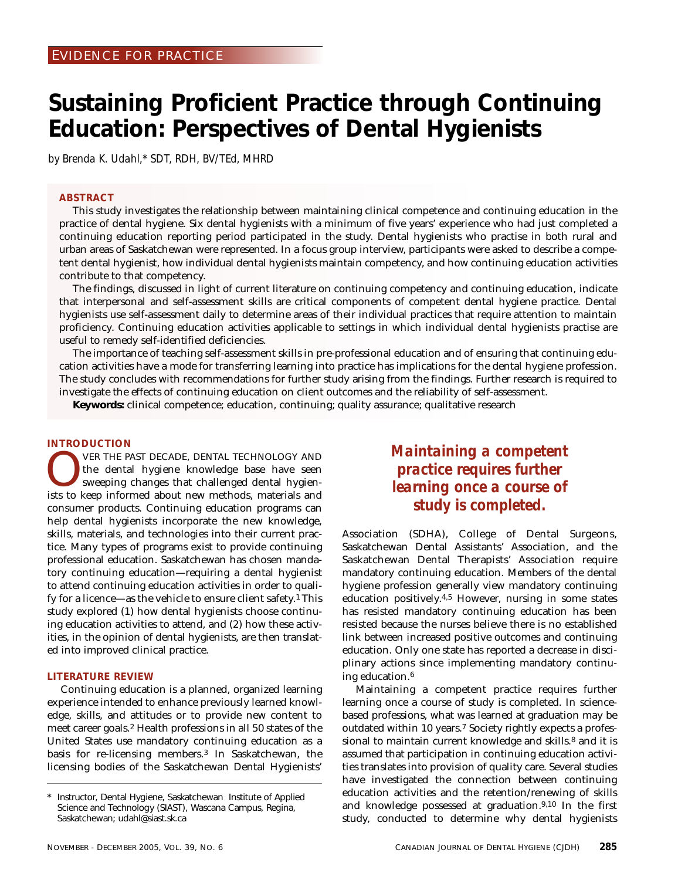# **Sustaining Proficient Practice through Continuing Education: Perspectives of Dental Hygienists**

*by Brenda K. Udahl,\* SDT, RDH, BV/TEd, MHRD*

# **ABSTRACT**

This study investigates the relationship between maintaining clinical competence and continuing education in the practice of dental hygiene. Six dental hygienists with a minimum of five years' experience who had just completed a continuing education reporting period participated in the study. Dental hygienists who practise in both rural and urban areas of Saskatchewan were represented. In a focus group interview, participants were asked to describe a competent dental hygienist, how individual dental hygienists maintain competency, and how continuing education activities contribute to that competency.

The findings, discussed in light of current literature on continuing competency and continuing education, indicate that interpersonal and self-assessment skills are critical components of competent dental hygiene practice. Dental hygienists use self-assessment daily to determine areas of their individual practices that require attention to maintain proficiency. Continuing education activities applicable to settings in which individual dental hygienists practise are useful to remedy self-identified deficiencies.

The importance of teaching self-assessment skills in pre-professional education and of ensuring that continuing education activities have a mode for transferring learning into practice has implications for the dental hygiene profession. The study concludes with recommendations for further study arising from the findings. Further research is required to investigate the effects of continuing education on client outcomes and the reliability of self-assessment.

**Keywords:** clinical competence; education, continuing; quality assurance; qualitative research

# **INTRODUCTION**

VER THE PAST DECADE, DENTAL TECHNOLOGY AND<br>the dental hygiene knowledge base have seen<br>sweeping changes that challenged dental hygien-<br>ists to keen informed about new methods materials and the dental hygiene knowledge base have seen sweeping changes that challenged dental hygienists to keep informed about new methods, materials and consumer products. Continuing education programs can help dental hygienists incorporate the new knowledge, skills, materials, and technologies into their current practice. Many types of programs exist to provide continuing professional education. Saskatchewan has chosen mandatory continuing education—requiring a dental hygienist to attend continuing education activities in order to qualify for a licence—as the vehicle to ensure client safety.1 This study explored (1) how dental hygienists choose continuing education activities to attend, and (2) how these activities, in the opinion of dental hygienists, are then translated into improved clinical practice.

# **LITERATURE REVIEW**

Continuing education is a planned, organized learning experience intended to enhance previously learned knowledge, skills, and attitudes or to provide new content to meet career goals.2 Health professions in all 50 states of the United States use mandatory continuing education as a basis for re-licensing members.3 In Saskatchewan, the licensing bodies of the Saskatchewan Dental Hygienists'

# *Maintaining a competent practice requires further learning once a course of study is completed.*

Association (SDHA), College of Dental Surgeons, Saskatchewan Dental Assistants' Association, and the Saskatchewan Dental Therapists' Association require mandatory continuing education. Members of the dental hygiene profession generally view mandatory continuing education positively.4,5 However, nursing in some states has resisted mandatory continuing education has been resisted because the nurses believe there is no established link between increased positive outcomes and continuing education. Only one state has reported a decrease in disciplinary actions since implementing mandatory continuing education.6

Maintaining a competent practice requires further learning once a course of study is completed. In sciencebased professions, what was learned at graduation may be outdated within 10 years.7 Society rightly expects a professional to maintain current knowledge and skills.<sup>8</sup> and it is assumed that participation in continuing education activities translates into provision of quality care. Several studies have investigated the connection between continuing education activities and the retention/renewing of skills and knowledge possessed at graduation.9,10 In the first study, conducted to determine why dental hygienists

Instructor, Dental Hygiene, Saskatchewan Institute of Applied Science and Technology (SIAST), Wascana Campus, Regina, Saskatchewan; udahl@siast.sk.ca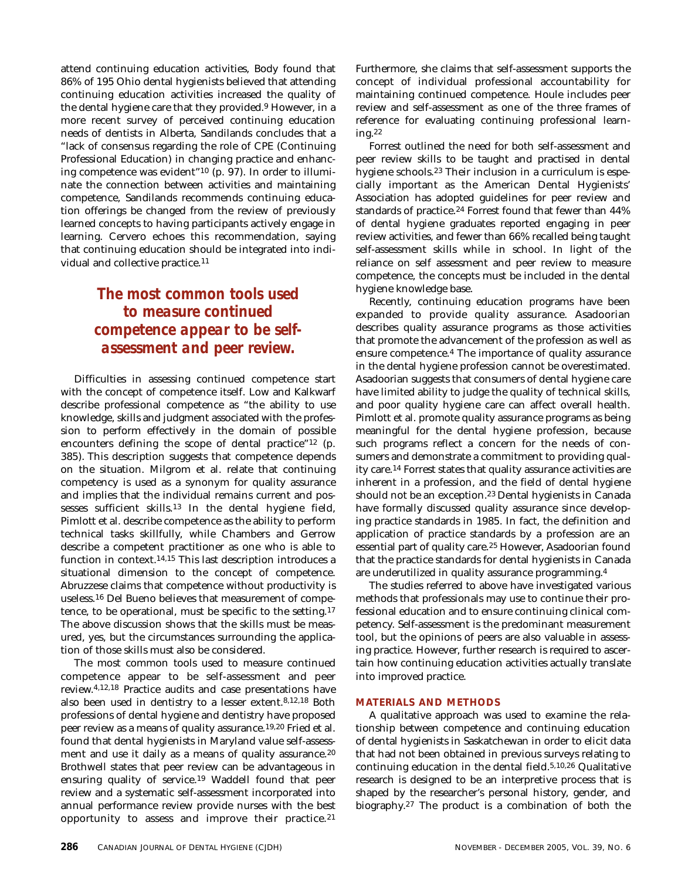attend continuing education activities, Body found that 86% of 195 Ohio dental hygienists believed that attending continuing education activities increased the quality of the dental hygiene care that they provided.9 However, in a more recent survey of perceived continuing education needs of dentists in Alberta, Sandilands concludes that a "lack of consensus regarding the role of CPE (Continuing Professional Education) in changing practice and enhancing competence was evident"10 (p. 97). In order to illuminate the connection between activities and maintaining competence, Sandilands recommends continuing education offerings be changed from the review of previously learned concepts to having participants actively engage in learning. Cervero echoes this recommendation, saying that continuing education should be integrated into individual and collective practice.11

# *The most common tools used to measure continued competence appear to be selfassessment and peer review.*

Difficulties in assessing continued competence start with the concept of competence itself. Low and Kalkwarf describe professional competence as "the ability to use knowledge, skills and judgment associated with the profession to perform effectively in the domain of possible encounters defining the scope of dental practice"12 (p. 385). This description suggests that competence depends on the situation. Milgrom et al. relate that continuing competency is used as a synonym for quality assurance and implies that the individual remains current and possesses sufficient skills.13 In the dental hygiene field, Pimlott et al. describe competence as the ability to perform technical tasks skillfully, while Chambers and Gerrow describe a competent practitioner as one who is able to function in context.14,15 This last description introduces a situational dimension to the concept of competence. Abruzzese claims that competence without productivity is useless.16 Del Bueno believes that measurement of competence, to be operational, must be specific to the setting.17 The above discussion shows that the skills must be measured, yes, but the circumstances surrounding the application of those skills must also be considered.

The most common tools used to measure continued competence appear to be self-assessment and peer review.4,12,18 Practice audits and case presentations have also been used in dentistry to a lesser extent.8,12,18 Both professions of dental hygiene and dentistry have proposed peer review as a means of quality assurance.<sup>19,20</sup> Fried et al. found that dental hygienists in Maryland value self-assessment and use it daily as a means of quality assurance.20 Brothwell states that peer review can be advantageous in ensuring quality of service.19 Waddell found that peer review and a systematic self-assessment incorporated into annual performance review provide nurses with the best opportunity to assess and improve their practice.21 Furthermore, she claims that self-assessment supports the concept of individual professional accountability for maintaining continued competence. Houle includes peer review and self-assessment as one of the three frames of reference for evaluating continuing professional learning.22

Forrest outlined the need for both self-assessment and peer review skills to be taught and practised in dental hygiene schools.23 Their inclusion in a curriculum is especially important as the American Dental Hygienists' Association has adopted guidelines for peer review and standards of practice.24 Forrest found that fewer than 44% of dental hygiene graduates reported engaging in peer review activities, and fewer than 66% recalled being taught self-assessment skills while in school. In light of the reliance on self assessment and peer review to measure competence, the concepts must be included in the dental hygiene knowledge base.

Recently, continuing education programs have been expanded to provide quality assurance. Asadoorian describes quality assurance programs as those activities that promote the advancement of the profession as well as ensure competence.4 The importance of quality assurance in the dental hygiene profession cannot be overestimated. Asadoorian suggests that consumers of dental hygiene care have limited ability to judge the quality of technical skills, and poor quality hygiene care can affect overall health. Pimlott et al. promote quality assurance programs as being meaningful for the dental hygiene profession, because such programs reflect a concern for the needs of consumers and demonstrate a commitment to providing quality care.14 Forrest states that quality assurance activities are inherent in a profession, and the field of dental hygiene should not be an exception.23 Dental hygienists in Canada have formally discussed quality assurance since developing practice standards in 1985. In fact, the definition and application of practice standards by a profession are an essential part of quality care.25 However, Asadoorian found that the practice standards for dental hygienists in Canada are underutilized in quality assurance programming.4

The studies referred to above have investigated various methods that professionals may use to continue their professional education and to ensure continuing clinical competency. Self-assessment is the predominant measurement tool, but the opinions of peers are also valuable in assessing practice. However, further research is required to ascertain how continuing education activities actually translate into improved practice.

## **MATERIALS AND METHODS**

A qualitative approach was used to examine the relationship between competence and continuing education of dental hygienists in Saskatchewan in order to elicit data that had not been obtained in previous surveys relating to continuing education in the dental field.5,10,26 Qualitative research is designed to be an interpretive process that is shaped by the researcher's personal history, gender, and biography.27 The product is a combination of both the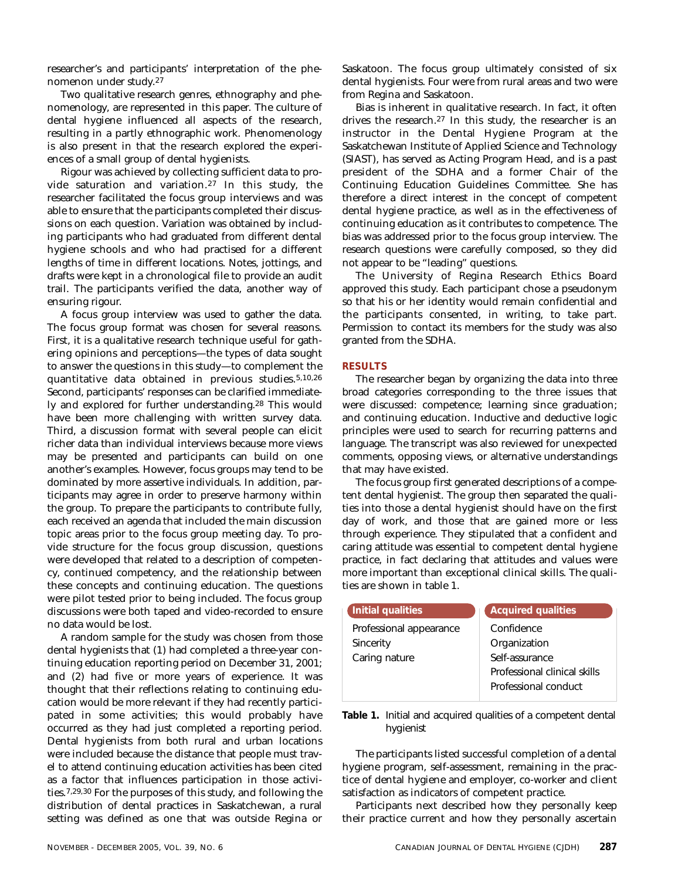researcher's and participants' interpretation of the phenomenon under study.27

Two qualitative research genres, ethnography and phenomenology, are represented in this paper. The culture of dental hygiene influenced all aspects of the research, resulting in a partly ethnographic work. Phenomenology is also present in that the research explored the experiences of a small group of dental hygienists.

Rigour was achieved by collecting sufficient data to provide saturation and variation.27 In this study, the researcher facilitated the focus group interviews and was able to ensure that the participants completed their discussions on each question. Variation was obtained by including participants who had graduated from different dental hygiene schools and who had practised for a different lengths of time in different locations. Notes, jottings, and drafts were kept in a chronological file to provide an audit trail. The participants verified the data, another way of ensuring rigour.

A focus group interview was used to gather the data. The focus group format was chosen for several reasons. First, it is a qualitative research technique useful for gathering opinions and perceptions—the types of data sought to answer the questions in this study—to complement the quantitative data obtained in previous studies.5,10,26 Second, participants' responses can be clarified immediately and explored for further understanding.28 This would have been more challenging with written survey data. Third, a discussion format with several people can elicit richer data than individual interviews because more views may be presented and participants can build on one another's examples. However, focus groups may tend to be dominated by more assertive individuals. In addition, participants may agree in order to preserve harmony within the group. To prepare the participants to contribute fully, each received an agenda that included the main discussion topic areas prior to the focus group meeting day. To provide structure for the focus group discussion, questions were developed that related to a description of competency, continued competency, and the relationship between these concepts and continuing education. The questions were pilot tested prior to being included. The focus group discussions were both taped and video-recorded to ensure no data would be lost.

A random sample for the study was chosen from those dental hygienists that (1) had completed a three-year continuing education reporting period on December 31, 2001; and (2) had five or more years of experience. It was thought that their reflections relating to continuing education would be more relevant if they had recently participated in some activities; this would probably have occurred as they had just completed a reporting period. Dental hygienists from both rural and urban locations were included because the distance that people must travel to attend continuing education activities has been cited as a factor that influences participation in those activities.7,29,30 For the purposes of this study, and following the distribution of dental practices in Saskatchewan, a rural setting was defined as one that was outside Regina or Saskatoon. The focus group ultimately consisted of six dental hygienists. Four were from rural areas and two were from Regina and Saskatoon.

Bias is inherent in qualitative research. In fact, it often drives the research.27 In this study, the researcher is an instructor in the Dental Hygiene Program at the Saskatchewan Institute of Applied Science and Technology (SIAST), has served as Acting Program Head, and is a past president of the SDHA and a former Chair of the Continuing Education Guidelines Committee. She has therefore a direct interest in the concept of competent dental hygiene practice, as well as in the effectiveness of continuing education as it contributes to competence. The bias was addressed prior to the focus group interview. The research questions were carefully composed, so they did not appear to be "leading" questions.

The University of Regina Research Ethics Board approved this study. Each participant chose a pseudonym so that his or her identity would remain confidential and the participants consented, in writing, to take part. Permission to contact its members for the study was also granted from the SDHA.

## **RESULTS**

The researcher began by organizing the data into three broad categories corresponding to the three issues that were discussed: competence; learning since graduation; and continuing education. Inductive and deductive logic principles were used to search for recurring patterns and language. The transcript was also reviewed for unexpected comments, opposing views, or alternative understandings that may have existed.

The focus group first generated descriptions of a competent dental hygienist. The group then separated the qualities into those a dental hygienist should have on the first day of work, and those that are gained more or less through experience. They stipulated that a confident and caring attitude was essential to competent dental hygiene practice, in fact declaring that attitudes and values were more important than exceptional clinical skills. The qualities are shown in table 1.

| Initial qualities       | <b>Acquired qualities</b>    |
|-------------------------|------------------------------|
| Professional appearance | Confidence                   |
| Sincerity               | Organization                 |
| Caring nature           | Self-assurance               |
|                         | Professional clinical skills |
|                         | Professional conduct         |
|                         |                              |

**Table 1.** Initial and acquired qualities of a competent dental hygienist

The participants listed successful completion of a dental hygiene program, self-assessment, remaining in the practice of dental hygiene and employer, co-worker and client satisfaction as indicators of competent practice.

Participants next described how they personally keep their practice current and how they personally ascertain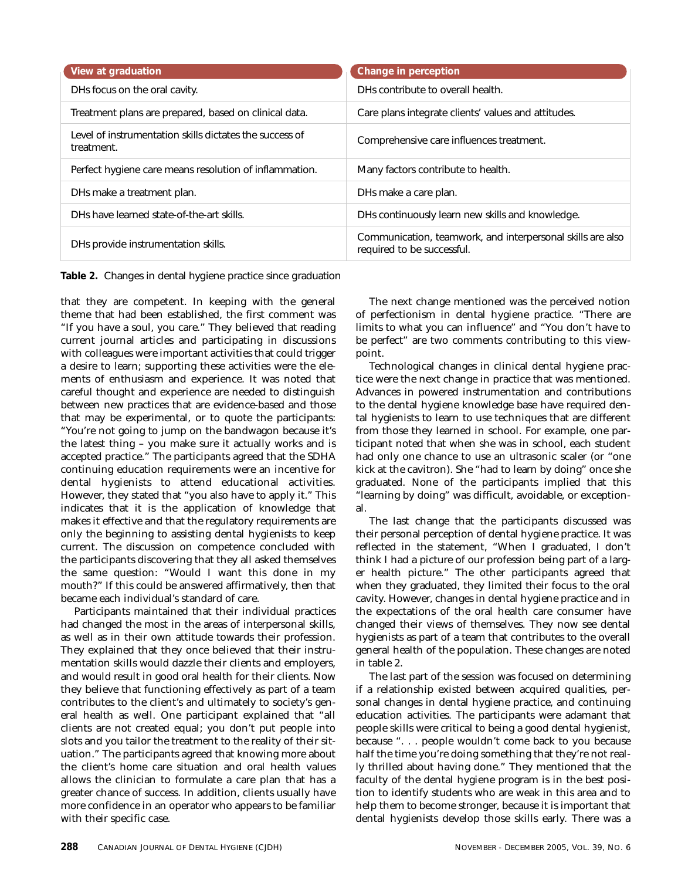| View at graduation                                                    | Change in perception                                                                     |
|-----------------------------------------------------------------------|------------------------------------------------------------------------------------------|
| DHs focus on the oral cavity.                                         | DHs contribute to overall health.                                                        |
| Treatment plans are prepared, based on clinical data.                 | Care plans integrate clients' values and attitudes.                                      |
| Level of instrumentation skills dictates the success of<br>treatment. | Comprehensive care influences treatment.                                                 |
| Perfect hygiene care means resolution of inflammation.                | Many factors contribute to health.                                                       |
| DHs make a treatment plan.                                            | DHs make a care plan.                                                                    |
| DHs have learned state-of-the-art skills.                             | DHs continuously learn new skills and knowledge.                                         |
| DHs provide instrumentation skills.                                   | Communication, teamwork, and interpersonal skills are also<br>required to be successful. |

**Table 2.** Changes in dental hygiene practice since graduation

that they are competent. In keeping with the general theme that had been established, the first comment was "If you have a soul, you care." They believed that reading current journal articles and participating in discussions with colleagues were important activities that could trigger a desire to learn; supporting these activities were the elements of enthusiasm and experience. It was noted that careful thought and experience are needed to distinguish between new practices that are evidence-based and those that may be experimental, or to quote the participants: "You're not going to jump on the bandwagon because it's the latest thing – you make sure it actually works and is accepted practice." The participants agreed that the SDHA continuing education requirements were an incentive for dental hygienists to attend educational activities. However, they stated that "you also have to apply it." This indicates that it is the application of knowledge that makes it effective and that the regulatory requirements are only the beginning to assisting dental hygienists to keep current. The discussion on competence concluded with the participants discovering that they all asked themselves the same question: "Would I want this done in my mouth?" If this could be answered affirmatively, then that became each individual's standard of care.

Participants maintained that their individual practices had changed the most in the areas of interpersonal skills, as well as in their own attitude towards their profession. They explained that they once believed that their instrumentation skills would dazzle their clients and employers, and would result in good oral health for their clients. Now they believe that functioning effectively as part of a team contributes to the client's and ultimately to society's general health as well. One participant explained that "all clients are not created equal; you don't put people into slots and you tailor the treatment to the reality of their situation." The participants agreed that knowing more about the client's home care situation and oral health values allows the clinician to formulate a care plan that has a greater chance of success. In addition, clients usually have more confidence in an operator who appears to be familiar with their specific case.

The next change mentioned was the perceived notion of perfectionism in dental hygiene practice. "There are limits to what you can influence" and "You don't have to be perfect" are two comments contributing to this viewpoint.

Technological changes in clinical dental hygiene practice were the next change in practice that was mentioned. Advances in powered instrumentation and contributions to the dental hygiene knowledge base have required dental hygienists to learn to use techniques that are different from those they learned in school. For example, one participant noted that when she was in school, each student had only one chance to use an ultrasonic scaler (or "one kick at the cavitron). She "had to learn by doing" once she graduated. None of the participants implied that this "learning by doing" was difficult, avoidable, or exceptional.

The last change that the participants discussed was their personal perception of dental hygiene practice. It was reflected in the statement, "When I graduated, I don't think I had a picture of our profession being part of a larger health picture." The other participants agreed that when they graduated, they limited their focus to the oral cavity. However, changes in dental hygiene practice and in the expectations of the oral health care consumer have changed their views of themselves. They now see dental hygienists as part of a team that contributes to the overall general health of the population. These changes are noted in table 2.

The last part of the session was focused on determining if a relationship existed between acquired qualities, personal changes in dental hygiene practice, and continuing education activities. The participants were adamant that people skills were critical to being a good dental hygienist, because ". . . people wouldn't come back to you because half the time you're doing something that they're not really thrilled about having done." They mentioned that the faculty of the dental hygiene program is in the best position to identify students who are weak in this area and to help them to become stronger, because it is important that dental hygienists develop those skills early. There was a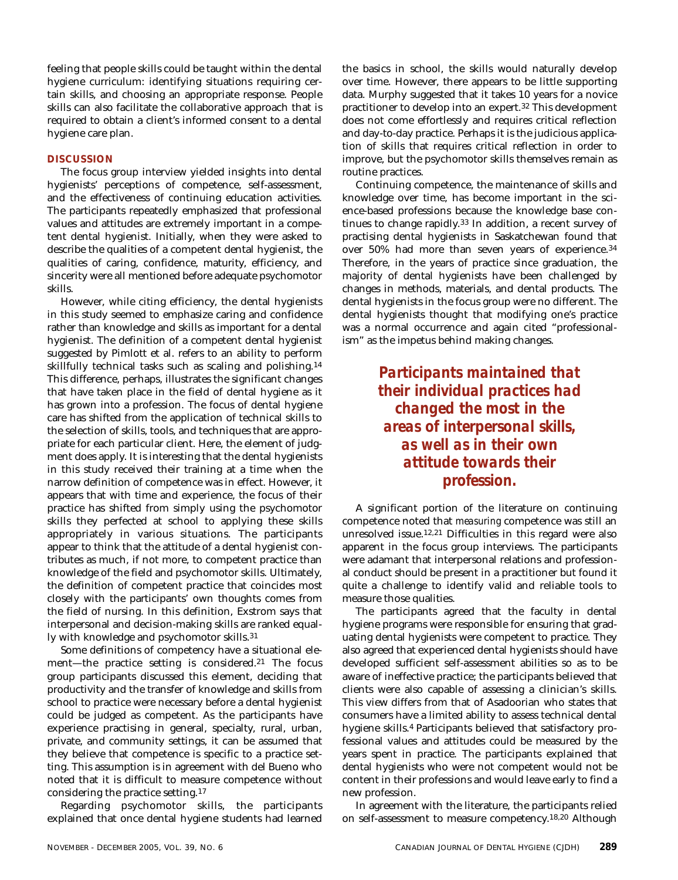feeling that people skills could be taught within the dental hygiene curriculum: identifying situations requiring certain skills, and choosing an appropriate response. People skills can also facilitate the collaborative approach that is required to obtain a client's informed consent to a dental hygiene care plan.

# **DISCUSSION**

The focus group interview yielded insights into dental hygienists' perceptions of competence, self-assessment, and the effectiveness of continuing education activities. The participants repeatedly emphasized that professional values and attitudes are extremely important in a competent dental hygienist. Initially, when they were asked to describe the qualities of a competent dental hygienist, the qualities of caring, confidence, maturity, efficiency, and sincerity were all mentioned before adequate psychomotor skills.

However, while citing efficiency, the dental hygienists in this study seemed to emphasize caring and confidence rather than knowledge and skills as important for a dental hygienist. The definition of a competent dental hygienist suggested by Pimlott et al. refers to an ability to perform skillfully technical tasks such as scaling and polishing.14 This difference, perhaps, illustrates the significant changes that have taken place in the field of dental hygiene as it has grown into a profession. The focus of dental hygiene care has shifted from the application of technical skills to the selection of skills, tools, and techniques that are appropriate for each particular client. Here, the element of judgment does apply. It is interesting that the dental hygienists in this study received their training at a time when the narrow definition of competence was in effect. However, it appears that with time and experience, the focus of their practice has shifted from simply using the psychomotor skills they perfected at school to applying these skills appropriately in various situations. The participants appear to think that the attitude of a dental hygienist contributes as much, if not more, to competent practice than knowledge of the field and psychomotor skills. Ultimately, the definition of competent practice that coincides most closely with the participants' own thoughts comes from the field of nursing. In this definition, Exstrom says that interpersonal and decision-making skills are ranked equally with knowledge and psychomotor skills.31

Some definitions of competency have a situational element—the practice setting is considered.<sup>21</sup> The focus group participants discussed this element, deciding that productivity and the transfer of knowledge and skills from school to practice were necessary before a dental hygienist could be judged as competent. As the participants have experience practising in general, specialty, rural, urban, private, and community settings, it can be assumed that they believe that competence is specific to a practice setting. This assumption is in agreement with del Bueno who noted that it is difficult to measure competence without considering the practice setting.17

Regarding psychomotor skills, the participants explained that once dental hygiene students had learned

the basics in school, the skills would naturally develop over time. However, there appears to be little supporting data. Murphy suggested that it takes 10 years for a novice practitioner to develop into an expert.32 This development does not come effortlessly and requires critical reflection and day-to-day practice. Perhaps it is the judicious application of skills that requires critical reflection in order to improve, but the psychomotor skills themselves remain as routine practices.

Continuing competence, the maintenance of skills and knowledge over time, has become important in the science-based professions because the knowledge base continues to change rapidly.33 In addition, a recent survey of practising dental hygienists in Saskatchewan found that over 50% had more than seven years of experience.34 Therefore, in the years of practice since graduation, the majority of dental hygienists have been challenged by changes in methods, materials, and dental products. The dental hygienists in the focus group were no different. The dental hygienists thought that modifying one's practice was a normal occurrence and again cited "professionalism" as the impetus behind making changes.

> *Participants maintained that their individual practices had changed the most in the areas of interpersonal skills, as well as in their own attitude towards their profession.*

A significant portion of the literature on continuing competence noted that *measuring* competence was still an unresolved issue.12,21 Difficulties in this regard were also apparent in the focus group interviews. The participants were adamant that interpersonal relations and professional conduct should be present in a practitioner but found it quite a challenge to identify valid and reliable tools to measure those qualities.

The participants agreed that the faculty in dental hygiene programs were responsible for ensuring that graduating dental hygienists were competent to practice. They also agreed that experienced dental hygienists should have developed sufficient self-assessment abilities so as to be aware of ineffective practice; the participants believed that clients were also capable of assessing a clinician's skills. This view differs from that of Asadoorian who states that consumers have a limited ability to assess technical dental hygiene skills.4 Participants believed that satisfactory professional values and attitudes could be measured by the years spent in practice. The participants explained that dental hygienists who were not competent would not be content in their professions and would leave early to find a new profession.

In agreement with the literature, the participants relied on self-assessment to measure competency.18,20 Although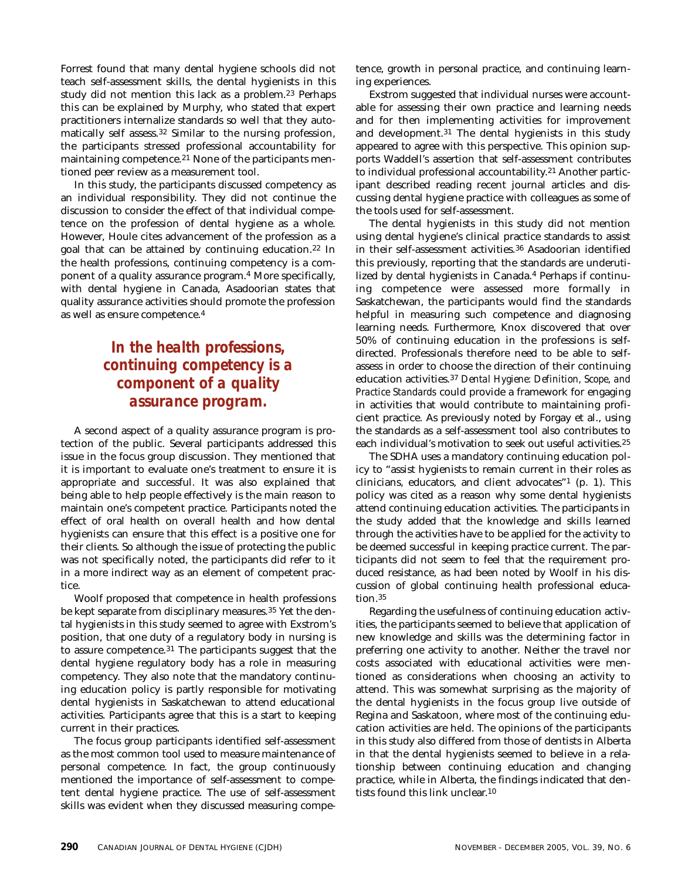Forrest found that many dental hygiene schools did not teach self-assessment skills, the dental hygienists in this study did not mention this lack as a problem.<sup>23</sup> Perhaps this can be explained by Murphy, who stated that expert practitioners internalize standards so well that they automatically self assess.32 Similar to the nursing profession, the participants stressed professional accountability for maintaining competence.<sup>21</sup> None of the participants mentioned peer review as a measurement tool.

In this study, the participants discussed competency as an individual responsibility. They did not continue the discussion to consider the effect of that individual competence on the profession of dental hygiene as a whole. However, Houle cites advancement of the profession as a goal that can be attained by continuing education.22 In the health professions, continuing competency is a component of a quality assurance program.4 More specifically, with dental hygiene in Canada, Asadoorian states that quality assurance activities should promote the profession as well as ensure competence.4

# *In the health professions, continuing competency is a component of a quality assurance program.*

A second aspect of a quality assurance program is protection of the public. Several participants addressed this issue in the focus group discussion. They mentioned that it is important to evaluate one's treatment to ensure it is appropriate and successful. It was also explained that being able to help people effectively is the main reason to maintain one's competent practice. Participants noted the effect of oral health on overall health and how dental hygienists can ensure that this effect is a positive one for their clients. So although the issue of protecting the public was not specifically noted, the participants did refer to it in a more indirect way as an element of competent practice.

Woolf proposed that competence in health professions be kept separate from disciplinary measures.35 Yet the dental hygienists in this study seemed to agree with Exstrom's position, that one duty of a regulatory body in nursing is to assure competence.31 The participants suggest that the dental hygiene regulatory body has a role in measuring competency. They also note that the mandatory continuing education policy is partly responsible for motivating dental hygienists in Saskatchewan to attend educational activities. Participants agree that this is a start to keeping current in their practices.

The focus group participants identified self-assessment as the most common tool used to measure maintenance of personal competence. In fact, the group continuously mentioned the importance of self-assessment to competent dental hygiene practice. The use of self-assessment skills was evident when they discussed measuring competence, growth in personal practice, and continuing learning experiences.

Exstrom suggested that individual nurses were accountable for assessing their own practice and learning needs and for then implementing activities for improvement and development.31 The dental hygienists in this study appeared to agree with this perspective. This opinion supports Waddell's assertion that self-assessment contributes to individual professional accountability.21 Another participant described reading recent journal articles and discussing dental hygiene practice with colleagues as some of the tools used for self-assessment.

The dental hygienists in this study did not mention using dental hygiene's clinical practice standards to assist in their self-assessment activities.36 Asadoorian identified this previously, reporting that the standards are underutilized by dental hygienists in Canada.4 Perhaps if continuing competence were assessed more formally in Saskatchewan, the participants would find the standards helpful in measuring such competence and diagnosing learning needs. Furthermore, Knox discovered that over 50% of continuing education in the professions is selfdirected. Professionals therefore need to be able to selfassess in order to choose the direction of their continuing education activities.37 *Dental Hygiene: Definition, Scope, and Practice Standards* could provide a framework for engaging in activities that would contribute to maintaining proficient practice. As previously noted by Forgay et al., using the standards as a self-assessment tool also contributes to each individual's motivation to seek out useful activities.25

The SDHA uses a mandatory continuing education policy to "assist hygienists to remain current in their roles as clinicians, educators, and client advocates"1 (p. 1). This policy was cited as a reason why some dental hygienists attend continuing education activities. The participants in the study added that the knowledge and skills learned through the activities have to be applied for the activity to be deemed successful in keeping practice current. The participants did not seem to feel that the requirement produced resistance, as had been noted by Woolf in his discussion of global continuing health professional education.35

Regarding the usefulness of continuing education activities, the participants seemed to believe that application of new knowledge and skills was the determining factor in preferring one activity to another. Neither the travel nor costs associated with educational activities were mentioned as considerations when choosing an activity to attend. This was somewhat surprising as the majority of the dental hygienists in the focus group live outside of Regina and Saskatoon, where most of the continuing education activities are held. The opinions of the participants in this study also differed from those of dentists in Alberta in that the dental hygienists seemed to believe in a relationship between continuing education and changing practice, while in Alberta, the findings indicated that dentists found this link unclear.10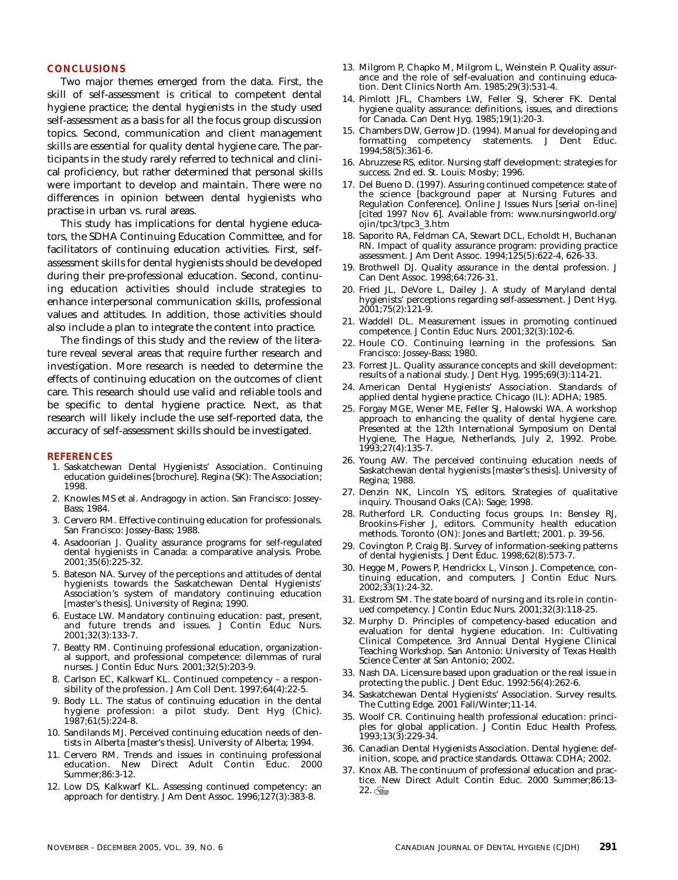### **CONCLUSIONS**

Two major themes emerged from the data. First, the skill of self-assessment is critical to competent dental hygiene practice; the dental hygienists in the study used self-assessment as a basis for all the focus group discussion topics. Second, communication and client management skills are essential for quality dental hygiene care. The participants in the study rarely referred to technical and clinical proficiency, but rather determined that personal skills were important to develop and maintain. There were no differences in opinion between dental hygienists who practise in urban vs. rural areas.

This study has implications for dental hygiene educators, the SDHA Continuing Education Committee, and for facilitators of continuing education activities. First, selfassessment skills for dental hygienists should be developed during their pre-professional education. Second, continuing education activities should include strategies to enhance interpersonal communication skills, professional values and attitudes. In addition, those activities should also include a plan to integrate the content into practice.

The findings of this study and the review of the literature reveal several areas that require further research and investigation. More research is needed to determine the effects of continuing education on the outcomes of client care. This research should use valid and reliable tools and be specific to dental hygiene practice. Next, as that research will likely include the use self-reported data, the accuracy of self-assessment skills should be investigated.

#### **REFERENCES**

- 1. Saskatchewan Dental Hygienists' Association. Continuing education guidelines [brochure]. Regina (SK): The Association; 1998.
- 2. Knowles MS et al. Andragogy in action. San Francisco: Jossey-Bass; 1984.
- 3. Cervero RM. Effective continuing education for professionals. San Francisco: Jossey-Bass; 1988.
- 4. Asadoorian J. Quality assurance programs for self-regulated dental hygienists in Canada: a comparative analysis. Probe. 2001;35(6):225-32.
- 5. Bateson NA. Survey of the perceptions and attitudes of dental hygienists towards the Saskatchewan Dental Hygienists' Association's system of mandatory continuing education [master's thesis]. University of Regina; 1990.
- 6. Eustace LW. Mandatory continuing education: past, present, and future trends and issues. J Contin Educ Nurs. 2001;32(3):133-7.
- 7. Beatty RM. Continuing professional education, organizational support, and professional competence: dilemmas of rural nurses. J Contin Educ Nurs. 2001;32(5):203-9.
- 8. Carlson EC, Kalkwarf KL. Continued competency a responsibility of the profession. J Am Coll Dent.  $1997;64(4):22-5$ .
- 9. Body LL. The status of continuing education in the dental hygiene profession: a pilot study. Dent Hyg (Chic). 1987;61(5):224-8.
- 10. Sandilands MJ. Perceived continuing education needs of dentists in Alberta [master's thesis]. University of Alberta; 1994.
- 11. Cervero RM. Trends and issues in continuing professional education. New Direct Adult Contin Educ. 2000 Summer;86:3-12.
- 12. Low DS, Kalkwarf KL. Assessing continued competency: an approach for dentistry. J Am Dent Assoc. 1996;127(3):383-8.
- 13. Milgrom P, Chapko M, Milgrom L, Weinstein P. Quality assurance and the role of self-evaluation and continuing education. Dent Clinics North Am. 1985;29(3):531-4.
- 14. Pimlott JFL, Chambers LW, Feller SJ, Scherer FK. Dental hygiene quality assurance: definitions, issues, and directions for Canada. Can Dent Hyg. 1985;19(1):20-3.
- 15. Chambers DW, Gerrow JD. (1994). Manual for developing and formatting competency statements. J Dent Educ. 1994;58(5):361-6.
- 16. Abruzzese RS, editor. Nursing staff development: strategies for success. 2nd ed. St. Louis: Mosby; 1996.
- 17. Del Bueno D. (1997). Assuring continued competence: state of the science [background paper at Nursing Futures and Regulation Conference]. Online J Issues Nurs [serial on-line] [cited 1997 Nov 6]. Available from: www.nursingworld.org/ ojin/tpc3/tpc3\_3.htm
- 18. Saporito RA, Feldman CA, Stewart DCL, Echoldt H, Buchanan RN. Impact of quality assurance program: providing practice assessment. J Am Dent Assoc. 1994;125(5):622-4, 626-33.
- 19. Brothwell DJ. Quality assurance in the dental profession. J Can Dent Assoc. 1998;64:726-31.
- 20. Fried JL, DeVore L, Dailey J. A study of Maryland dental hygienists' perceptions regarding self-assessment. J Dent Hyg. 2001;75(2):121-9.
- 21. Waddell DL. Measurement issues in promoting continued competence. J Contin Educ Nurs. 2001;32(3):102-6.
- 22. Houle CO. Continuing learning in the professions. San Francisco: Jossey-Bass; 1980.
- 23. Forrest JL. Quality assurance concepts and skill development: results of a national study. J Dent Hyg. 1995;69(3):114-21.
- 24. American Dental Hygienists' Association. Standards of applied dental hygiene practice. Chicago (IL): ADHA; 1985.
- 25. Forgay MGE, Wener ME, Feller SJ, Halowski WA. A workshop approach to enhancing the quality of dental hygiene care. Presented at the 12th International Symposium on Dental Hygiene, The Hague, Netherlands, July 2, 1992. Probe. 1993;27(4):135-7.
- 26. Young AW. The perceived continuing education needs of Saskatchewan dental hygienists [master's thesis]. University of Regina; 1988.
- 27. Denzin NK, Lincoln YS, editors. Strategies of qualitative inquiry. Thousand Oaks (CA): Sage; 1998.
- 28. Rutherford LR. Conducting focus groups. In: Bensley RJ, Brookins-Fisher J, editors. Community health education methods. Toronto (ON): Jones and Bartlett; 2001. p. 39-56.
- 29. Covington P, Craig BJ. Survey of information-seeking patterns of dental hygienists. J Dent Educ. 1998;62(8):573-7.
- 30. Hegge M, Powers P, Hendrickx L, Vinson J. Competence, continuing education, and computers. J Contin Educ Nurs. 2002;33(1):24-32.
- 31. Exstrom SM. The state board of nursing and its role in continued competency. J Contin Educ Nurs. 2001;32(3):118-25.
- 32. Murphy D. Principles of competency-based education and evaluation for dental hygiene education. In: Cultivating Clinical Competence. 3rd Annual Dental Hygiene Clinical Teaching Workshop. San Antonio: University of Texas Health Science Center at San Antonio; 2002.
- 33. Nash DA. Licensure based upon graduation or the real issue in protecting the public. J Dent Educ. 1992:56(4):262-6.
- 34. Saskatchewan Dental Hygienists' Association. Survey results. The Cutting Edge. 2001 Fall/Winter;11-14.
- 35. Woolf CR. Continuing health professional education: principles for global application. J Contin Educ Health Profess. 1993;13(3):229-34.
- 36. Canadian Dental Hygienists Association. Dental hygiene: definition, scope, and practice standards. Ottawa: CDHA; 2002.
- 37. Knox AB. The continuum of professional education and practice. New Direct Adult Contin Educ. 2000 Summer;86:13-  $22.$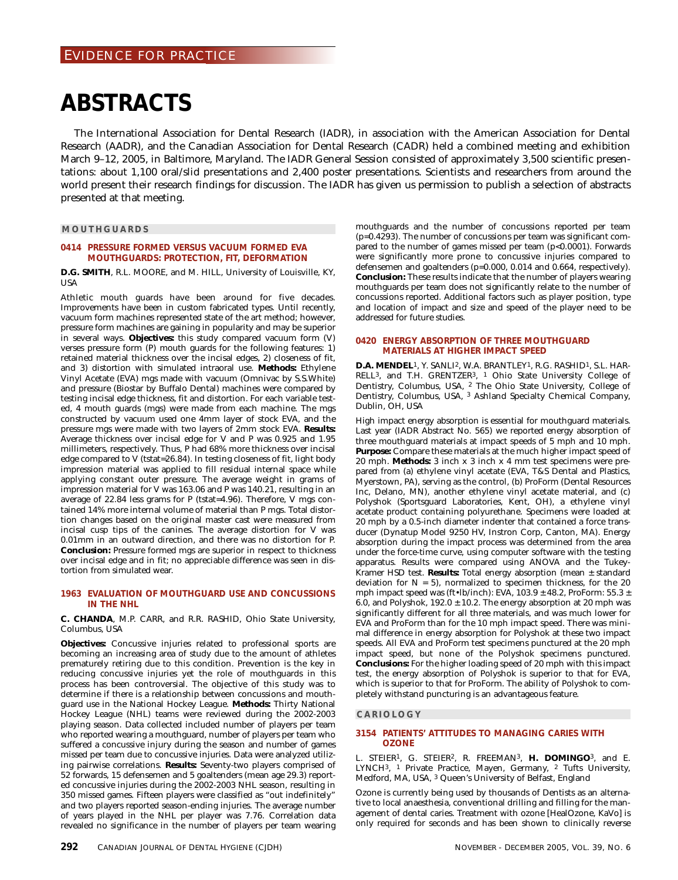# **ABSTRACTS**

The International Association for Dental Research (IADR), in association with the American Association for Dental Research (AADR), and the Canadian Association for Dental Research (CADR) held a combined meeting and exhibition March 9–12, 2005, in Baltimore, Maryland. The IADR General Session consisted of approximately 3,500 scientific presentations: about 1,100 oral/slid presentations and 2,400 poster presentations. Scientists and researchers from around the world present their research findings for discussion. The IADR has given us permission to publish a selection of abstracts presented at that meeting.

### **MOUTHGUARDS**

#### **0414 PRESSURE FORMED VERSUS VACUUM FORMED EVA MOUTHGUARDS: PROTECTION, FIT, DEFORMATION**

**D.G. SMITH**, R.L. MOORE, and M. HILL, University of Louisville, KY, USA

Athletic mouth guards have been around for five decades. Improvements have been in custom fabricated types. Until recently, vacuum form machines represented state of the art method; however, pressure form machines are gaining in popularity and may be superior in several ways. **Objectives:** this study compared vacuum form (V) verses pressure form (P) mouth guards for the following features: 1) retained material thickness over the incisal edges, 2) closeness of fit, and 3) distortion with simulated intraoral use. **Methods:** Ethylene Vinyl Acetate (EVA) mgs made with vacuum (Omnivac by S.S.White) and pressure (Biostar by Buffalo Dental) machines were compared by testing incisal edge thickness, fit and distortion. For each variable tested, 4 mouth guards (mgs) were made from each machine. The mgs constructed by vacuum used one 4mm layer of stock EVA, and the pressure mgs were made with two layers of 2mm stock EVA. **Results:** Average thickness over incisal edge for V and P was 0.925 and 1.95 millimeters, respectively. Thus, P had 68% more thickness over incisal edge compared to V (tstat=26.84). In testing closeness of fit, light body impression material was applied to fill residual internal space while applying constant outer pressure. The average weight in grams of impression material for V was 163.06 and P was 140.21, resulting in an average of 22.84 less grams for P (tstat=4.96). Therefore, V mgs contained 14% more internal volume of material than P mgs. Total distortion changes based on the original master cast were measured from incisal cusp tips of the canines. The average distortion for V was 0.01mm in an outward direction, and there was no distortion for P. **Conclusion:** Pressure formed mgs are superior in respect to thickness over incisal edge and in fit; no appreciable difference was seen in distortion from simulated wear.

## **1963 EVALUATION OF MOUTHGUARD USE AND CONCUSSIONS IN THE NHL**

**C. CHANDA**, M.P. CARR, and R.R. RASHID, Ohio State University, Columbus, USA

**Objectives:** Concussive injuries related to professional sports are becoming an increasing area of study due to the amount of athletes prematurely retiring due to this condition. Prevention is the key in reducing concussive injuries yet the role of mouthguards in this process has been controversial. The objective of this study was to determine if there is a relationship between concussions and mouthguard use in the National Hockey League. **Methods:** Thirty National Hockey League (NHL) teams were reviewed during the 2002-2003 playing season. Data collected included number of players per team who reported wearing a mouthguard, number of players per team who suffered a concussive injury during the season and number of games missed per team due to concussive injuries. Data were analyzed utilizing pairwise correlations. **Results:** Seventy-two players comprised of 52 forwards, 15 defensemen and 5 goaltenders (mean age 29.3) reported concussive injuries during the 2002-2003 NHL season, resulting in 350 missed games. Fifteen players were classified as "out indefinitely" and two players reported season-ending injuries. The average number of years played in the NHL per player was 7.76. Correlation data revealed no significance in the number of players per team wearing

mouthguards and the number of concussions reported per team (p=0.4293). The number of concussions per team was significant compared to the number of games missed per team (p<0.0001). Forwards were significantly more prone to concussive injuries compared to defensemen and goaltenders (p=0.000, 0.014 and 0.664, respectively). **Conclusion:** These results indicate that the number of players wearing mouthguards per team does not significantly relate to the number of concussions reported. Additional factors such as player position, type and location of impact and size and speed of the player need to be addressed for future studies.

## **0420 ENERGY ABSORPTION OF THREE MOUTHGUARD MATERIALS AT HIGHER IMPACT SPEED**

**D.A. MENDEL**1, Y. SANLI2, W.A. BRANTLEY1, R.G. RASHID1, S.L. HAR-RELL3, and T.H. GRENTZER3, 1 Ohio State University College of Dentistry, Columbus, USA, 2 The Ohio State University, College of Dentistry, Columbus, USA, 3 Ashland Specialty Chemical Company, Dublin, OH, USA

High impact energy absorption is essential for mouthguard materials. Last year (IADR Abstract No. 565) we reported energy absorption of three mouthguard materials at impact speeds of 5 mph and 10 mph. **Purpose:** Compare these materials at the much higher impact speed of 20 mph. **Methods:** 3 inch x 3 inch x 4 mm test specimens were prepared from (a) ethylene vinyl acetate (EVA, T&S Dental and Plastics, Myerstown, PA), serving as the control, (b) ProForm (Dental Resources Inc, Delano, MN), another ethylene vinyl acetate material, and (c) Polyshok (Sportsguard Laboratories, Kent, OH), a ethylene vinyl acetate product containing polyurethane. Specimens were loaded at 20 mph by a 0.5-inch diameter indenter that contained a force transducer (Dynatup Model 9250 HV, Instron Corp, Canton, MA). Energy absorption during the impact process was determined from the area under the force-time curve, using computer software with the testing apparatus. Results were compared using ANOVA and the Tukey-Kramer HSD test. **Results:** Total energy absorption (mean ± standard deviation for  $N = 5$ ), normalized to specimen thickness, for the 20 mph impact speed was (ft•lb/inch): EVA,  $103.9 \pm 48.2$ , ProForm:  $55.3 \pm 10.5$ 6.0, and Polyshok,  $192.0 \pm 10.2$ . The energy absorption at 20 mph was significantly different for all three materials, and was much lower for EVA and ProForm than for the 10 mph impact speed. There was minimal difference in energy absorption for Polyshok at these two impact speeds. All EVA and ProForm test specimens punctured at the 20 mph impact speed, but none of the Polyshok specimens punctured. **Conclusions:** For the higher loading speed of 20 mph with this impact test, the energy absorption of Polyshok is superior to that for EVA, which is superior to that for ProForm. The ability of Polyshok to completely withstand puncturing is an advantageous feature.

### **CARIOLOGY**

#### **3154 PATIENTS' ATTITUDES TO MANAGING CARIES WITH OZONE**

L. STEIER1, G. STEIER2, R. FREEMAN3, **H. DOMINGO**3, and E. LYNCH3, 1 Private Practice, Mayen, Germany, 2 Tufts University, Medford, MA, USA, 3 Queen's University of Belfast, England

Ozone is currently being used by thousands of Dentists as an alternative to local anaesthesia, conventional drilling and filling for the management of dental caries. Treatment with ozone [HealOzone, KaVo] is only required for seconds and has been shown to clinically reverse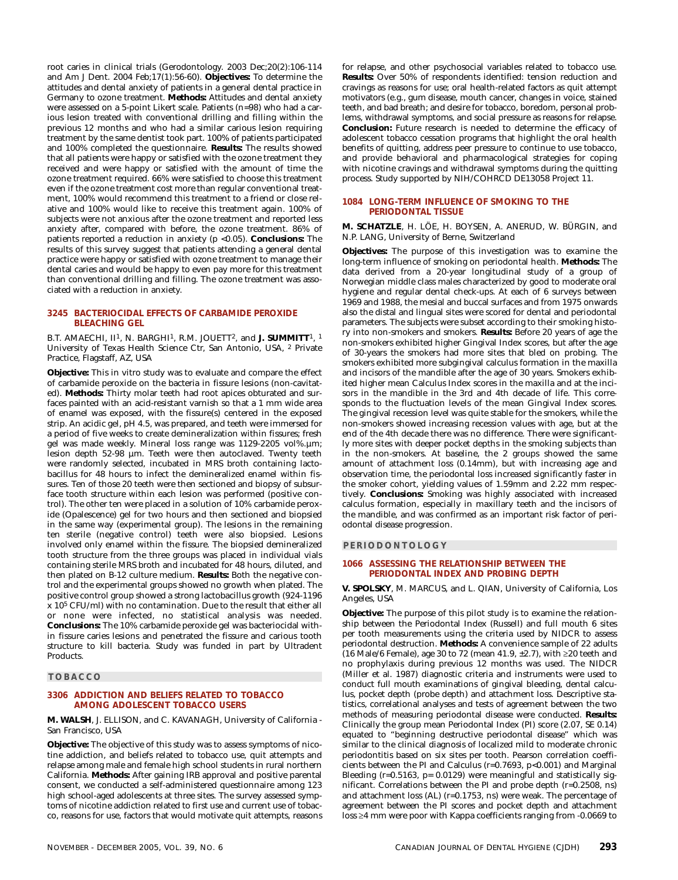root caries in clinical trials (Gerodontology. 2003 Dec;20(2):106-114 and Am J Dent. 2004 Feb;17(1):56-60). **Objectives:** To determine the attitudes and dental anxiety of patients in a general dental practice in Germany to ozone treatment. **Methods:** Attitudes and dental anxiety were assessed on a 5-point Likert scale. Patients (n=98) who had a carious lesion treated with conventional drilling and filling within the previous 12 months and who had a similar carious lesion requiring treatment by the same dentist took part. 100% of patients participated and 100% completed the questionnaire. **Results:** The results showed that all patients were happy or satisfied with the ozone treatment they received and were happy or satisfied with the amount of time the ozone treatment required. 66% were satisfied to choose this treatment even if the ozone treatment cost more than regular conventional treatment, 100% would recommend this treatment to a friend or close relative and 100% would like to receive this treatment again. 100% of subjects were not anxious after the ozone treatment and reported less anxiety after, compared with before, the ozone treatment. 86% of patients reported a reduction in anxiety (p <0.05). **Conclusions:** The results of this survey suggest that patients attending a general dental practice were happy or satisfied with ozone treatment to manage their dental caries and would be happy to even pay more for this treatment than conventional drilling and filling. The ozone treatment was associated with a reduction in anxiety.

#### **3245 BACTERIOCIDAL EFFECTS OF CARBAMIDE PEROXIDE BLEACHING GEL**

B.T. AMAECHI, II1, N. BARGHI1, R.M. JOUETT2, and **J. SUMMITT**1, 1 University of Texas Health Science Ctr, San Antonio, USA, 2 Private Practice, Flagstaff, AZ, USA

**Objective:** This in vitro study was to evaluate and compare the effect of carbamide peroxide on the bacteria in fissure lesions (non-cavitated). **Methods:** Thirty molar teeth had root apices obturated and surfaces painted with an acid-resistant varnish so that a 1 mm wide area of enamel was exposed, with the fissure(s) centered in the exposed strip. An acidic gel, pH 4.5, was prepared, and teeth were immersed for a period of five weeks to create demineralization within fissures; fresh gel was made weekly. Mineral loss range was 1129-2205 vol%.µm; lesion depth 52-98 µm. Teeth were then autoclaved. Twenty teeth were randomly selected, incubated in MRS broth containing lactobacillus for 48 hours to infect the demineralized enamel within fissures. Ten of those 20 teeth were then sectioned and biopsy of subsurface tooth structure within each lesion was performed (positive control). The other ten were placed in a solution of 10% carbamide peroxide (Opalescence) gel for two hours and then sectioned and biopsied in the same way (experimental group). The lesions in the remaining ten sterile (negative control) teeth were also biopsied. Lesions involved only enamel within the fissure. The biopsied demineralized tooth structure from the three groups was placed in individual vials containing sterile MRS broth and incubated for 48 hours, diluted, and then plated on B-12 culture medium. **Results:** Both the negative control and the experimental groups showed no growth when plated. The positive control group showed a strong lactobacillus growth (924-1196 x 105 CFU/ml) with no contamination. Due to the result that either all or none were infected, no statistical analysis was needed. **Conclusions:** The 10% carbamide peroxide gel was bacteriocidal within fissure caries lesions and penetrated the fissure and carious tooth structure to kill bacteria. Study was funded in part by Ultradent Products.

#### **TOBACCO**

### **3306 ADDICTION AND BELIEFS RELATED TO TOBACCO AMONG ADOLESCENT TOBACCO USERS**

**M. WALSH**, J. ELLISON, and C. KAVANAGH, University of California - San Francisco, USA

**Objective:** The objective of this study was to assess symptoms of nicotine addiction, and beliefs related to tobacco use, quit attempts and relapse among male and female high school students in rural northern California. **Methods:** After gaining IRB approval and positive parental consent, we conducted a self-administered questionnaire among 123 high school-aged adolescents at three sites. The survey assessed symptoms of nicotine addiction related to first use and current use of tobacco, reasons for use, factors that would motivate quit attempts, reasons for relapse, and other psychosocial variables related to tobacco use. **Results:** Over 50% of respondents identified: tension reduction and cravings as reasons for use; oral health-related factors as quit attempt motivators (e.g., gum disease, mouth cancer, changes in voice, stained teeth, and bad breath; and desire for tobacco, boredom, personal problems, withdrawal symptoms, and social pressure as reasons for relapse. **Conclusion:** Future research is needed to determine the efficacy of adolescent tobacco cessation programs that highlight the oral health benefits of quitting, address peer pressure to continue to use tobacco, and provide behavioral and pharmacological strategies for coping with nicotine cravings and withdrawal symptoms during the quitting process. Study supported by NIH/COHRCD DE13058 Project 11.

#### **1084 LONG-TERM INFLUENCE OF SMOKING TO THE PERIODONTAL TISSUE**

**M. SCHATZLE**, H. LÖE, H. BOYSEN, A. ANERUD, W. BÜRGIN, and N.P. LANG, University of Berne, Switzerland

**Objectives:** The purpose of this investigation was to examine the long-term influence of smoking on periodontal health. **Methods:** The data derived from a 20-year longitudinal study of a group of Norwegian middle class males characterized by good to moderate oral hygiene and regular dental check-ups. At each of 6 surveys between 1969 and 1988, the mesial and buccal surfaces and from 1975 onwards also the distal and lingual sites were scored for dental and periodontal parameters. The subjects were subset according to their smoking history into non-smokers and smokers. **Results:** Before 20 years of age the non-smokers exhibited higher Gingival Index scores, but after the age of 30-years the smokers had more sites that bled on probing. The smokers exhibited more subgingival calculus formation in the maxilla and incisors of the mandible after the age of 30 years. Smokers exhibited higher mean Calculus Index scores in the maxilla and at the incisors in the mandible in the 3rd and 4th decade of life. This corresponds to the fluctuation levels of the mean Gingival Index scores. The gingival recession level was quite stable for the smokers, while the non-smokers showed increasing recession values with age, but at the end of the 4th decade there was no difference. There were significantly more sites with deeper pocket depths in the smoking subjects than in the non-smokers. At baseline, the 2 groups showed the same amount of attachment loss (0.14mm), but with increasing age and observation time, the periodontal loss increased significantly faster in the smoker cohort, yielding values of 1.59mm and 2.22 mm respectively. **Conclusions:** Smoking was highly associated with increased calculus formation, especially in maxillary teeth and the incisors of the mandible, and was confirmed as an important risk factor of periodontal disease progression.

#### **PERIODONTOLOGY**

#### **1066 ASSESSING THE RELATIONSHIP BETWEEN THE PERIODONTAL INDEX AND PROBING DEPTH**

**V. SPOLSKY**, M. MARCUS, and L. QIAN, University of California, Los Angeles, USA

**Objective:** The purpose of this pilot study is to examine the relationship between the Periodontal Index (Russell) and full mouth 6 sites per tooth measurements using the criteria used by NIDCR to assess periodontal destruction. **Methods:** A convenience sample of 22 adults (16 Male/6 Female), age 30 to 72 (mean 41.9, ±2.7), with ≥20 teeth and no prophylaxis during previous 12 months was used. The NIDCR (Miller et al. 1987) diagnostic criteria and instruments were used to conduct full mouth examinations of gingival bleeding, dental calculus, pocket depth (probe depth) and attachment loss. Descriptive statistics, correlational analyses and tests of agreement between the two methods of measuring periodontal disease were conducted. **Results:** Clinically the group mean Periodontal Index (PI) score (2.07, SE 0.14) equated to "beginning destructive periodontal disease" which was similar to the clinical diagnosis of localized mild to moderate chronic periodontitis based on six sites per tooth. Pearson correlation coefficients between the PI and Calculus (r=0.7693, p<0.001) and Marginal Bleeding ( $r=0.5163$ ,  $p= 0.0129$ ) were meaningful and statistically significant. Correlations between the PI and probe depth (r=0.2508, ns) and attachment loss (AL) (r=0.1753, ns) were weak. The percentage of agreement between the PI scores and pocket depth and attachment loss ≥4 mm were poor with Kappa coefficients ranging from -0.0669 to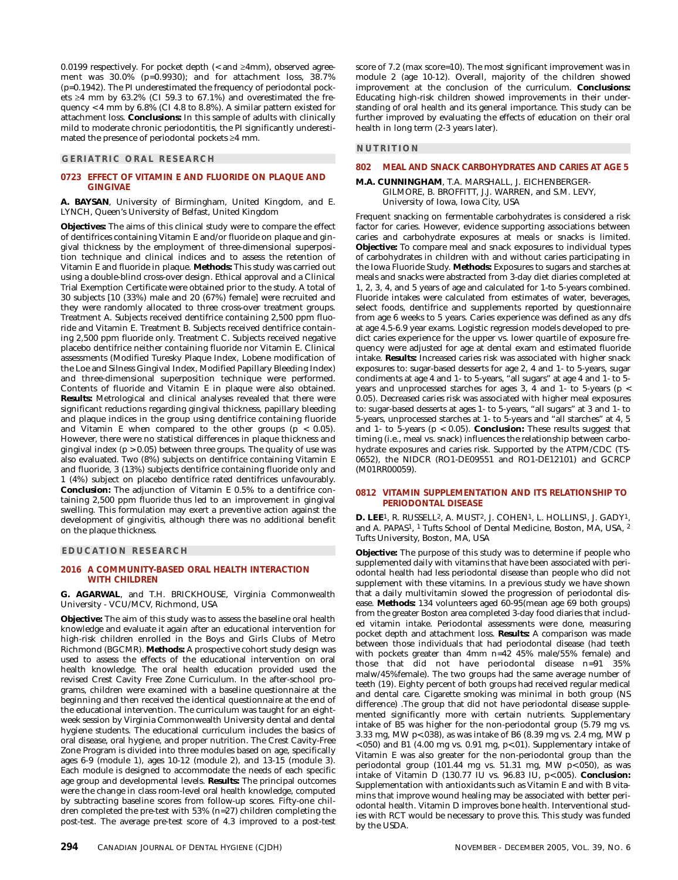0.0199 respectively. For pocket depth (< and ≥4mm), observed agreement was 30.0% (p=0.9930); and for attachment loss, 38.7% (p=0.1942). The PI underestimated the frequency of periodontal pockets ≥4 mm by  $63.2\%$  (CI 59.3 to  $67.1\%$ ) and overestimated the frequency < 4 mm by 6.8% (CI 4.8 to 8.8%). A similar pattern existed for attachment loss. **Conclusions:** In this sample of adults with clinically mild to moderate chronic periodontitis, the PI significantly underestimated the presence of periodontal pockets ≥4 mm.

## **GERIATRIC ORAL RESEARCH**

### **0723 EFFECT OF VITAMIN E AND FLUORIDE ON PLAQUE AND GINGIVAE**

**A. BAYSAN**, University of Birmingham, United Kingdom, and E. LYNCH, Queen's University of Belfast, United Kingdom

**Objectives:** The aims of this clinical study were to compare the effect of dentifrices containing Vitamin E and/or fluoride on plaque and gingival thickness by the employment of three-dimensional superposition technique and clinical indices and to assess the retention of Vitamin E and fluoride in plaque. **Methods:** This study was carried out using a double-blind cross-over design. Ethical approval and a Clinical Trial Exemption Certificate were obtained prior to the study. A total of 30 subjects [10 (33%) male and 20 (67%) female] were recruited and they were randomly allocated to three cross-over treatment groups. Treatment A. Subjects received dentifrice containing 2,500 ppm fluoride and Vitamin E. Treatment B. Subjects received dentifrice containing 2,500 ppm fluoride only. Treatment C. Subjects received negative placebo dentifrice neither containing fluoride nor Vitamin E. Clinical assessments (Modified Turesky Plaque Index, Lobene modification of the Loe and Silness Gingival Index, Modified Papillary Bleeding Index) and three-dimensional superposition technique were performed. Contents of fluoride and Vitamin E in plaque were also obtained. **Results:** Metrological and clinical analyses revealed that there were significant reductions regarding gingival thickness, papillary bleeding and plaque indices in the group using dentifrice containing fluoride and Vitamin E when compared to the other groups ( $p < 0.05$ ). However, there were no statistical differences in plaque thickness and gingival index  $(p > 0.05)$  between three groups. The quality of use was also evaluated. Two (8%) subjects on dentifrice containing Vitamin E and fluoride, 3 (13%) subjects dentifrice containing fluoride only and 1 (4%) subject on placebo dentifrice rated dentifrices unfavourably. **Conclusion:** The adjunction of Vitamin E 0.5% to a dentifrice containing 2,500 ppm fluoride thus led to an improvement in gingival swelling. This formulation may exert a preventive action against the development of gingivitis, although there was no additional benefit on the plaque thickness.

#### **EDUCATION RESEARCH**

### **2016 A COMMUNITY-BASED ORAL HEALTH INTERACTION WITH CHILDREN**

**G. AGARWAL**, and T.H. BRICKHOUSE, Virginia Commonwealth University - VCU/MCV, Richmond, USA

**Objective:** The aim of this study was to assess the baseline oral health knowledge and evaluate it again after an educational intervention for high-risk children enrolled in the Boys and Girls Clubs of Metro Richmond (BGCMR). **Methods:** A prospective cohort study design was used to assess the effects of the educational intervention on oral health knowledge. The oral health education provided used the revised Crest Cavity Free Zone Curriculum. In the after-school programs, children were examined with a baseline questionnaire at the beginning and then received the identical questionnaire at the end of the educational intervention. The curriculum was taught for an eightweek session by Virginia Commonwealth University dental and dental hygiene students. The educational curriculum includes the basics of oral disease, oral hygiene, and proper nutrition. The Crest Cavity-Free Zone Program is divided into three modules based on age, specifically ages 6-9 (module 1), ages 10-12 (module 2), and 13-15 (module 3). Each module is designed to accommodate the needs of each specific age group and developmental levels. **Results:** The principal outcomes were the change in class room-level oral health knowledge, computed by subtracting baseline scores from follow-up scores. Fifty-one children completed the pre-test with 53% (n=27) children completing the post-test. The average pre-test score of 4.3 improved to a post-test score of 7.2 (max score=10). The most significant improvement was in module 2 (age 10-12). Overall, majority of the children showed improvement at the conclusion of the curriculum. **Conclusions:** Educating high-risk children showed improvements in their understanding of oral health and its general importance. This study can be further improved by evaluating the effects of education on their oral health in long term (2-3 years later).

## **NUTRITION**

#### **802 MEAL AND SNACK CARBOHYDRATES AND CARIES AT AGE 5**

#### **M.A. CUNNINGHAM**, T.A. MARSHALL, J. EICHENBERGER-GILMORE, B. BROFFITT, J.J. WARREN, and S.M. LEVY, University of Iowa, Iowa City, USA

Frequent snacking on fermentable carbohydrates is considered a risk factor for caries. However, evidence supporting associations between caries and carbohydrate exposures at meals or snacks is limited. **Objective:** To compare meal and snack exposures to individual types of carbohydrates in children with and without caries participating in the Iowa Fluoride Study. **Methods:** Exposures to sugars and starches at meals and snacks were abstracted from 3-day diet diaries completed at 1, 2, 3, 4, and 5 years of age and calculated for 1-to 5-years combined. Fluoride intakes were calculated from estimates of water, beverages, select foods, dentifrice and supplements reported by questionnaire from age 6 weeks to 5 years. Caries experience was defined as any dfs at age 4.5-6.9 year exams. Logistic regression models developed to predict caries experience for the upper vs. lower quartile of exposure frequency were adjusted for age at dental exam and estimated fluoride intake. **Results:** Increased caries risk was associated with higher snack exposures to: sugar-based desserts for age 2, 4 and 1- to 5-years, sugar condiments at age 4 and 1- to 5-years, "all sugars" at age 4 and 1- to 5 years and unprocessed starches for ages 3, 4 and 1- to 5-years (p < 0.05). Decreased caries risk was associated with higher meal exposures to: sugar-based desserts at ages 1- to 5-years, "all sugars" at 3 and 1- to 5-years, unprocessed starches at 1- to 5-years and "all starches" at 4, 5 and 1- to 5-years (p < 0.05). **Conclusion:** These results suggest that timing (i.e., meal vs. snack) influences the relationship between carbohydrate exposures and caries risk. Supported by the ATPM/CDC (TS-0652), the NIDCR (RO1-DE09551 and RO1-DE12101) and GCRCP (M01RR00059).

#### **0812 VITAMIN SUPPLEMENTATION AND ITS RELATIONSHIP TO PERIODONTAL DISEASE**

**D. LEE**1, R. RUSSELL2, A. MUST2, J. COHEN1, L. HOLLINS1, J. GADY1, and A. PAPAS1, 1 Tufts School of Dental Medicine, Boston, MA, USA, 2 Tufts University, Boston, MA, USA

**Objective:** The purpose of this study was to determine if people who supplemented daily with vitamins that have been associated with periodontal health had less periodontal disease than people who did not supplement with these vitamins. In a previous study we have shown that a daily multivitamin slowed the progression of periodontal disease. **Methods:** 134 volunteers aged 60-95(mean age 69 both groups) from the greater Boston area completed 3-day food diaries that included vitamin intake. Periodontal assessments were done, measuring pocket depth and attachment loss. **Results:** A comparison was made between those individuals that had periodontal disease (had teeth with pockets greater than 4mm n=42 45% male/55% female) and those that did not have periodontal disease n=91 35% malw/45%female). The two groups had the same average number of teeth (19). Eighty percent of both groups had received regular medical and dental care. Cigarette smoking was minimal in both group (NS difference) .The group that did not have periodontal disease supplemented significantly more with certain nutrients. Supplementary intake of B5 was higher for the non-periodontal group (5.79 mg vs. 3.33 mg, MW p<.038), as was intake of B6 (8.39 mg vs. 2.4 mg, MW p  $<$ .050) and B1 (4.00 mg vs. 0.91 mg, p $<$ .01). Supplementary intake of Vitamin E was also greater for the non-periodontal group than the periodontal group (101.44 mg vs. 51.31 mg, MW p<.050), as was intake of Vitamin D (130.77 IU vs. 96.83 IU, p<.005). **Conclusion:** Supplementation with antioxidants such as Vitamin E and with B vitamins that improve wound healing may be associated with better periodontal health. Vitamin D improves bone health. Interventional studies with RCT would be necessary to prove this. This study was funded by the USDA.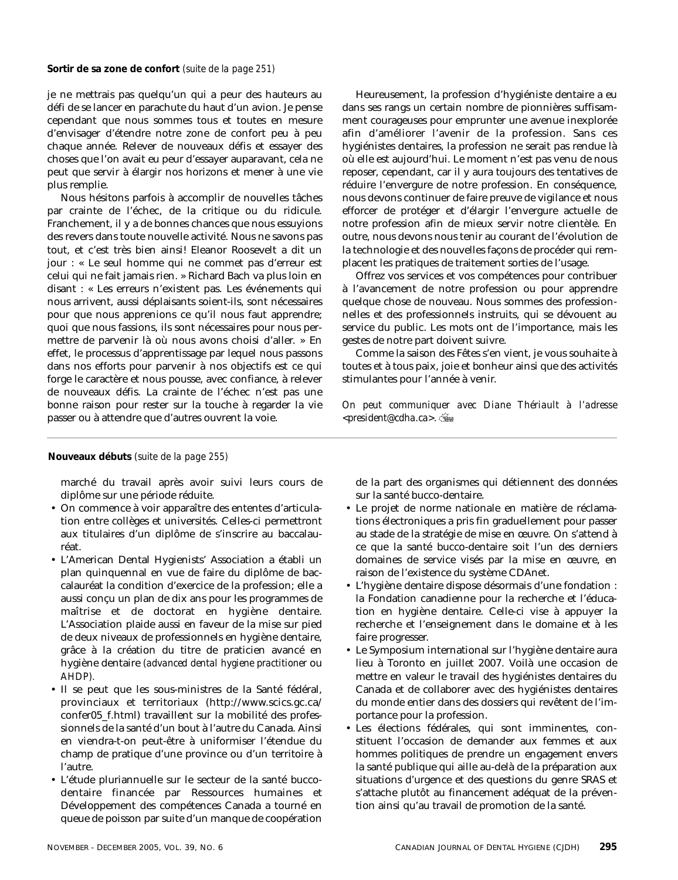je ne mettrais pas quelqu'un qui a peur des hauteurs au défi de se lancer en parachute du haut d'un avion. Je pense cependant que nous sommes tous et toutes en mesure d'envisager d'étendre notre zone de confort peu à peu chaque année. Relever de nouveaux défis et essayer des choses que l'on avait eu peur d'essayer auparavant, cela ne peut que servir à élargir nos horizons et mener à une vie plus remplie.

Nous hésitons parfois à accomplir de nouvelles tâches par crainte de l'échec, de la critique ou du ridicule. Franchement, il y a de bonnes chances que nous essuyions des revers dans toute nouvelle activité. Nous ne savons pas tout, et c'est très bien ainsi! Eleanor Roosevelt a dit un jour : « Le seul homme qui ne commet pas d'erreur est celui qui ne fait jamais rien. » Richard Bach va plus loin en disant : « Les erreurs n'existent pas. Les événements qui nous arrivent, aussi déplaisants soient-ils, sont nécessaires pour que nous apprenions ce qu'il nous faut apprendre; quoi que nous fassions, ils sont nécessaires pour nous permettre de parvenir là où nous avons choisi d'aller. » En effet, le processus d'apprentissage par lequel nous passons dans nos efforts pour parvenir à nos objectifs est ce qui forge le caractère et nous pousse, avec confiance, à relever de nouveaux défis. La crainte de l'échec n'est pas une bonne raison pour rester sur la touche à regarder la vie passer ou à attendre que d'autres ouvrent la voie.

Heureusement, la profession d'hygiéniste dentaire a eu dans ses rangs un certain nombre de pionnières suffisamment courageuses pour emprunter une avenue inexplorée afin d'améliorer l'avenir de la profession. Sans ces hygiénistes dentaires, la profession ne serait pas rendue là où elle est aujourd'hui. Le moment n'est pas venu de nous reposer, cependant, car il y aura toujours des tentatives de réduire l'envergure de notre profession. En conséquence, nous devons continuer de faire preuve de vigilance et nous efforcer de protéger et d'élargir l'envergure actuelle de notre profession afin de mieux servir notre clientèle. En outre, nous devons nous tenir au courant de l'évolution de la technologie et des nouvelles façons de procéder qui remplacent les pratiques de traitement sorties de l'usage.

Offrez vos services et vos compétences pour contribuer à l'avancement de notre profession ou pour apprendre quelque chose de nouveau. Nous sommes des professionnelles et des professionnels instruits, qui se dévouent au service du public. Les mots ont de l'importance, mais les gestes de notre part doivent suivre.

Comme la saison des Fêtes s'en vient, je vous souhaite à toutes et à tous paix, joie et bonheur ainsi que des activités stimulantes pour l'année à venir.

*On peut communiquer avec Diane Thériault à l'adresse <president@cdha.ca>.*

# **Nouveaux débuts** *(suite de la page 255)*

marché du travail après avoir suivi leurs cours de diplôme sur une période réduite.

- On commence à voir apparaître des ententes d'articulation entre collèges et universités. Celles-ci permettront aux titulaires d'un diplôme de s'inscrire au baccalauréat.
- L'American Dental Hygienists' Association a établi un plan quinquennal en vue de faire du diplôme de baccalauréat la condition d'exercice de la profession; elle a aussi conçu un plan de dix ans pour les programmes de maîtrise et de doctorat en hygiène dentaire. L'Association plaide aussi en faveur de la mise sur pied de deux niveaux de professionnels en hygiène dentaire, grâce à la création du titre de praticien avancé en hygiène dentaire *(advanced dental hygiene practitioner* ou *AHDP).*
- Il se peut que les sous-ministres de la Santé fédéral, provinciaux et territoriaux (http://www.scics.gc.ca/ confer05\_f.html) travaillent sur la mobilité des professionnels de la santé d'un bout à l'autre du Canada. Ainsi en viendra-t-on peut-être à uniformiser l'étendue du champ de pratique d'une province ou d'un territoire à l'autre.
- L'étude pluriannuelle sur le secteur de la santé buccodentaire financée par Ressources humaines et Développement des compétences Canada a tourné en queue de poisson par suite d'un manque de coopération

de la part des organismes qui détiennent des données sur la santé bucco-dentaire.

- Le projet de norme nationale en matière de réclamations électroniques a pris fin graduellement pour passer au stade de la stratégie de mise en œuvre. On s'attend à ce que la santé bucco-dentaire soit l'un des derniers domaines de service visés par la mise en œuvre, en raison de l'existence du système CDAnet.
- L'hygiène dentaire dispose désormais d'une fondation : la Fondation canadienne pour la recherche et l'éducation en hygiène dentaire. Celle-ci vise à appuyer la recherche et l'enseignement dans le domaine et à les faire progresser.
- Le Symposium international sur l'hygiène dentaire aura lieu à Toronto en juillet 2007. Voilà une occasion de mettre en valeur le travail des hygiénistes dentaires du Canada et de collaborer avec des hygiénistes dentaires du monde entier dans des dossiers qui revêtent de l'importance pour la profession.
- Les élections fédérales, qui sont imminentes, constituent l'occasion de demander aux femmes et aux hommes politiques de prendre un engagement envers la santé publique qui aille au-delà de la préparation aux situations d'urgence et des questions du genre SRAS et s'attache plutôt au financement adéquat de la prévention ainsi qu'au travail de promotion de la santé.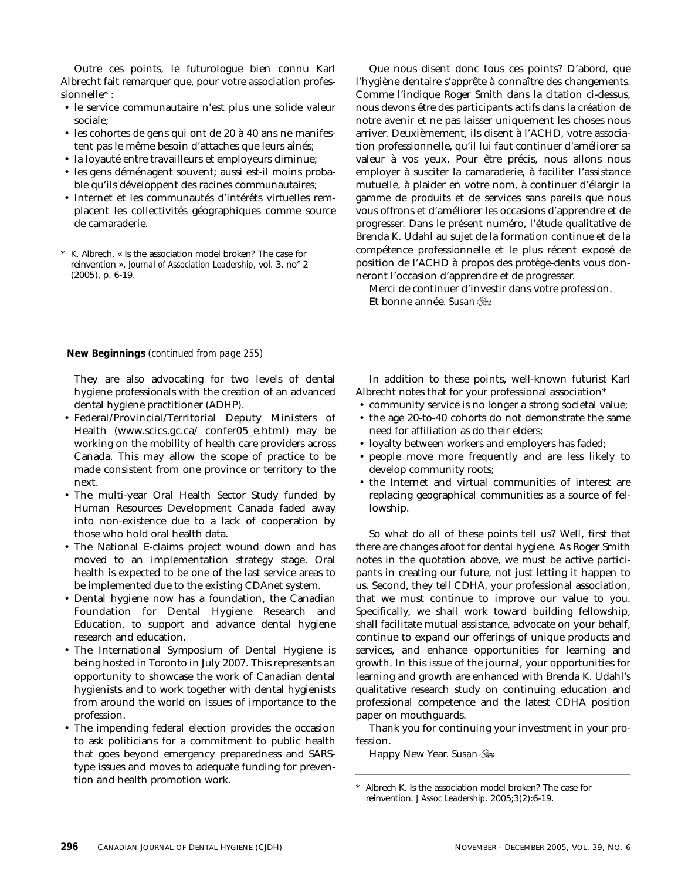Outre ces points, le futurologue bien connu Karl Albrecht fait remarquer que, pour votre association professionnelle\* :

- le service communautaire n'est plus une solide valeur sociale;
- les cohortes de gens qui ont de 20 à 40 ans ne manifestent pas le même besoin d'attaches que leurs aînés;
- la loyauté entre travailleurs et employeurs diminue;
- les gens déménagent souvent; aussi est-il moins probable qu'ils développent des racines communautaires;
- Internet et les communautés d'intérêts virtuelles remplacent les collectivités géographiques comme source de camaraderie.

K. Albrech, « Is the association model broken? The case for reinvention », *Journal of Association Leadership*, vol. 3, no° 2 (2005), p. 6-19.

Que nous disent donc tous ces points? D'abord, que l'hygiène dentaire s'apprête à connaître des changements. Comme l'indique Roger Smith dans la citation ci-dessus, nous devons être des participants actifs dans la création de notre avenir et ne pas laisser uniquement les choses nous arriver. Deuxièmement, ils disent à l'ACHD, votre association professionnelle, qu'il lui faut continuer d'améliorer sa valeur à vos yeux. Pour être précis, nous allons nous employer à susciter la camaraderie, à faciliter l'assistance mutuelle, à plaider en votre nom, à continuer d'élargir la gamme de produits et de services sans pareils que nous vous offrons et d'améliorer les occasions d'apprendre et de progresser. Dans le présent numéro, l'étude qualitative de Brenda K. Udahl au sujet de la formation continue et de la compétence professionnelle et le plus récent exposé de position de l'ACHD à propos des protège-dents vous donneront l'occasion d'apprendre et de progresser.

Merci de continuer d'investir dans votre profession. Et bonne année. *Susan*

**New Beginnings** *(continued from page 255)*

They are also advocating for two levels of dental hygiene professionals with the creation of an advanced dental hygiene practitioner (ADHP).

- Federal/Provincial/Territorial Deputy Ministers of Health (www.scics.gc.ca/ confer05\_e.html) may be working on the mobility of health care providers across Canada. This may allow the scope of practice to be made consistent from one province or territory to the next.
- The multi-year Oral Health Sector Study funded by Human Resources Development Canada faded away into non-existence due to a lack of cooperation by those who hold oral health data.
- The National E-claims project wound down and has moved to an implementation strategy stage. Oral health is expected to be one of the last service areas to be implemented due to the existing CDAnet system.
- Dental hygiene now has a foundation, the Canadian Foundation for Dental Hygiene Research and Education, to support and advance dental hygiene research and education.
- The International Symposium of Dental Hygiene is being hosted in Toronto in July 2007. This represents an opportunity to showcase the work of Canadian dental hygienists and to work together with dental hygienists from around the world on issues of importance to the profession.
- The impending federal election provides the occasion to ask politicians for a commitment to public health that goes beyond emergency preparedness and SARStype issues and moves to adequate funding for prevention and health promotion work.

In addition to these points, well-known futurist Karl Albrecht notes that for your professional association\*

- community service is no longer a strong societal value;
- the age 20-to-40 cohorts do not demonstrate the same need for affiliation as do their elders;
- loyalty between workers and employers has faded;
- people move more frequently and are less likely to develop community roots;
- the Internet and virtual communities of interest are replacing geographical communities as a source of fellowship.

So what do all of these points tell us? Well, first that there are changes afoot for dental hygiene. As Roger Smith notes in the quotation above, we must be active participants in creating our future, not just letting it happen to us. Second, they tell CDHA, your professional association, that we must continue to improve our value to you. Specifically, we shall work toward building fellowship, shall facilitate mutual assistance, advocate on your behalf, continue to expand our offerings of unique products and services, and enhance opportunities for learning and growth. In this issue of the journal, your opportunities for learning and growth are enhanced with Brenda K. Udahl's qualitative research study on continuing education and professional competence and the latest CDHA position paper on mouthguards.

Thank you for continuing your investment in your profession.

Happy New Year. *Susan*

Albrech K. Is the association model broken? The case for reinvention. *J Assoc Leadership*. 2005;3(2):6-19.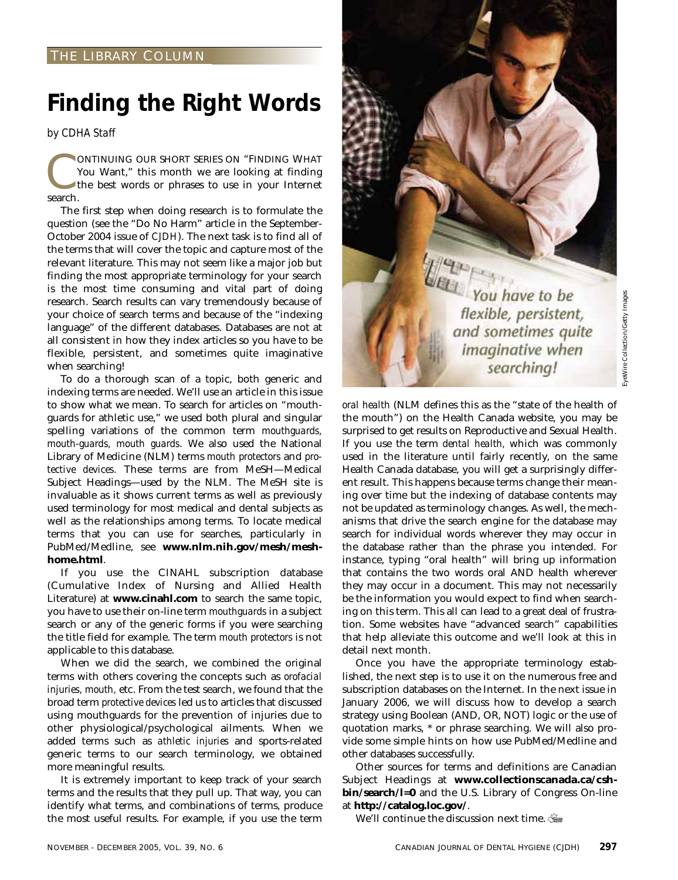# **Finding the Right Words**

*by CDHA Staff*

**CONTINUING OUR SHORT SERIES ON "FINDING WHAT You Want," this month we are looking at finding the best words or phrases to use in your Internet** You Want," this month we are looking at finding the best words or phrases to use in your Internet search.

The first step when doing research is to formulate the question (see the "Do No Harm" article in the September-October 2004 issue of *CJDH*). The next task is to find all of the terms that will cover the topic and capture most of the relevant literature. This may not seem like a major job but finding the most appropriate terminology for your search is the most time consuming and vital part of doing research. Search results can vary tremendously because of your choice of search terms and because of the "indexing language" of the different databases. Databases are not at all consistent in how they index articles so you have to be flexible, persistent, and sometimes quite imaginative when searching!

To do a thorough scan of a topic, both generic and indexing terms are needed. We'll use an article in this issue to show what we mean. To search for articles on "mouthguards for athletic use," we used both plural and singular spelling variations of the common term *mouthguards, mouth-guards, mouth guards*. We also used the National Library of Medicine (NLM) terms *mouth protectors* and *protective devices.* These terms are from MeSH—Medical Subject Headings—used by the NLM. The MeSH site is invaluable as it shows current terms as well as previously used terminology for most medical and dental subjects as well as the relationships among terms. To locate medical terms that you can use for searches, particularly in PubMed/Medline, see **www.nlm.nih.gov/mesh/meshhome.html**.

If you use the CINAHL subscription database (Cumulative Index of Nursing and Allied Health Literature) at **www.cinahl.com** to search the same topic, you have to use their on-line term *mouthguards* in a subject search or any of the generic forms if you were searching the title field for example. The term *mouth protectors* is not applicable to this database.

When we did the search, we combined the original terms with others covering the concepts such as *orofacial injuries, mouth,* etc. From the test search, we found that the broad term *protective devices* led us to articles that discussed using mouthguards for the prevention of injuries due to other physiological/psychological ailments. When we added terms such as *athletic injuries* and sports-related generic terms to our search terminology, we obtained more meaningful results.

It is extremely important to keep track of your search terms and the results that they pull up. That way, you can identify what terms, and combinations of terms, produce the most useful results. For example, if you use the term



*oral health* (NLM defines this as the "state of the health of the mouth") on the Health Canada website, you may be surprised to get results on Reproductive and Sexual Health. If you use the term *dental health,* which was commonly used in the literature until fairly recently, on the same Health Canada database, you will get a surprisingly different result. This happens because terms change their meaning over time but the indexing of database contents may not be updated as terminology changes. As well, the mechanisms that drive the search engine for the database may search for individual words wherever they may occur in the database rather than the phrase you intended. For instance, typing "oral health" will bring up information that contains the two words oral AND health wherever they may occur in a document. This may not necessarily be the information you would expect to find when searching on this term. This all can lead to a great deal of frustration. Some websites have "advanced search" capabilities that help alleviate this outcome and we'll look at this in detail next month.

Once you have the appropriate terminology established, the next step is to use it on the numerous free and subscription databases on the Internet. In the next issue in January 2006, we will discuss how to develop a search strategy using Boolean (AND, OR, NOT) logic or the use of quotation marks, \* or phrase searching. We will also provide some simple hints on how use PubMed/Medline and other databases successfully.

Other sources for terms and definitions are Canadian Subject Headings at **www.collectionscanada.ca/cshbin/search/l=0** and the U.S. Library of Congress On-line at **http://catalog.loc.gov/**.

We'll continue the discussion next time.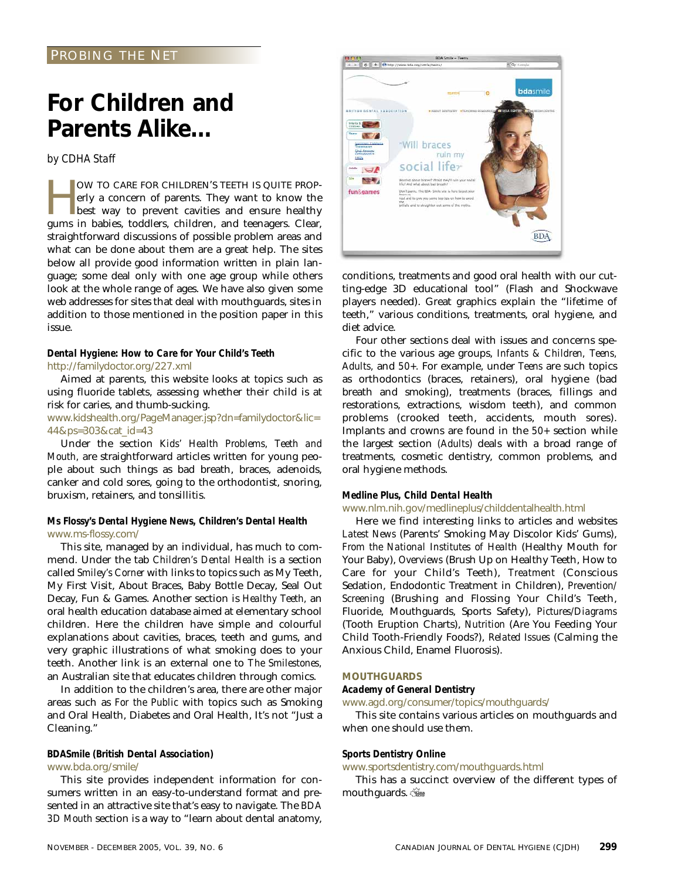# PROBING THE NET

# **For Children and Parents Alike…**

*by CDHA Staff*

OW TO CARE FOR CHILDREN'S TEETH IS QUITE PROP-<br>erly a concern of parents. They want to know the<br>best way to prevent cavities and ensure healthy<br>gums in babies toddlers children and teenagers. Clear erly a concern of parents. They want to know the **best way to prevent cavities and ensure healthy** gums in babies, toddlers, children, and teenagers. Clear, straightforward discussions of possible problem areas and what can be done about them are a great help. The sites below all provide good information written in plain language; some deal only with one age group while others look at the whole range of ages. We have also given some web addresses for sites that deal with mouthguards, sites in addition to those mentioned in the position paper in this issue.

# *Dental Hygiene: How to Care for Your Child's Teeth* http://familydoctor.org/227.xml

Aimed at parents, this website looks at topics such as using fluoride tablets, assessing whether their child is at risk for caries, and thumb-sucking.

# www.kidshealth.org/PageManager.jsp?dn=familydoctor&lic= 44&ps=303&cat\_id=43

Under the section *Kids' Health Problems, Teeth and Mouth,* are straightforward articles written for young people about such things as bad breath, braces, adenoids, canker and cold sores, going to the orthodontist, snoring, bruxism, retainers, and tonsillitis.

# *Ms Flossy's Dental Hygiene News, Children's Dental Health* www.ms-flossy.com/

This site, managed by an individual, has much to commend. Under the tab *Children's Dental Health* is a section called *Smiley's Corner* with links to topics such as My Teeth, My First Visit, About Braces, Baby Bottle Decay, Seal Out Decay, Fun & Games. Another section is *Healthy Teeth,* an oral health education database aimed at elementary school children. Here the children have simple and colourful explanations about cavities, braces, teeth and gums, and very graphic illustrations of what smoking does to your teeth. Another link is an external one to *The Smilestones,* an Australian site that educates children through comics.

In addition to the children's area, there are other major areas such as *For the Public* with topics such as Smoking and Oral Health, Diabetes and Oral Health, It's not "Just a Cleaning."

# *BDASmile (British Dental Association)*

# www.bda.org/smile/

This site provides independent information for consumers written in an easy-to-understand format and presented in an attractive site that's easy to navigate. The *BDA 3D Mouth* section is a way to "learn about dental anatomy,



conditions, treatments and good oral health with our cutting-edge 3D educational tool" (Flash and Shockwave players needed). Great graphics explain the "lifetime of teeth," various conditions, treatments, oral hygiene, and diet advice.

Four other sections deal with issues and concerns specific to the various age groups, *Infants & Children, Teens, Adults,* and *50+.* For example, under *Teens* are such topics as orthodontics (braces, retainers), oral hygiene (bad breath and smoking), treatments (braces, fillings and restorations, extractions, wisdom teeth), and common problems (crooked teeth, accidents, mouth sores). Implants and crowns are found in the *50+* section while the largest section *(Adults)* deals with a broad range of treatments, cosmetic dentistry, common problems, and oral hygiene methods.

## *Medline Plus, Child Dental Health*

## www.nlm.nih.gov/medlineplus/childdentalhealth.html

Here we find interesting links to articles and websites *Latest News* (Parents' Smoking May Discolor Kids' Gums), *From the National Institutes of Health* (Healthy Mouth for Your Baby), *Overviews* (Brush Up on Healthy Teeth, How to Care for your Child's Teeth), *Treatment* (Conscious Sedation, Endodontic Treatment in Children), *Prevention/ Screening* (Brushing and Flossing Your Child's Teeth, Fluoride, Mouthguards, Sports Safety), *Pictures/Diagrams* (Tooth Eruption Charts), *Nutrition* (Are You Feeding Your Child Tooth-Friendly Foods?), *Related Issues* (Calming the Anxious Child, Enamel Fluorosis).

# **MOUTHGUARDS**

# *Academy of General Dentistry*

www.agd.org/consumer/topics/mouthguards/

This site contains various articles on mouthguards and when one should use them.

## *Sports Dentistry Online*

www.sportsdentistry.com/mouthguards.html

This has a succinct overview of the different types of mouthguards.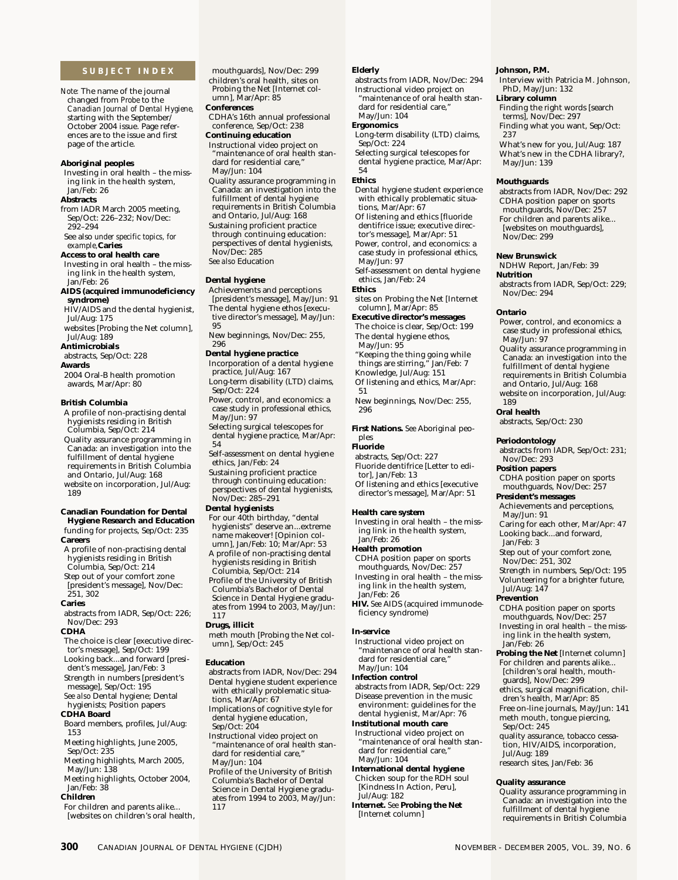## **SUBJECT INDEX**

*Note:* The name of the journal changed from *Probe* to the *Canadian Journal of Dental Hygiene,* starting with the September/ October 2004 issue. Page references are to the issue and first page of the article.

#### **Aboriginal peoples**

Investing in oral health – the missing link in the health system, Jan/Feb: 26

#### **Abstracts**

from IADR March 2005 meeting, Sep/Oct: 226–232; Nov/Dec: 292–294

See also *under specific topics, for example,***Caries**

**Access to oral health care** Investing in oral health – the missing link in the health system,

#### Jan/Feb: 26 **AIDS (acquired immunodeficiency syndrome)**

HIV/AIDS and the dental hygienist, Jul/Aug: 175

websites [Probing the Net column], Jul/Aug: 189

**Antimicrobials**

abstracts, Sep/Oct: 228

**Awards**

2004 Oral-B health promotion awards, Mar/Apr: 80

#### **British Columbia**

A profile of non-practising dental hygienists residing in British Columbia, Sep/Oct: 214

Quality assurance programming in Canada: an investigation into the fulfillment of dental hygiene requirements in British Columbia and Ontario, Jul/Aug: 168

website on incorporation, Jul/Aug: 189

#### **Canadian Foundation for Dental Hygiene Research and Education** funding for projects, Sep/Oct: 235

**Careers**

A profile of non-practising dental hygienists residing in British Columbia, Sep/Oct: 214

Step out of your comfort zone [president's message], Nov/Dec: 251, 302

#### **Caries**

abstracts from IADR, Sep/Oct: 226; Nov/Dec: 293

#### **CDHA**

The choice is clear [executive director's message], Sep/Oct: 199

Looking back...and forward [president's message], Jan/Feb: 3 Strength in numbers [president's

message], Sep/Oct: 195 *See also* Dental hygiene; Dental hygienists; Position papers

#### **CDHA Board**

Board members, profiles, Jul/Aug: 153

Meeting highlights, June 2005, Sep/Oct: 235

Meeting highlights, March 2005, May/Jun: 138

Meeting highlights, October 2004, Jan/Feb: 38

#### **Children**

For children and parents alike... [websites on children's oral health,

children's oral health, sites on Probing the Net [Internet column], Mar/Apr: 85 **Conferences** CDHA's 16th annual professional conference, Sep/Oct: 238 **Continuing education** Instructional video project on "maintenance of oral health stan-dard for residential care," May/Jun: 104 Quality assurance programming in Canada: an investigation into the fulfillment of dental hygiene requirements in British Columbia and Ontario, Jul/Aug: 168 Sustaining proficient practice through continuing education: perspectives of dental hygienists, Nov/Dec: 285 *See also* Education

mouthguards], Nov/Dec: 299

#### **Dental hygiene**

Achievements and perceptions [president's message], May/Jun: 91 The dental hygiene ethos [executive director's message], May/Jun: 95

New beginnings, Nov/Dec: 255, 296

#### **Dental hygiene practice**

- Incorporation of a dental hygiene practice, Jul/Aug: 167 Long-term disability (LTD) claims,
- Sep/Oct: 224 Power, control, and economics: a case study in professional ethics,

May/Jun: 97 Selecting surgical telescopes for

dental hygiene practice, Mar/Apr: 54

Self-assessment on dental hygiene ethics, Jan/Feb: 24

Sustaining proficient practice through continuing education: perspectives of dental hygienists, Nov/Dec: 285–291

#### **Dental hygienists**

For our 40th birthday, "dental hygienists" deserve an...extreme name makeover! [Opinion column], Jan/Feb: 10; Mar/Apr: 53

A profile of non-practising dental hygienists residing in British Columbia, Sep/Oct: 214

Profile of the University of British Columbia's Bachelor of Dental Science in Dental Hygiene graduates from 1994 to 2003, May/Jun:

117 **Drugs, illicit**

meth mouth [Probing the Net column], Sep/Oct: 245

#### **Education**

117

abstracts from IADR, Nov/Dec: 294 Dental hygiene student experience with ethically problematic situa-

- tions, Mar/Apr: 67 Implications of cognitive style for dental hygiene education,
- Sep/Oct: 204

Instructional video project on "maintenance of oral health standard for residential care," May/Jun: 104

Profile of the University of British Columbia's Bachelor of Dental Science in Dental Hygiene graduates from 1994 to 2003, May/Jun:

#### **Elderly**

abstracts from IADR, Nov/Dec: 294 Instructional video project on "maintenance of oral health standard for residential care,' May/Jun: 104

# **Ergonomics**

Long-term disability (LTD) claims, Sep/Oct: 224

Selecting surgical telescopes for dental hygiene practice, Mar/Apr: 54

#### **Ethics**

Dental hygiene student experience with ethically problematic situations, Mar/Apr: 67 Of listening and ethics [fluoride dentifrice issue; executive director's message], Mar/Apr: 51

Power, control, and economics: a case study in professional ethics, May/Jun: 97

Self-assessment on dental hygiene ethics, Jan/Feb: 24

#### **Ethics**

sites on Probing the Net [Internet column], Mar/Apr: 85

#### **Executive director's messages**

The choice is clear, Sep/Oct: 199 The dental hygiene ethos,

- May/Jun: 95 "Keeping the thing going while
- things are stirring," Jan/Feb: 7
- Knowledge, Jul/Aug: 151 Of listening and ethics, Mar/Apr:

51 New beginnings, Nov/Dec: 255,

296

**First Nations.** *See* Aboriginal peoples

## **Fluoride**

- abstracts, Sep/Oct: 227 Fluoride dentifrice [Letter to editor], Jan/Feb: 13
- Of listening and ethics [executive director's message], Mar/Apr: 51

#### **Health care system**

Investing in oral health – the missing link in the health system, Jan/Feb: 26

#### **Health promotion**

CDHA position paper on sports mouthguards, Nov/Dec: 257 Investing in oral health – the missing link in the health system, Jan/Feb: 26

**HIV.** *See* AIDS (acquired immunodeficiency syndrome)

#### **In-service**

**300** CANADIAN JOURNAL OF DENTAL HYGIENE (CJDH) NOVEMBER - DECEMBER - DECEMBER 2005, VOL. 39, NO. 6

Instructional video project on "maintenance of oral health standard for residential care,' May/Jun: 104

#### **Infection control**

abstracts from IADR, Sep/Oct: 229 Disease prevention in the music environment: guidelines for the dental hygienist, Mar/Apr: 76

**Institutional mouth care** Instructional video project on "maintenance of oral health standard for residential care,'

May/Jun: 104 **International dental hygiene** Chicken soup for the RDH soul [Kindness In Action, Peru],

Jul/Aug: 182 **Internet.** *See* **Probing the Net**

[Internet column]

#### **Johnson, P.M.**

May/Jun: 139 **Mouthguards**

Nov/Dec: 299 **New Brunswick**

Nov/Dec: 294

May/Jun: 97

abstracts, Sep/Oct: 230

**Periodontology**

Nov/Dec: 293 **Position papers**

May/Jun: 91

Jan/Feb: 3

Jul/Aug: 147 **Prevention**

Jan/Feb: 26

Sep/Oct: 245

Jul/Aug: 189

**Quality assurance**

**President's messages**

**Nutrition**

**Ontario**

189 **Oral health**

NDHW Report, Jan/Feb: 39

abstracts from IADR, Sep/Oct: 229;

Power, control, and economics: a case study in professional ethics,

Quality assurance programming in Canada: an investigation into the fulfillment of dental hygiene requirements in British Columbia and Ontario, Jul/Aug: 168 website on incorporation, Jul/Aug:

abstracts from IADR, Sep/Oct: 231;

CDHA position paper on sports mouthguards, Nov/Dec: 257

Achievements and perceptions,

Step out of your comfort zone, Nov/Dec: 251, 302

CDHA position paper on sports mouthguards, Nov/Dec: 257 Investing in oral health – the missing link in the health system,

**Probing the Net** [Internet column] For children and parents alike... [children's oral health, mouthguards], Nov/Dec: 299 ethics, surgical magnification, children's health, Mar/Apr: 85 Free on-line journals, May/Jun: 141 meth mouth, tongue piercing,

quality assurance, tobacco cessation, HIV/AIDS, incorporation,

Quality assurance programming in Canada: an investigation into the fulfillment of dental hygiene requirements in British Columbia

research sites, Jan/Feb: 36

Caring for each other, Mar/Apr: 47 Looking back...and forward,

Strength in numbers, Sep/Oct: 195 Volunteering for a brighter future,

237

Interview with Patricia M. Johnson, PhD, May/Jun: 132

**Library column** Finding the right words [search

terms], Nov/Dec: 297

Finding what you want, Sep/Oct:

What's new for you, Jul/Aug: 187 What's new in the CDHA library?,

abstracts from IADR, Nov/Dec: 292 CDHA position paper on sports mouthguards, Nov/Dec: 257 For children and parents alike... [websites on mouthguards],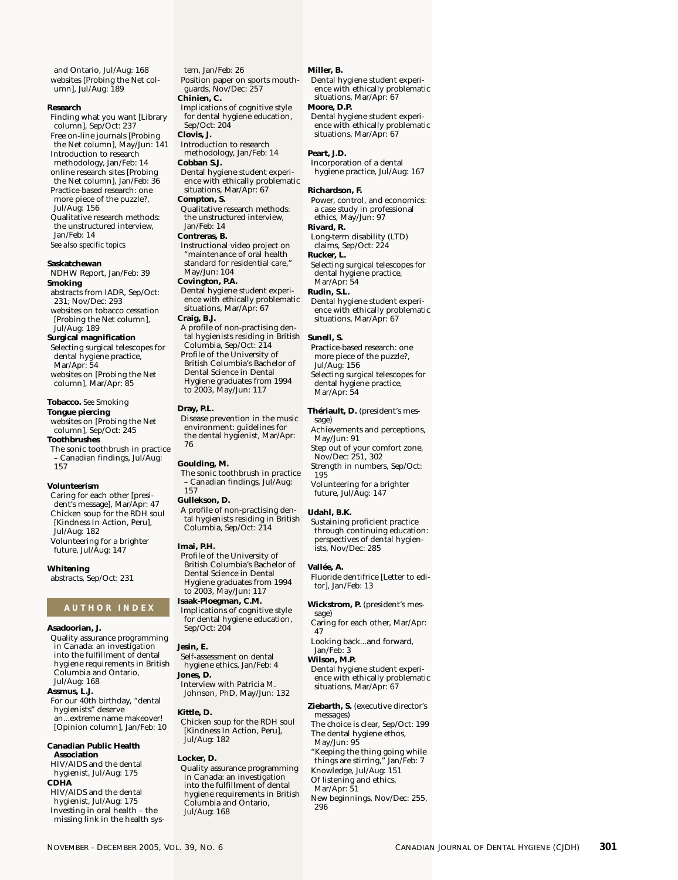and Ontario, Jul/Aug: 168 websites [Probing the Net column], Jul/Aug: 189

#### **Research**

Finding what you want [Library column], Sep/Oct: 237 Free on-line journals [Probing the Net column], May/Jun: 141 Introduction to research methodology, Jan/Feb: 14 online research sites [Probing the Net column], Jan/Feb: 36 Practice-based research: one more piece of the puzzle?, Jul/Aug: 156 Qualitative research methods: the unstructured interview, Jan/Feb: 14 *See also specific topics*

### **Saskatchewan**

NDHW Report, Jan/Feb: 39 **Smoking** abstracts from IADR, Sep/Oct:

231; Nov/Dec: 293 websites on tobacco cessation [Probing the Net column], Jul/Aug: 189

## **Surgical magnification**

Selecting surgical telescopes for dental hygiene practice, Mar/Apr: 54 websites on [Probing the Net column], Mar/Apr: 85

### **Tobacco.** *See* Smoking

**Tongue piercing** websites on [Probing the Net column], Sep/Oct: 245

#### **Toothbrushes**

The sonic toothbrush in practice – Canadian findings, Jul/Aug: 157

#### **Volunteerism**

Caring for each other [president's message], Mar/Apr: 47 Chicken soup for the RDH soul [Kindness In Action, Peru], Jul/Aug: 182 Volunteering for a brighter future, Jul/Aug: 147

**Whitening**

abstracts, Sep/Oct: 231

## **AUTHOR INDEX**

#### **Asadoorian, J.**

Quality assurance programming in Canada: an investigation into the fulfillment of dental hygiene requirements in British Columbia and Ontario, Jul/Aug: 168 **Assmus, L.J.** For our 40th birthday, "dental

hygienists" deserve an...extreme name makeover! [Opinion column], Jan/Feb: 10

#### **Canadian Public Health Association** HIV/AIDS and the dental

hygienist, Jul/Aug: 175 **CDHA** HIV/AIDS and the dental hygienist, Jul/Aug: 175 Investing in oral health – the

missing link in the health sys-

tem, Jan/Feb: 26 Position paper on sports mouthguards, Nov/Dec: 257 **Chinien, C.** Implications of cognitive style for dental hygiene education, Sep/Oct: 204 **Clovis, J.** Introduction to research methodology, Jan/Feb: 14 **Cobban S.J.** Dental hygiene student experience with ethically problematic situations, Mar/Apr: 67 **Compton, S.** Qualitative research methods: the unstructured interview, Jan/Feb: 14

#### **Contreras, B.**

Instructional video project on "maintenance of oral health standard for residential care," May/Jun: 104 **Covington, P.A.** Dental hygiene student experi-ence with ethically problematic situations, Mar/Apr: 67 **Craig, B.J.** A profile of non-practising den-

#### tal hygienists residing in British Columbia, Sep/Oct: 214 Profile of the University of British Columbia's Bachelor of

Dental Science in Dental Hygiene graduates from 1994 to 2003, May/Jun: 117

#### **Dray, P.L.**

Disease prevention in the music environment: guidelines for the dental hygienist, Mar/Apr: 76

# **Goulding, M.**

The sonic toothbrush in practice – Canadian findings, Jul/Aug: 157

#### **Gullekson, D.**

A profile of non-practising dental hygienists residing in British Columbia, Sep/Oct: 214

#### **Imai, P.H.**

Profile of the University of British Columbia's Bachelor of Dental Science in Dental Hygiene graduates from 1994 to 2003, May/Jun: 117 **Isaak-Ploegman, C.M.**

Implications of cognitive style for dental hygiene education, Sep/Oct: 204

#### **Jesin, E.**

Self-assessment on dental hygiene ethics, Jan/Feb: 4 **Jones, D.** Interview with Patricia M. Johnson, PhD, May/Jun: 132

#### **Kittle, D.**

Chicken soup for the RDH soul [Kindness In Action, Peru], Jul/Aug: 182

#### **Locker, D.**

Quality assurance programming in Canada: an investigation into the fulfillment of dental hygiene requirements in British Columbia and Ontario, Jul/Aug: 168

#### **Miller, B.**

Dental hygiene student experience with ethically problematic situations, Mar/Apr: 67 **Moore, D.P.**

Dental hygiene student experience with ethically problematic situations, Mar/Apr: 67

#### **Peart, J.D.**

Incorporation of a dental hygiene practice, Jul/Aug: 167

#### **Richardson, F.**

Power, control, and economics: a case study in professional ethics, May/Jun: 97 **Rivard, R.** Long-term disability (LTD)

claims, Sep/Oct: 224 **Rucker, L.**

- Selecting surgical telescopes for dental hygiene practice, Mar/Apr: 54
- **Rudin, S.L.**
	- Dental hygiene student experience with ethically problematic situations, Mar/Apr: 67

#### **Sunell, S.**

Practice-based research: one more piece of the puzzle?, Jul/Aug: 156 Selecting surgical telescopes for dental hygiene practice, Mar/Apr: 54

### **Thériault, D.** (president's mes-

sage) Achievements and perceptions, May/Jun: 91

Step out of your comfort zone, Nov/Dec: 251, 302 Strength in numbers, Sep/Oct:

195 Volunteering for a brighter

future, Jul/Aug: 147

#### **Udahl, B.K.**

Sustaining proficient practice through continuing education: perspectives of dental hygienists, Nov/Dec: 285

#### **Vallée, A.**

Fluoride dentifrice [Letter to editor], Jan/Feb: 13

#### **Wickstrom, P.** (president's message)

Caring for each other, Mar/Apr: 47

- Looking back...and forward,
- Jan/Feb: 3

# **Wilson, M.P.**

Dental hygiene student experience with ethically problematic situations, Mar/Apr: 67

#### **Ziebarth, S.** (executive director's

messages) The choice is clear, Sep/Oct: 199 The dental hygiene ethos, May/Jun: 95

"Keeping the thing going while things are stirring," Jan/Feb: 7 Knowledge, Jul/Aug: 151 Of listening and ethics, Mar/Apr: 51

New beginnings, Nov/Dec: 255, 296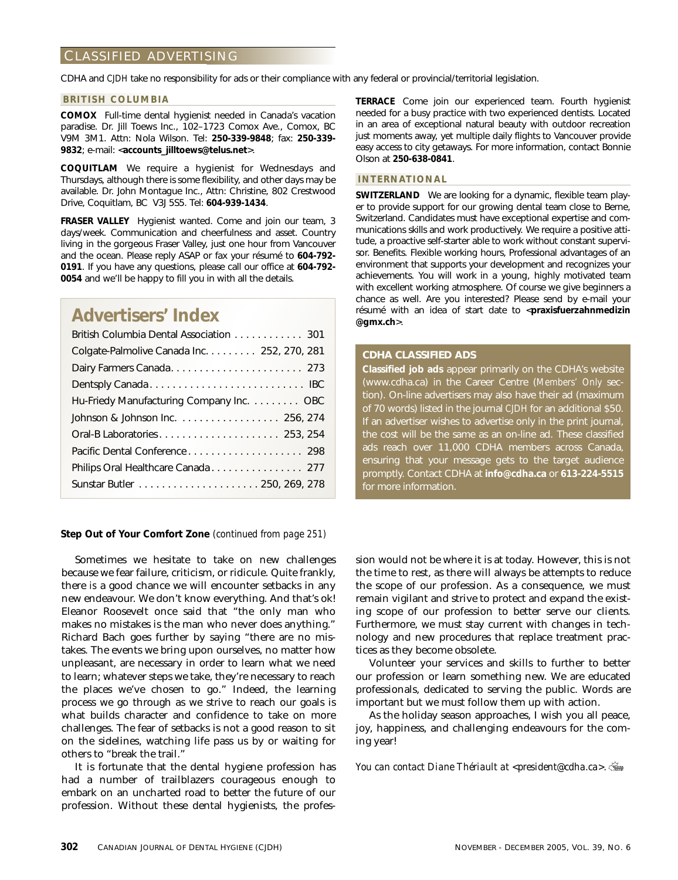# CLASSIFIED ADVERTISING

CDHA and *CJDH* take no responsibility for ads or their compliance with any federal or provincial/territorial legislation.

#### **BRITISH COLUMBIA**

**COMOX** Full-time dental hygienist needed in Canada's vacation paradise. Dr. Jill Toews Inc., 102–1723 Comox Ave., Comox, BC V9M 3M1. Attn: Nola Wilson. Tel: **250-339-9848**; fax: **250-339- 9832**; e-mail: <**accounts\_jilltoews@telus.net**>.

**COQUITLAM** We require a hygienist for Wednesdays and Thursdays, although there is some flexibility, and other days may be available. Dr. John Montague Inc., Attn: Christine, 802 Crestwood Drive, Coquitlam, BC V3J 5S5. Tel: **604-939-1434**.

**FRASER VALLEY** Hygienist wanted. Come and join our team, 3 days/week. Communication and cheerfulness and asset. Country living in the gorgeous Fraser Valley, just one hour from Vancouver and the ocean. Please reply ASAP or fax your résumé to **604-792- 0191**. If you have any questions, please call our office at **604-792- 0054** and we'll be happy to fill you in with all the details.

# **Advertisers' Index**

| British Columbia Dental Association 301     |
|---------------------------------------------|
| Colgate-Palmolive Canada Inc. 252, 270, 281 |
| Dairy Farmers Canada 273                    |
|                                             |
| Hu-Friedy Manufacturing Company Inc. OBC    |
| Johnson & Johnson Inc. 256, 274             |
|                                             |
|                                             |
| Philips Oral Healthcare Canada 277          |
|                                             |
|                                             |

**Step Out of Your Comfort Zone** *(continued from page 251)*

Sometimes we hesitate to take on new challenges because we fear failure, criticism, or ridicule. Quite frankly, there *is* a good chance we will encounter setbacks in any new endeavour. We don't know everything. And that's ok! Eleanor Roosevelt once said that "the only man who makes no mistakes is the man who never does anything." Richard Bach goes further by saying "there are no mistakes. The events we bring upon ourselves, no matter how unpleasant, are necessary in order to learn what we need to learn; whatever steps we take, they're necessary to reach the places we've chosen to go." Indeed, the learning process we go through as we strive to reach our goals is what builds character and confidence to take on more challenges. The fear of setbacks is not a good reason to sit on the sidelines, watching life pass us by or waiting for others to "break the trail."

It is fortunate that the dental hygiene profession has had a number of trailblazers courageous enough to embark on an uncharted road to better the future of our profession. Without these dental hygienists, the profes**TERRACE** Come join our experienced team. Fourth hygienist needed for a busy practice with two experienced dentists. Located in an area of exceptional natural beauty with outdoor recreation just moments away, yet multiple daily flights to Vancouver provide easy access to city getaways. For more information, contact Bonnie Olson at **250-638-0841**.

# **INTERNATIONAL**

**SWITZERLAND** We are looking for a dynamic, flexible team player to provide support for our growing dental team close to Berne, Switzerland. Candidates must have exceptional expertise and communications skills and work productively. We require a positive attitude, a proactive self-starter able to work without constant supervisor. Benefits. Flexible working hours, Professional advantages of an environment that supports your development and recognizes your achievements. You will work in a young, highly motivated team with excellent working atmosphere. Of course we give beginners a chance as well. Are you interested? Please send by e-mail your résumé with an idea of start date to <**praxisfuerzahnmedizin @gmx.ch**>.

# **CDHA CLASSIFIED ADS**

**Classified job ads** appear primarily on the CDHA's website (www.cdha.ca) in the Career Centre (*Members' Only* section). On-line advertisers may also have their ad (maximum of 70 words) listed in the journal *CJDH* for an additional \$50. If an advertiser wishes to advertise only in the print journal, the cost will be the same as an on-line ad. These classified ads reach over 11,000 CDHA members across Canada, ensuring that your message gets to the target audience promptly. Contact CDHA at **info@cdha.ca** or **613-224-5515** for more information.

sion would not be where it is at today. However, this is not the time to rest, as there will always be attempts to reduce the scope of our profession. As a consequence, we must remain vigilant and strive to protect and expand the existing scope of our profession to better serve our clients. Furthermore, we must stay current with changes in technology and new procedures that replace treatment practices as they become obsolete.

Volunteer your services and skills to further to better our profession or learn something new. We are educated professionals, dedicated to serving the public. Words are important but we must follow them up with action.

As the holiday season approaches, I wish you all peace, joy, happiness, and challenging endeavours for the coming year!

*You can contact Diane Thériault at <president@cdha.ca>.*